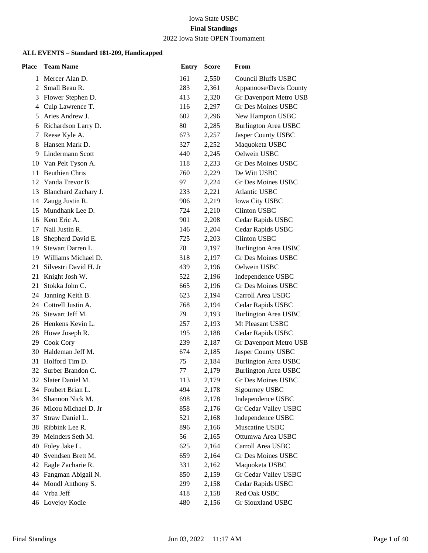#### Iowa State USBC **Final Standings** 2022 Iowa State OPEN Tournament

| Place | <b>Team Name</b>      | <b>Entry</b> | <b>Score</b> | From                        |
|-------|-----------------------|--------------|--------------|-----------------------------|
| 1     | Mercer Alan D.        | 161          | 2,550        | <b>Council Bluffs USBC</b>  |
| 2     | Small Beau R.         | 283          | 2,361        | Appanoose/Davis County      |
| 3     | Flower Stephen D.     | 413          | 2,320        | Gr Davenport Metro USB      |
| 4     | Culp Lawrence T.      | 116          | 2,297        | <b>Gr Des Moines USBC</b>   |
| 5     | Aries Andrew J.       | 602          | 2,296        | New Hampton USBC            |
| 6     | Richardson Larry D.   | 80           | 2,285        | <b>Burlington Area USBC</b> |
| 7     | Reese Kyle A.         | 673          | 2,257        | Jasper County USBC          |
| 8     | Hansen Mark D.        | 327          | 2,252        | Maquoketa USBC              |
| 9     | Lindermann Scott      | 440          | 2,245        | Oelwein USBC                |
| 10    | Van Pelt Tyson A.     | 118          | 2,233        | Gr Des Moines USBC          |
| 11    | <b>Beuthien Chris</b> | 760          | 2,229        | De Witt USBC                |
| 12    | Yanda Trevor B.       | 97           | 2,224        | Gr Des Moines USBC          |
| 13    | Blanchard Zachary J.  | 233          | 2,221        | <b>Atlantic USBC</b>        |
| 14    | Zaugg Justin R.       | 906          | 2,219        | <b>Iowa City USBC</b>       |
| 15    | Mundhank Lee D.       | 724          | 2,210        | <b>Clinton USBC</b>         |
| 16    | Kent Eric A.          | 901          | 2,208        | Cedar Rapids USBC           |
| 17    | Nail Justin R.        | 146          | 2,204        | Cedar Rapids USBC           |
| 18    | Shepherd David E.     | 725          | 2,203        | <b>Clinton USBC</b>         |
| 19    | Stewart Darren L.     | 78           | 2,197        | <b>Burlington Area USBC</b> |
| 19    | Williams Michael D.   | 318          | 2,197        | <b>Gr Des Moines USBC</b>   |
| 21    | Silvestri David H. Jr | 439          | 2,196        | Oelwein USBC                |
| 21    | Knight Josh W.        | 522          | 2,196        | Independence USBC           |
| 21    | Stokka John C.        | 665          | 2,196        | Gr Des Moines USBC          |
| 24    | Janning Keith B.      | 623          | 2,194        | Carroll Area USBC           |
|       | 24 Cottrell Justin A. | 768          | 2,194        | Cedar Rapids USBC           |
| 26    | Stewart Jeff M.       | 79           | 2,193        | <b>Burlington Area USBC</b> |
| 26    | Henkens Kevin L.      | 257          | 2,193        | Mt Pleasant USBC            |
| 28    | Howe Joseph R.        | 195          | 2,188        | Cedar Rapids USBC           |
| 29    | <b>Cook Cory</b>      | 239          | 2,187        | Gr Davenport Metro USB      |
| 30    | Haldeman Jeff M.      | 674          | 2,185        | Jasper County USBC          |
| 31    | Holford Tim D.        | 75           | 2,184        | Burlington Area USBC        |
| 32    | Surber Brandon C.     | 77           | 2,179        | <b>Burlington Area USBC</b> |
| 32    | Slater Daniel M.      | 113          | 2,179        | Gr Des Moines USBC          |
| 34    | Foubert Brian L.      | 494          | 2,178        | Sigourney USBC              |
| 34    | Shannon Nick M.       | 698          | 2,178        | Independence USBC           |
| 36    | Micou Michael D. Jr   | 858          | 2,176        | Gr Cedar Valley USBC        |
| 37    | Straw Daniel L.       | 521          | 2,168        | Independence USBC           |
| 38    | Ribbink Lee R.        | 896          | 2,166        | Muscatine USBC              |
| 39    | Meinders Seth M.      | 56           | 2,165        | Ottumwa Area USBC           |
| 40    | Foley Jake L.         | 625          | 2,164        | Carroll Area USBC           |
| 40    | Svendsen Brett M.     | 659          | 2,164        | Gr Des Moines USBC          |
| 42    | Eagle Zacharie R.     | 331          | 2,162        | Maquoketa USBC              |
| 43    | Fangman Abigail N.    | 850          | 2,159        | Gr Cedar Valley USBC        |
| 44    | Mondl Anthony S.      | 299          | 2,158        | Cedar Rapids USBC           |
| 44    | Vrba Jeff             | 418          | 2,158        | Red Oak USBC                |
|       | 46 Lovejoy Kodie      | 480          | 2,156        | Gr Siouxland USBC           |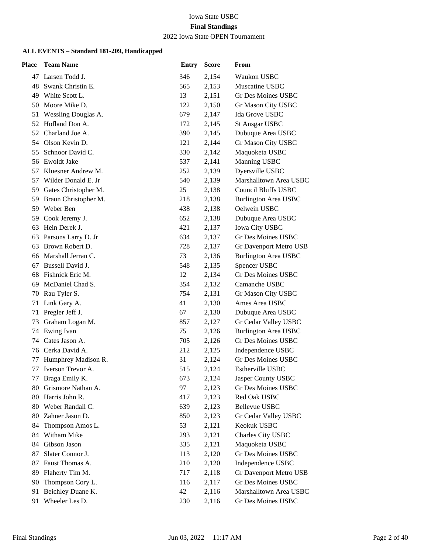### 2022 Iowa State OPEN Tournament

| <b>Place</b> | <b>Team Name</b>                      | <b>Entry</b> | <b>Score</b> | From                                         |
|--------------|---------------------------------------|--------------|--------------|----------------------------------------------|
|              | 47 Larsen Todd J.                     | 346          | 2,154        | Waukon USBC                                  |
| 48           | Swank Christin E.                     | 565          | 2,153        | Muscatine USBC                               |
| 49           | White Scott L.                        | 13           | 2,151        | Gr Des Moines USBC                           |
|              | 50 Moore Mike D.                      | 122          | 2,150        | Gr Mason City USBC                           |
| 51           | Wessling Douglas A.                   | 679          | 2,147        | Ida Grove USBC                               |
| 52           | Hofland Don A.                        | 172          | 2,145        | <b>St Ansgar USBC</b>                        |
| 52           | Charland Joe A.                       | 390          | 2,145        | Dubuque Area USBC                            |
|              | 54 Olson Kevin D.                     | 121          | 2,144        | Gr Mason City USBC                           |
| 55           | Schnoor David C.                      | 330          | 2,142        | Maquoketa USBC                               |
|              | 56 Ewoldt Jake                        | 537          | 2,141        | Manning USBC                                 |
| 57           | Kluesner Andrew M.                    | 252          | 2,139        | Dyersville USBC                              |
| 57           | Wilder Donald E. Jr                   | 540          | 2,139        | Marshalltown Area USBC                       |
| 59           | Gates Christopher M.                  | 25           | 2,138        | <b>Council Bluffs USBC</b>                   |
| 59           | Braun Christopher M.                  | 218          | 2,138        | <b>Burlington Area USBC</b>                  |
| 59           | Weber Ben                             | 438          | 2,138        | Oelwein USBC                                 |
|              | 59 Cook Jeremy J.                     | 652          | 2,138        | Dubuque Area USBC                            |
| 63           | Hein Derek J.                         | 421          | 2,137        | Iowa City USBC                               |
| 63           | Parsons Larry D. Jr                   | 634          | 2,137        | <b>Gr Des Moines USBC</b>                    |
| 63           | Brown Robert D.                       | 728          | 2,137        | Gr Davenport Metro USB                       |
|              | 66 Marshall Jerran C.                 | 73           | 2,136        | <b>Burlington Area USBC</b>                  |
| 67           | Bussell David J.                      | 548          | 2,135        | Spencer USBC                                 |
| 68           | Fishnick Eric M.                      | 12           | 2,134        | Gr Des Moines USBC                           |
| 69           | McDaniel Chad S.                      | 354          | 2,132        | Camanche USBC                                |
|              | 70 Rau Tyler S.                       | 754          | 2,131        | Gr Mason City USBC                           |
| 71           | Link Gary A.                          | 41           | 2,130        | Ames Area USBC                               |
| 71           | Pregler Jeff J.                       | 67           | 2,130        | Dubuque Area USBC                            |
| 73           | Graham Logan M.                       | 857          | 2,127        | Gr Cedar Valley USBC                         |
| 74           | Ewing Ivan                            | 75           | 2,126        | <b>Burlington Area USBC</b>                  |
| 74           | Cates Jason A.                        | 705          | 2,126        | <b>Gr Des Moines USBC</b>                    |
| 76           | Cerka David A.                        | 212          | 2,125        | Independence USBC                            |
| 77           | Humphrey Madison R.                   | 31           | 2,124        | Gr Des Moines USBC                           |
| 77           | Iverson Trevor A.                     | 515          | 2,124        | Estherville USBC                             |
|              | 77 Braga Emily K.                     | 673          | 2,124        | Jasper County USBC                           |
| 80           | Grismore Nathan A.                    | 97           | 2,123        | Gr Des Moines USBC                           |
| 80           | Harris John R.                        | 417          | 2,123        | Red Oak USBC                                 |
| 80           | Weber Randall C.                      | 639          | 2,123        | <b>Bellevue USBC</b>                         |
| 80           | Zahner Jason D.                       | 850          | 2,123        | Gr Cedar Valley USBC                         |
| 84           | Thompson Amos L.                      | 53           | 2,121        | Keokuk USBC                                  |
| 84           | Witham Mike                           | 293          | 2,121        | Charles City USBC                            |
| 84           | Gibson Jason                          | 335          | 2,121        | Maquoketa USBC                               |
| 87           | Slater Connor J.                      | 113          | 2,120        | Gr Des Moines USBC                           |
| 87           | Faust Thomas A.                       | 210          | 2,120        | Independence USBC                            |
| 89           | Flaherty Tim M.                       | 717          | 2,118        | Gr Davenport Metro USB<br>Gr Des Moines USBC |
| 90<br>91     | Thompson Cory L.<br>Beichley Duane K. | 116<br>42    | 2,117        | Marshalltown Area USBC                       |
| 91           | Wheeler Les D.                        | 230          | 2,116        | Gr Des Moines USBC                           |
|              |                                       |              | 2,116        |                                              |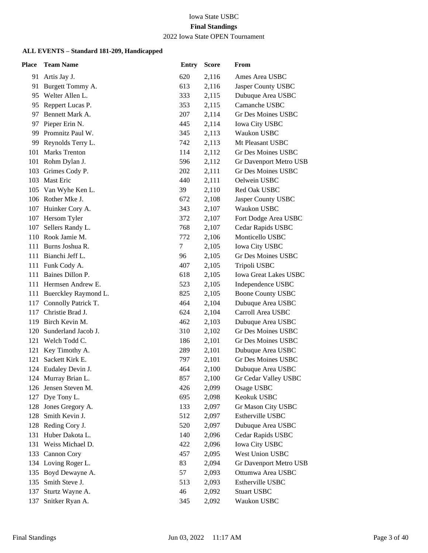# Iowa State USBC

# **Final Standings**

### 2022 Iowa State OPEN Tournament

| <b>Place</b> | <b>Team Name</b>         | <b>Entry</b> | <b>Score</b> | From                         |
|--------------|--------------------------|--------------|--------------|------------------------------|
|              | 91 Artis Jay J.          | 620          | 2,116        | Ames Area USBC               |
| 91           | Burgett Tommy A.         | 613          | 2,116        | Jasper County USBC           |
| 95           | Welter Allen L.          | 333          | 2,115        | Dubuque Area USBC            |
|              | 95 Reppert Lucas P.      | 353          | 2,115        | Camanche USBC                |
| 97           | Bennett Mark A.          | 207          | 2,114        | <b>Gr Des Moines USBC</b>    |
| 97           | Pieper Erin N.           | 445          | 2,114        | <b>Iowa City USBC</b>        |
| 99           | Promnitz Paul W.         | 345          | 2,113        | Waukon USBC                  |
|              | 99 Reynolds Terry L.     | 742          | 2,113        | Mt Pleasant USBC             |
| 101          | <b>Marks Trenton</b>     | 114          | 2,112        | Gr Des Moines USBC           |
|              | 101 Rohm Dylan J.        | 596          | 2,112        | Gr Davenport Metro USB       |
|              | 103 Grimes Cody P.       | 202          | 2,111        | <b>Gr Des Moines USBC</b>    |
|              | 103 Mast Eric            | 440          | 2,111        | Oelwein USBC                 |
|              | 105 Van Wyhe Ken L.      | 39           | 2,110        | Red Oak USBC                 |
|              | 106 Rother Mke J.        | 672          | 2,108        | Jasper County USBC           |
|              | 107 Huinker Cory A.      | 343          | 2,107        | Waukon USBC                  |
|              | 107 Hersom Tyler         | 372          | 2,107        | Fort Dodge Area USBC         |
| 107          | Sellers Randy L.         | 768          | 2,107        | Cedar Rapids USBC            |
|              | 110 Rook Jamie M.        | 772          | 2,106        | Monticello USBC              |
|              | 111 Burns Joshua R.      | 7            | 2,105        | <b>Iowa City USBC</b>        |
|              | 111 Bianchi Jeff L.      | 96           | 2,105        | Gr Des Moines USBC           |
| 111          | Funk Cody A.             | 407          | 2,105        | Tripoli USBC                 |
| 111          | Baines Dillon P.         | 618          | 2,105        | <b>Iowa Great Lakes USBC</b> |
|              | 111 Hermsen Andrew E.    | 523          | 2,105        | Independence USBC            |
|              | 111 Buerckley Raymond L. | 825          | 2,105        | <b>Boone County USBC</b>     |
| 117          | Connolly Patrick T.      | 464          | 2,104        | Dubuque Area USBC            |
| 117          | Christie Brad J.         | 624          | 2,104        | Carroll Area USBC            |
| 119          | Birch Kevin M.           | 462          | 2,103        | Dubuque Area USBC            |
| 120          | Sunderland Jacob J.      | 310          | 2,102        | Gr Des Moines USBC           |
| 121          | Welch Todd C.            | 186          | 2,101        | Gr Des Moines USBC           |
| 121          | Key Timothy A.           | 289          | 2,101        | Dubuque Area USBC            |
| 121          | Sackett Kirk E.          | 797          | 2,101        | <b>Gr Des Moines USBC</b>    |
|              | 124 Eudaley Devin J.     | 464          | 2,100        | Dubuque Area USBC            |
|              | 124 Murray Brian L.      | 857          | 2,100        | Gr Cedar Valley USBC         |
| 126          | Jensen Steven M.         | 426          | 2,099        | Osage USBC                   |
| 127          | Dye Tony L.              | 695          | 2,098        | Keokuk USBC                  |
| 128          | Jones Gregory A.         | 133          | 2,097        | Gr Mason City USBC           |
| 128          | Smith Kevin J.           | 512          | 2,097        | Estherville USBC             |
| 128          | Reding Cory J.           | 520          | 2,097        | Dubuque Area USBC            |
| 131          | Huber Dakota L.          | 140          | 2,096        | Cedar Rapids USBC            |
| 131          | Weiss Michael D.         | 422          | 2,096        | <b>Iowa City USBC</b>        |
| 133          | Cannon Cory              | 457          | 2,095        | West Union USBC              |
| 134          | Loving Roger L.          | 83           | 2,094        | Gr Davenport Metro USB       |
| 135          | Boyd Dewayne A.          | 57           | 2,093        | Ottumwa Area USBC            |
| 135          | Smith Steve J.           | 513          | 2,093        | Estherville USBC             |
| 137          | Sturtz Wayne A.          | 46           | 2,092        | <b>Stuart USBC</b>           |
| 137          | Snitker Ryan A.          | 345          | 2,092        | Waukon USBC                  |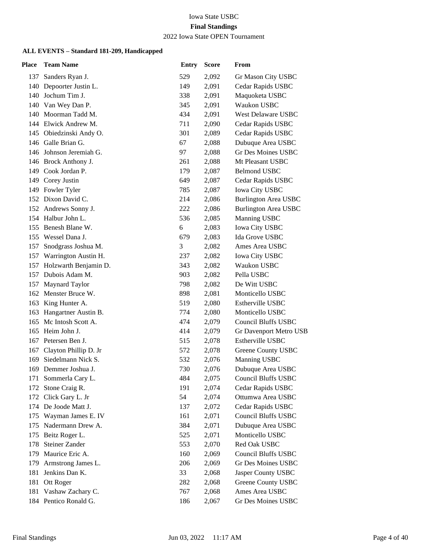### 2022 Iowa State OPEN Tournament

| <b>Place</b> | <b>Team Name</b>         | <b>Entry</b> | <b>Score</b> | From                        |
|--------------|--------------------------|--------------|--------------|-----------------------------|
|              | 137 Sanders Ryan J.      | 529          | 2,092        | Gr Mason City USBC          |
|              | 140 Depoorter Justin L.  | 149          | 2,091        | Cedar Rapids USBC           |
|              | 140 Jochum Tim J.        | 338          | 2,091        | Maquoketa USBC              |
|              | 140 Van Wey Dan P.       | 345          | 2,091        | Waukon USBC                 |
|              | 140 Moorman Tadd M.      | 434          | 2,091        | West Delaware USBC          |
|              | 144 Elwick Andrew M.     | 711          | 2,090        | Cedar Rapids USBC           |
|              | 145 Obiedzinski Andy O.  | 301          | 2,089        | Cedar Rapids USBC           |
|              | 146 Galle Brian G.       | 67           | 2,088        | Dubuque Area USBC           |
|              | 146 Johnson Jeremiah G.  | 97           | 2,088        | Gr Des Moines USBC          |
|              | 146 Brock Anthony J.     | 261          | 2,088        | Mt Pleasant USBC            |
|              | 149 Cook Jordan P.       | 179          | 2,087        | <b>Belmond USBC</b>         |
|              | 149 Corey Justin         | 649          | 2,087        | Cedar Rapids USBC           |
|              | 149 Fowler Tyler         | 785          | 2,087        | Iowa City USBC              |
|              | 152 Dixon David C.       | 214          | 2,086        | <b>Burlington Area USBC</b> |
|              | 152 Andrews Sonny J.     | 222          | 2,086        | <b>Burlington Area USBC</b> |
|              | 154 Halbur John L.       | 536          | 2,085        | Manning USBC                |
| 155          | Benesh Blane W.          | 6            | 2,083        | Iowa City USBC              |
|              | 155 Wessel Dana J.       | 679          | 2,083        | Ida Grove USBC              |
| 157          | Snodgrass Joshua M.      | 3            | 2,082        | Ames Area USBC              |
|              | 157 Warrington Austin H. | 237          | 2,082        | <b>Iowa City USBC</b>       |
| 157          | Holzwarth Benjamin D.    | 343          | 2,082        | Waukon USBC                 |
| 157          | Dubois Adam M.           | 903          | 2,082        | Pella USBC                  |
| 157          | Maynard Taylor           | 798          | 2,082        | De Witt USBC                |
|              | 162 Menster Bruce W.     | 898          | 2,081        | Monticello USBC             |
|              | 163 King Hunter A.       | 519          | 2,080        | Estherville USBC            |
| 163          | Hangartner Austin B.     | 774          | 2,080        | Monticello USBC             |
| 165          | Mc Intosh Scott A.       | 474          | 2,079        | <b>Council Bluffs USBC</b>  |
|              | 165 Heim John J.         | 414          | 2,079        | Gr Davenport Metro USB      |
|              | 167 Petersen Ben J.      | 515          | 2,078        | Estherville USBC            |
| 167          | Clayton Phillip D. Jr    | 572          | 2,078        | Greene County USBC          |
| 169          | Siedelmann Nick S.       | 532          | 2,076        | Manning USBC                |
|              | 169 Demmer Joshua J.     | 730          | 2,076        | Dubuque Area USBC           |
|              | 171 Sommerla Cary L.     | 484          | 2,075        | <b>Council Bluffs USBC</b>  |
| 172          | Stone Craig R.           | 191          | 2,074        | Cedar Rapids USBC           |
| 172          | Click Gary L. Jr         | 54           | 2,074        | Ottumwa Area USBC           |
|              | 174 De Joode Matt J.     | 137          | 2,072        | Cedar Rapids USBC           |
| 175          | Wayman James E. IV       | 161          | 2,071        | Council Bluffs USBC         |
| 175          | Nadermann Drew A.        | 384          | 2,071        | Dubuque Area USBC           |
| 175          | Beitz Roger L.           | 525          | 2,071        | Monticello USBC             |
| 178          | Steiner Zander           | 553          | 2,070        | Red Oak USBC                |
| 179          | Maurice Eric A.          | 160          | 2,069        | <b>Council Bluffs USBC</b>  |
| 179          | Armstrong James L.       | 206          | 2,069        | <b>Gr Des Moines USBC</b>   |
| 181          | Jenkins Dan K.           | 33           | 2,068        | Jasper County USBC          |
|              | 181 Ott Roger            | 282          | 2,068        | Greene County USBC          |
|              | 181 Vashaw Zachary C.    | 767          | 2,068        | Ames Area USBC              |
|              | 184 Pentico Ronald G.    | 186          | 2,067        | Gr Des Moines USBC          |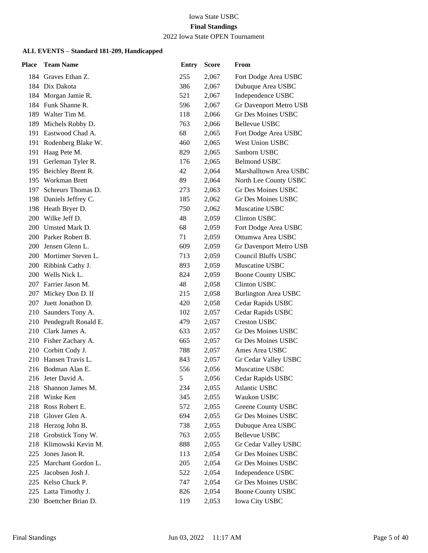### 2022 Iowa State OPEN Tournament

| <b>Place</b> | <b>Team Name</b>         | <b>Entry</b> | <b>Score</b> | From                          |
|--------------|--------------------------|--------------|--------------|-------------------------------|
|              | 184 Graves Ethan Z.      | 255          | 2,067        | Fort Dodge Area USBC          |
|              | 184 Dix Dakota           | 386          | 2,067        | Dubuque Area USBC             |
|              | 184 Morgan Jamie R.      | 521          | 2,067        | Independence USBC             |
|              | 184 Funk Shanne R.       | 596          | 2,067        | <b>Gr Davenport Metro USB</b> |
|              | 189 Walter Tim M.        | 118          | 2,066        | <b>Gr Des Moines USBC</b>     |
| 189          | Michels Robby D.         | 763          | 2,066        | Bellevue USBC                 |
|              | 191 Eastwood Chad A.     | 68           | 2,065        | Fort Dodge Area USBC          |
|              | 191 Rodenberg Blake W.   | 460          | 2,065        | West Union USBC               |
|              | 191 Haag Pete M.         | 829          | 2,065        | Sanborn USBC                  |
| 191          | Gerleman Tyler R.        | 176          | 2,065        | <b>Belmond USBC</b>           |
|              | 195 Beichley Brent R.    | 42           | 2,064        | Marshalltown Area USBC        |
|              | 195 Workman Brett        | 89           | 2,064        | North Lee County USBC         |
| 197          | Schreurs Thomas D.       | 273          | 2,063        | <b>Gr Des Moines USBC</b>     |
|              | 198 Daniels Jeffrey C.   | 185          | 2,062        | Gr Des Moines USBC            |
|              | 198 Heath Bryer D.       | 750          | 2,062        | Muscatine USBC                |
|              | 200 Wilke Jeff D.        | 48           | 2,059        | <b>Clinton USBC</b>           |
|              | 200 Umsted Mark D.       | 68           | 2,059        | Fort Dodge Area USBC          |
|              | 200 Parker Robert B.     | 71           | 2,059        | Ottumwa Area USBC             |
| 200          | Jensen Glenn L.          | 609          | 2,059        | Gr Davenport Metro USB        |
|              | 200 Mortimer Steven L.   | 713          | 2,059        | <b>Council Bluffs USBC</b>    |
|              | 200 Ribbink Cathy J.     | 893          | 2,059        | Muscatine USBC                |
|              | 200 Wells Nick L.        | 824          | 2,059        | <b>Boone County USBC</b>      |
|              | 207 Farrier Jason M.     | 48           | 2,058        | <b>Clinton USBC</b>           |
|              | 207 Mickey Don D. II     | 215          | 2,058        | <b>Burlington Area USBC</b>   |
| 207          | Juett Jonathon D.        | 420          | 2,058        | Cedar Rapids USBC             |
|              | 210 Saunders Tony A.     | 102          | 2,057        | Cedar Rapids USBC             |
|              | 210 Pendegraft Ronald E. | 479          | 2,057        | <b>Creston USBC</b>           |
|              | 210 Clark James A.       | 633          | 2,057        | Gr Des Moines USBC            |
|              | 210 Fisher Zachary A.    | 665          | 2,057        | Gr Des Moines USBC            |
|              | 210 Corbitt Cody J.      | 788          | 2,057        | Ames Area USBC                |
|              | 210 Hansen Travis L.     | 843          | 2,057        | Gr Cedar Valley USBC          |
|              | 216 Bodman Alan E.       | 556          | 2,056        | <b>Muscatine USBC</b>         |
|              | 216 Jeter David A.       | 5            | 2,056        | Cedar Rapids USBC             |
| 218          | Shannon James M.         | 234          | 2,055        | <b>Atlantic USBC</b>          |
|              | 218 Winke Ken            | 345          | 2,055        | Waukon USBC                   |
|              | 218 Ross Robert E.       | 572          | 2,055        | <b>Greene County USBC</b>     |
|              | 218 Glover Glen A.       | 694          | 2,055        | Gr Des Moines USBC            |
|              | 218 Herzog John B.       | 738          | 2,055        | Dubuque Area USBC             |
| 218          | Grobstick Tony W.        | 763          | 2,055        | <b>Bellevue USBC</b>          |
|              | 218 Klimowski Kevin M.   | 888          | 2,055        | Gr Cedar Valley USBC          |
| 225          | Jones Jason R.           | 113          | 2,054        | Gr Des Moines USBC            |
| 225          | Marchant Gordon L.       | 205          | 2,054        | <b>Gr Des Moines USBC</b>     |
| 225          | Jacobsen Josh J.         | 522          | 2,054        | Independence USBC             |
|              | 225 Kelso Chuck P.       | 747          | 2,054        | <b>Gr Des Moines USBC</b>     |
|              | 225 Latta Timothy J.     | 826          | 2,054        | <b>Boone County USBC</b>      |
|              | 230 Boettcher Brian D.   | 119          | 2,053        | Iowa City USBC                |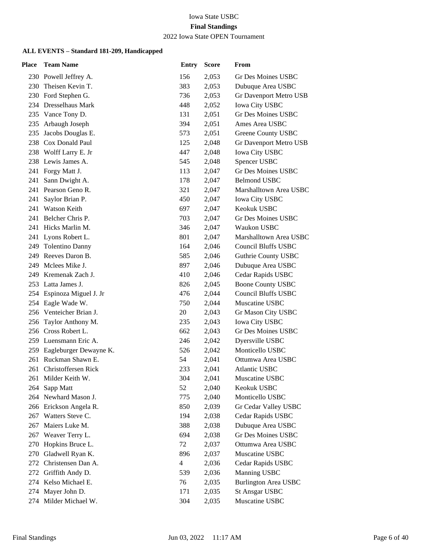### 2022 Iowa State OPEN Tournament

| <b>Place</b> | <b>Team Name</b>                       | <b>Entry</b>          | <b>Score</b>   | From                                           |
|--------------|----------------------------------------|-----------------------|----------------|------------------------------------------------|
|              | 230 Powell Jeffrey A.                  | 156                   | 2,053          | Gr Des Moines USBC                             |
|              | 230 Theisen Kevin T.                   | 383                   | 2,053          | Dubuque Area USBC                              |
|              | 230 Ford Stephen G.                    | 736                   | 2,053          | Gr Davenport Metro USB                         |
|              | 234 Dresselhaus Mark                   | 448                   | 2,052          | <b>Iowa City USBC</b>                          |
|              | 235 Vance Tony D.                      | 131                   | 2,051          | Gr Des Moines USBC                             |
| 235          | Arbaugh Joseph                         | 394                   | 2,051          | Ames Area USBC                                 |
| 235          | Jacobs Douglas E.                      | 573                   | 2,051          | <b>Greene County USBC</b>                      |
|              | 238 Cox Donald Paul                    | 125                   | 2,048          | Gr Davenport Metro USB                         |
|              | 238 Wolff Larry E. Jr                  | 447                   | 2,048          | <b>Iowa City USBC</b>                          |
|              | 238 Lewis James A.                     | 545                   | 2,048          | Spencer USBC                                   |
|              | 241 Forgy Matt J.                      | 113                   | 2,047          | Gr Des Moines USBC                             |
|              | 241 Sann Dwight A.                     | 178                   | 2,047          | <b>Belmond USBC</b>                            |
|              | 241 Pearson Geno R.                    | 321                   | 2,047          | Marshalltown Area USBC                         |
| 241          | Saylor Brian P.                        | 450                   | 2,047          | Iowa City USBC                                 |
|              | 241 Watson Keith                       | 697                   | 2,047          | Keokuk USBC                                    |
|              | 241 Belcher Chris P.                   | 703                   | 2,047          | Gr Des Moines USBC                             |
|              | 241 Hicks Marlin M.                    | 346                   | 2,047          | Waukon USBC                                    |
| 241          | Lyons Robert L.                        | 801                   | 2,047          | Marshalltown Area USBC                         |
|              | 249 Tolentino Danny                    | 164                   | 2,046          | <b>Council Bluffs USBC</b>                     |
|              | 249 Reeves Daron B.                    | 585                   | 2,046          | Guthrie County USBC                            |
|              | 249 Mclees Mike J.                     | 897                   | 2,046          | Dubuque Area USBC                              |
|              | 249 Kremenak Zach J.                   | 410                   | 2,046          | Cedar Rapids USBC                              |
|              | 253 Latta James J.                     | 826                   | 2,045          | <b>Boone County USBC</b>                       |
|              | 254 Espinoza Miguel J. Jr              | 476                   | 2,044          | <b>Council Bluffs USBC</b>                     |
|              | 254 Eagle Wade W.                      | 750                   | 2,044          | Muscatine USBC                                 |
|              | 256 Venteicher Brian J.                | 20                    | 2,043          | Gr Mason City USBC                             |
| 256          | Taylor Anthony M.                      | 235                   | 2,043          | Iowa City USBC                                 |
|              | 256 Cross Robert L.                    | 662                   | 2,043          | Gr Des Moines USBC                             |
|              | 259 Luensmann Eric A.                  | 246                   | 2,042          | Dyersville USBC                                |
| 259          | Eagleburger Dewayne K.                 | 526                   | 2,042          | Monticello USBC                                |
| 261          | Ruckman Shawn E.                       | 54                    | 2,041          | Ottumwa Area USBC                              |
|              | 261 Christoffersen Rick                | 233                   | 2,041          | Atlantic USBC                                  |
| 261          | Milder Keith W.                        | 304                   | 2,041          | Muscatine USBC                                 |
| 264          | Sapp Matt                              | 52                    | 2,040          | Keokuk USBC                                    |
|              | 264 Newhard Mason J.                   | 775                   | 2,040          | Monticello USBC                                |
|              | 266 Erickson Angela R.                 | 850                   | 2,039          | Gr Cedar Valley USBC                           |
|              | 267 Watters Steve C.                   | 194                   | 2,038          | Cedar Rapids USBC                              |
| 267          | Maiers Luke M.                         | 388                   | 2,038          | Dubuque Area USBC<br><b>Gr Des Moines USBC</b> |
| 267          | Weaver Terry L.                        | 694                   | 2,038          | Ottumwa Area USBC                              |
| 270          | Hopkins Bruce L.                       | 72                    | 2,037          | Muscatine USBC                                 |
| 270          | Gladwell Ryan K.                       | 896                   | 2,037          | Cedar Rapids USBC                              |
| 272          | Christensen Dan A.<br>Griffith Andy D. | $\overline{4}$<br>539 | 2,036<br>2,036 | Manning USBC                                   |
| 272          | 274 Kelso Michael E.                   | 76                    | 2,035          | <b>Burlington Area USBC</b>                    |
| 274          | Mayer John D.                          | 171                   | 2,035          | <b>St Ansgar USBC</b>                          |
| 274          | Milder Michael W.                      | 304                   | 2,035          | Muscatine USBC                                 |
|              |                                        |                       |                |                                                |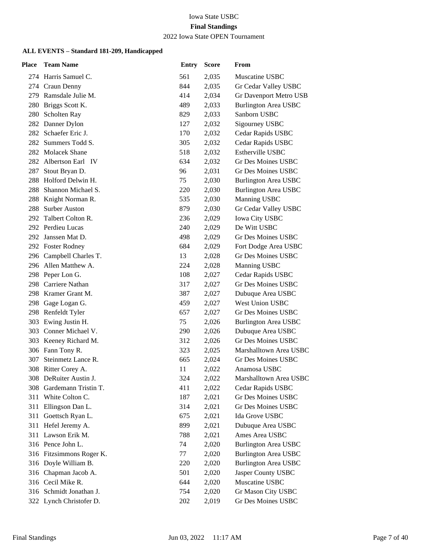### 2022 Iowa State OPEN Tournament

| <b>Place</b> | <b>Team Name</b>         | <b>Entry</b> | <b>Score</b> | From                        |
|--------------|--------------------------|--------------|--------------|-----------------------------|
|              | 274 Harris Samuel C.     | 561          | 2,035        | Muscatine USBC              |
|              | 274 Craun Denny          | 844          | 2,035        | Gr Cedar Valley USBC        |
| 279.         | Ramsdale Julie M.        | 414          | 2,034        | Gr Davenport Metro USB      |
|              | 280 Briggs Scott K.      | 489          | 2,033        | <b>Burlington Area USBC</b> |
| 280          | Scholten Ray             | 829          | 2,033        | Sanborn USBC                |
| 282          | Danner Dylon             | 127          | 2,032        | Sigourney USBC              |
| 282          | Schaefer Eric J.         | 170          | 2,032        | Cedar Rapids USBC           |
|              | 282 Summers Todd S.      | 305          | 2,032        | Cedar Rapids USBC           |
|              | 282 Molacek Shane        | 518          | 2,032        | Estherville USBC            |
|              | 282 Albertson Earl IV    | 634          | 2,032        | <b>Gr Des Moines USBC</b>   |
| 287          | Stout Bryan D.           | 96           | 2,031        | Gr Des Moines USBC          |
|              | 288 Holford Delwin H.    | 75           | 2,030        | <b>Burlington Area USBC</b> |
| 288          | Shannon Michael S.       | 220          | 2,030        | <b>Burlington Area USBC</b> |
| 288          | Knight Norman R.         | 535          | 2,030        | Manning USBC                |
| 288          | <b>Surber Auston</b>     | 879          | 2,030        | Gr Cedar Valley USBC        |
| 292          | Talbert Colton R.        | 236          | 2,029        | <b>Iowa City USBC</b>       |
|              | 292 Perdieu Lucas        | 240          | 2,029        | De Witt USBC                |
| 292          | Janssen Mat D.           | 498          | 2,029        | Gr Des Moines USBC          |
|              | 292 Foster Rodney        | 684          | 2,029        | Fort Dodge Area USBC        |
|              | 296 Campbell Charles T.  | 13           | 2,028        | Gr Des Moines USBC          |
|              | 296 Allen Matthew A.     | 224          | 2,028        | Manning USBC                |
|              | 298 Peper Lon G.         | 108          | 2,027        | Cedar Rapids USBC           |
|              | 298 Carriere Nathan      | 317          | 2,027        | <b>Gr Des Moines USBC</b>   |
|              | 298 Kramer Grant M.      | 387          | 2,027        | Dubuque Area USBC           |
|              | 298 Gage Logan G.        | 459          | 2,027        | <b>West Union USBC</b>      |
|              | 298 Renfeldt Tyler       | 657          | 2,027        | Gr Des Moines USBC          |
| 303          | Ewing Justin H.          | 75           | 2,026        | <b>Burlington Area USBC</b> |
|              | 303 Conner Michael V.    | 290          | 2,026        | Dubuque Area USBC           |
|              | 303 Keeney Richard M.    | 312          | 2,026        | <b>Gr Des Moines USBC</b>   |
|              | 306 Fann Tony R.         | 323          | 2,025        | Marshalltown Area USBC      |
| 307          | Steinmetz Lance R.       | 665          | 2,024        | Gr Des Moines USBC          |
| 308          | Ritter Corey A.          | 11           | 2,022        | Anamosa USBC                |
|              | 308 DeRuiter Austin J.   | 324          | 2,022        | Marshalltown Area USBC      |
| 308          | Gardemann Tristin T.     | 411          | 2,022        | Cedar Rapids USBC           |
| 311          | White Colton C.          | 187          | 2,021        | Gr Des Moines USBC          |
|              | 311 Ellingson Dan L.     | 314          | 2,021        | Gr Des Moines USBC          |
|              | 311 Goettsch Ryan L.     | 675          | 2,021        | Ida Grove USBC              |
|              | 311 Hefel Jeremy A.      | 899          | 2,021        | Dubuque Area USBC           |
| 311          | Lawson Erik M.           | 788          | 2,021        | Ames Area USBC              |
|              | 316 Pence John L.        | 74           | 2,020        | <b>Burlington Area USBC</b> |
|              | 316 Fitzsimmons Roger K. | 77           | 2,020        | <b>Burlington Area USBC</b> |
|              | 316 Doyle William B.     | 220          | 2,020        | <b>Burlington Area USBC</b> |
|              | 316 Chapman Jacob A.     | 501          | 2,020        | Jasper County USBC          |
|              | 316 Cecil Mike R.        | 644          | 2,020        | Muscatine USBC              |
|              | 316 Schmidt Jonathan J.  | 754          | 2,020        | Gr Mason City USBC          |
|              | 322 Lynch Christofer D.  | 202          | 2,019        | Gr Des Moines USBC          |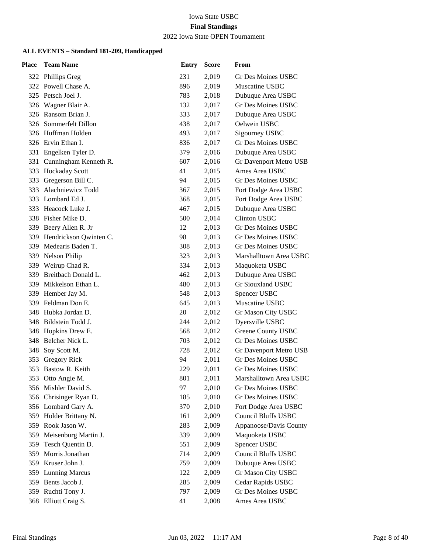### 2022 Iowa State OPEN Tournament

| <b>Place</b> | <b>Team Name</b>                        | <b>Entry</b> | <b>Score</b>   | From                                               |
|--------------|-----------------------------------------|--------------|----------------|----------------------------------------------------|
|              | 322 Phillips Greg                       | 231          | 2,019          | Gr Des Moines USBC                                 |
|              | 322 Powell Chase A.                     | 896          | 2,019          | Muscatine USBC                                     |
|              | 325 Petsch Joel J.                      | 783          | 2,018          | Dubuque Area USBC                                  |
|              | 326 Wagner Blair A.                     | 132          | 2,017          | Gr Des Moines USBC                                 |
|              | 326 Ransom Brian J.                     | 333          | 2,017          | Dubuque Area USBC                                  |
|              | 326 Sommerfelt Dillon                   | 438          | 2,017          | Oelwein USBC                                       |
|              | 326 Huffman Holden                      | 493          | 2,017          | Sigourney USBC                                     |
|              | 326 Ervin Ethan I.                      | 836          | 2,017          | Gr Des Moines USBC                                 |
|              | 331 Engelken Tyler D.                   | 379          | 2,016          | Dubuque Area USBC                                  |
|              | 331 Cunningham Kenneth R.               | 607          | 2,016          | Gr Davenport Metro USB                             |
| 333          | Hockaday Scott                          | 41           | 2,015          | Ames Area USBC                                     |
|              | 333 Gregerson Bill C.                   | 94           | 2,015          | Gr Des Moines USBC                                 |
| 333          | Alachniewicz Todd                       | 367          | 2,015          | Fort Dodge Area USBC                               |
|              | 333 Lombard Ed J.                       | 368          | 2,015          | Fort Dodge Area USBC                               |
|              | 333 Heacock Luke J.                     | 467          | 2,015          | Dubuque Area USBC                                  |
|              | 338 Fisher Mike D.                      | 500          | 2,014          | <b>Clinton USBC</b>                                |
|              | 339 Beery Allen R. Jr                   | 12           | 2,013          | Gr Des Moines USBC                                 |
|              | 339 Hendrickson Qwinten C.              | 98           | 2,013          | <b>Gr Des Moines USBC</b>                          |
| 339          | Medearis Baden T.                       | 308          | 2,013          | Gr Des Moines USBC                                 |
|              | 339 Nelson Philip                       | 323          | 2,013          | Marshalltown Area USBC                             |
|              | 339 Weirup Chad R.                      | 334          | 2,013          | Maquoketa USBC                                     |
| 339          | Breitbach Donald L.                     | 462          | 2,013          | Dubuque Area USBC                                  |
| 339          | Mikkelson Ethan L.                      | 480          | 2,013          | Gr Siouxland USBC                                  |
|              | 339 Hember Jay M.                       | 548          | 2,013          | Spencer USBC                                       |
|              | 339 Feldman Don E.                      | 645          | 2,013          | Muscatine USBC                                     |
| 348          | Hubka Jordan D.                         | 20           | 2,012          | Gr Mason City USBC                                 |
| 348          | Bildstein Todd J.                       | 244          | 2,012          | Dyersville USBC                                    |
|              | 348 Hopkins Drew E.                     | 568          | 2,012          | Greene County USBC                                 |
|              | 348 Belcher Nick L.                     | 703          | 2,012          | Gr Des Moines USBC                                 |
| 348          | Soy Scott M.                            | 728          | 2,012          | Gr Davenport Metro USB                             |
| 353          | Gregory Rick                            | 94           | 2,011          | Gr Des Moines USBC                                 |
| 353          | Bastow R. Keith                         | 229          | 2,011          | <b>Gr Des Moines USBC</b>                          |
|              | 353 Otto Angie M.                       | 801          | 2,011          | Marshalltown Area USBC                             |
| 356          | Mishler David S.                        | 97           | 2,010          | Gr Des Moines USBC                                 |
|              | 356 Chrisinger Ryan D.                  | 185          | 2,010          | Gr Des Moines USBC                                 |
|              | 356 Lombard Gary A.                     | 370          | 2,010          | Fort Dodge Area USBC<br><b>Council Bluffs USBC</b> |
| 359          | 359 Holder Brittany N.<br>Rook Jason W. | 161<br>283   | 2,009          |                                                    |
|              | Meisenburg Martin J.                    | 339          | 2,009<br>2,009 | Appanoose/Davis County<br>Maquoketa USBC           |
| 359<br>359   | Tesch Quentin D.                        | 551          | 2,009          | Spencer USBC                                       |
| 359          | Morris Jonathan                         | 714          | 2,009          | Council Bluffs USBC                                |
| 359          | Kruser John J.                          | 759          | 2,009          | Dubuque Area USBC                                  |
| 359          | <b>Lunning Marcus</b>                   | 122          | 2,009          | Gr Mason City USBC                                 |
|              | 359 Bents Jacob J.                      | 285          | 2,009          | Cedar Rapids USBC                                  |
| 359          | Ruchti Tony J.                          | 797          | 2,009          | Gr Des Moines USBC                                 |
| 368          | Elliott Craig S.                        | 41           | 2,008          | Ames Area USBC                                     |
|              |                                         |              |                |                                                    |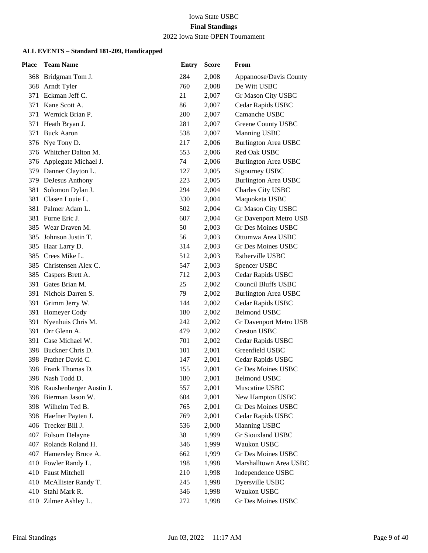### 2022 Iowa State OPEN Tournament

| <b>Place</b> | <b>Team Name</b>         | <b>Entry</b> | <b>Score</b> | From                        |
|--------------|--------------------------|--------------|--------------|-----------------------------|
|              | 368 Bridgman Tom J.      | 284          | 2,008        | Appanoose/Davis County      |
|              | 368 Arndt Tyler          | 760          | 2,008        | De Witt USBC                |
|              | 371 Eckman Jeff C.       | 21           | 2,007        | Gr Mason City USBC          |
|              | 371 Kane Scott A.        | 86           | 2,007        | Cedar Rapids USBC           |
|              | 371 Wernick Brian P.     | 200          | 2,007        | Camanche USBC               |
|              | 371 Heath Bryan J.       | 281          | 2,007        | Greene County USBC          |
| 371          | <b>Buck Aaron</b>        | 538          | 2,007        | Manning USBC                |
|              | 376 Nye Tony D.          | 217          | 2,006        | <b>Burlington Area USBC</b> |
|              | 376 Whitcher Dalton M.   | 553          | 2,006        | Red Oak USBC                |
|              | 376 Applegate Michael J. | 74           | 2,006        | Burlington Area USBC        |
|              | 379 Danner Clayton L.    | 127          | 2,005        | Sigourney USBC              |
|              | 379 DeJesus Anthony      | 223          | 2,005        | <b>Burlington Area USBC</b> |
| 381          | Solomon Dylan J.         | 294          | 2,004        | Charles City USBC           |
| 381          | Clasen Louie L.          | 330          | 2,004        | Maquoketa USBC              |
|              | 381 Palmer Adam L.       | 502          | 2,004        | Gr Mason City USBC          |
|              | 381 Furne Eric J.        | 607          | 2,004        | Gr Davenport Metro USB      |
|              | 385 Wear Draven M.       | 50           | 2,003        | Gr Des Moines USBC          |
|              | 385 Johnson Justin T.    | 56           | 2,003        | Ottumwa Area USBC           |
| 385          | Haar Larry D.            | 314          | 2,003        | <b>Gr Des Moines USBC</b>   |
|              | 385 Crees Mike L.        | 512          | 2,003        | <b>Estherville USBC</b>     |
|              | 385 Christensen Alex C.  | 547          | 2,003        | Spencer USBC                |
| 385          | Caspers Brett A.         | 712          | 2,003        | Cedar Rapids USBC           |
| 391          | Gates Brian M.           | 25           | 2,002        | <b>Council Bluffs USBC</b>  |
|              | 391 Nichols Darren S.    | 79           | 2,002        | <b>Burlington Area USBC</b> |
|              | 391 Grimm Jerry W.       | 144          | 2,002        | Cedar Rapids USBC           |
|              | 391 Homeyer Cody         | 180          | 2,002        | <b>Belmond USBC</b>         |
| 391          | Nyenhuis Chris M.        | 242          | 2,002        | Gr Davenport Metro USB      |
|              | 391 Orr Glenn A.         | 479          | 2,002        | <b>Creston USBC</b>         |
|              | 391 Case Michael W.      | 701          | 2,002        | Cedar Rapids USBC           |
|              | 398 Buckner Chris D.     | 101          | 2,001        | Greenfield USBC             |
|              | 398 Prather David C.     | 147          | 2,001        | Cedar Rapids USBC           |
|              | 398 Frank Thomas D.      | 155          | 2,001        | Gr Des Moines USBC          |
|              | 398 Nash Todd D.         | 180          | 2,001        | <b>Belmond USBC</b>         |
| 398          | Raushenberger Austin J.  | 557          | 2,001        | Muscatine USBC              |
| 398          | Bierman Jason W.         | 604          | 2,001        | New Hampton USBC            |
|              | 398 Wilhelm Ted B.       | 765          | 2,001        | Gr Des Moines USBC          |
|              | 398 Haefner Payten J.    | 769          | 2,001        | Cedar Rapids USBC           |
| 406          | Trecker Bill J.          | 536          | 2,000        | Manning USBC                |
| 407          | Folsom Delayne           | 38           | 1,999        | Gr Siouxland USBC           |
| 407          | Rolands Roland H.        | 346          | 1,999        | Waukon USBC                 |
| 407          | Hamersley Bruce A.       | 662          | 1,999        | Gr Des Moines USBC          |
|              | 410 Fowler Randy L.      | 198          | 1,998        | Marshalltown Area USBC      |
|              | 410 Faust Mitchell       | 210          | 1,998        | Independence USBC           |
|              | 410 McAllister Randy T.  | 245          | 1,998        | Dyersville USBC             |
| 410          | Stahl Mark R.            | 346          | 1,998        | Waukon USBC                 |
|              | 410 Zilmer Ashley L.     | 272          | 1,998        | Gr Des Moines USBC          |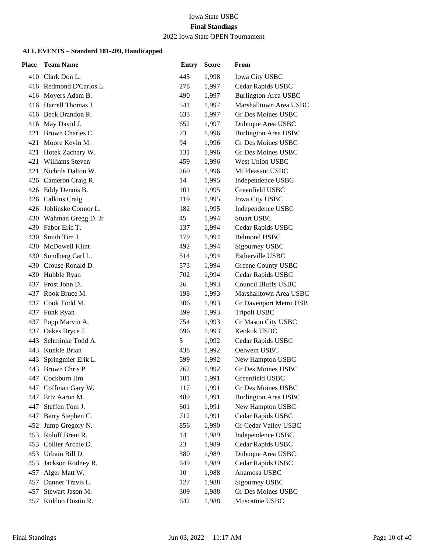### 2022 Iowa State OPEN Tournament

| Place | <b>Team Name</b>        | <b>Entry</b> | <b>Score</b> | From                        |
|-------|-------------------------|--------------|--------------|-----------------------------|
|       | 410 Clark Don L.        | 445          | 1,998        | <b>Iowa City USBC</b>       |
|       | 416 Redmond D'Carlos L. | 278          | 1,997        | Cedar Rapids USBC           |
|       | 416 Moyers Adam B.      | 490          | 1,997        | <b>Burlington Area USBC</b> |
|       | 416 Harrell Thomas J.   | 541          | 1,997        | Marshalltown Area USBC      |
|       | 416 Beck Brandon R.     | 633          | 1,997        | Gr Des Moines USBC          |
|       | 416 May David J.        | 652          | 1,997        | Dubuque Area USBC           |
|       | 421 Brown Charles C.    | 73           | 1,996        | <b>Burlington Area USBC</b> |
|       | 421 Moore Kevin M.      | 94           | 1,996        | <b>Gr Des Moines USBC</b>   |
|       | 421 Hotek Zachary W.    | 131          | 1,996        | Gr Des Moines USBC          |
|       | 421 Williams Steven     | 459          | 1,996        | <b>West Union USBC</b>      |
|       | 421 Nichols Dalton W.   | 260          | 1,996        | Mt Pleasant USBC            |
|       | 426 Cameron Craig R.    | 14           | 1,995        | Independence USBC           |
|       | 426 Eddy Dennis B.      | 101          | 1,995        | Greenfield USBC             |
|       | 426 Calkins Craig       | 119          | 1,995        | <b>Iowa City USBC</b>       |
|       | 426 Joblinske Connor L. | 182          | 1,995        | Independence USBC           |
|       | 430 Wahman Gregg D. Jr  | 45           | 1,994        | <b>Stuart USBC</b>          |
|       | 430 Fabor Eric T.       | 137          | 1,994        | Cedar Rapids USBC           |
|       | 430 Smith Tim J.        | 179          | 1,994        | <b>Belmond USBC</b>         |
|       | 430 McDowell Klint      | 492          | 1,994        | Sigourney USBC              |
|       | 430 Sundberg Carl L.    | 514          | 1,994        | Estherville USBC            |
|       | 430 Crouse Ronald D.    | 573          | 1,994        | Greene County USBC          |
|       | 430 Hubble Ryan         | 702          | 1,994        | Cedar Rapids USBC           |
| 437   | Frost John D.           | 26           | 1,993        | <b>Council Bluffs USBC</b>  |
|       | 437 Rook Bruce M.       | 198          | 1,993        | Marshalltown Area USBC      |
|       | 437 Cook Todd M.        | 306          | 1,993        | Gr Davenport Metro USB      |
| 437   | Funk Ryan               | 399          | 1,993        | Tripoli USBC                |
| 437   | Popp Marvin A.          | 754          | 1,993        | Gr Mason City USBC          |
|       | 437 Oakes Bryce J.      | 696          | 1,993        | Keokuk USBC                 |
|       | 443 Schminke Todd A.    | 5            | 1,992        | Cedar Rapids USBC           |
|       | 443 Kunkle Brian        | 438          | 1,992        | Oelwein USBC                |
| 443   | Springmier Erik L.      | 599          | 1,992        | New Hampton USBC            |
|       | 443 Brown Chris P.      | 762          | 1,992        | Gr Des Moines USBC          |
|       | 447 Cockburn Jim        | 101          | 1,991        | Greenfield USBC             |
| 447   | Coffman Gary W.         | 117          | 1,991        | Gr Des Moines USBC          |
| 447   | Ertz Aaron M.           | 489          | 1,991        | <b>Burlington Area USBC</b> |
| 447   | Steffen Tom J.          | 601          | 1,991        | New Hampton USBC            |
| 447   | Berry Stephen C.        | 712          | 1,991        | Cedar Rapids USBC           |
| 452   | Jump Gregory N.         | 856          | 1,990        | Gr Cedar Valley USBC        |
| 453   | Roloff Brent R.         | 14           | 1,989        | Independence USBC           |
| 453   | Collier Archie D.       | 23           | 1,989        | Cedar Rapids USBC           |
| 453   | Urbain Bill D.          | 380          | 1,989        | Dubuque Area USBC           |
| 453   | Jackson Rodney R.       | 649          | 1,989        | Cedar Rapids USBC           |
| 457   | Alger Matt W.           | 10           | 1,988        | Anamosa USBC                |
| 457   | Danner Travis L.        | 127          | 1,988        | Sigourney USBC              |
| 457   | Stewart Jason M.        | 309          | 1,988        | Gr Des Moines USBC          |
| 457   | Kiddoo Dustin R.        | 642          | 1,988        | Muscatine USBC              |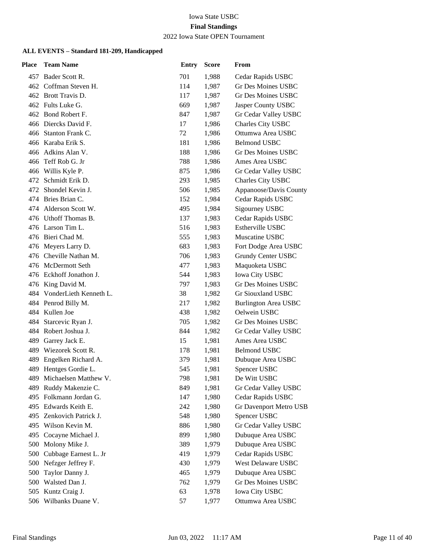### 2022 Iowa State OPEN Tournament

| Place | <b>Team Name</b>           | <b>Entry</b> | <b>Score</b> | From                        |
|-------|----------------------------|--------------|--------------|-----------------------------|
|       | 457 Bader Scott R.         | 701          | 1,988        | Cedar Rapids USBC           |
|       | 462 Coffman Steven H.      | 114          | 1,987        | <b>Gr Des Moines USBC</b>   |
|       | 462 Brott Travis D.        | 117          | 1,987        | <b>Gr Des Moines USBC</b>   |
|       | 462 Fults Luke G.          | 669          | 1,987        | Jasper County USBC          |
|       | 462 Bond Robert F.         | 847          | 1,987        | Gr Cedar Valley USBC        |
|       | 466 Diercks David F.       | 17           | 1,986        | Charles City USBC           |
|       | 466 Stanton Frank C.       | 72           | 1,986        | Ottumwa Area USBC           |
|       | 466 Karaba Erik S.         | 181          | 1,986        | <b>Belmond USBC</b>         |
|       | 466 Adkins Alan V.         | 188          | 1,986        | Gr Des Moines USBC          |
|       | 466 Teff Rob G. Jr         | 788          | 1,986        | Ames Area USBC              |
|       | 466 Willis Kyle P.         | 875          | 1,986        | Gr Cedar Valley USBC        |
|       | 472 Schmidt Erik D.        | 293          | 1,985        | Charles City USBC           |
|       | 472 Shondel Kevin J.       | 506          | 1,985        | Appanoose/Davis County      |
|       | 474 Bries Brian C.         | 152          | 1,984        | Cedar Rapids USBC           |
|       | 474 Alderson Scott W.      | 495          | 1,984        | Sigourney USBC              |
|       | 476 Uthoff Thomas B.       | 137          | 1,983        | Cedar Rapids USBC           |
|       | 476 Larson Tim L.          | 516          | 1,983        | Estherville USBC            |
|       | 476 Bieri Chad M.          | 555          | 1,983        | Muscatine USBC              |
|       | 476 Meyers Larry D.        | 683          | 1,983        | Fort Dodge Area USBC        |
|       | 476 Cheville Nathan M.     | 706          | 1,983        | <b>Grundy Center USBC</b>   |
|       | 476 McDermott Seth         | 477          | 1,983        | Maquoketa USBC              |
|       | 476 Eckhoff Jonathon J.    | 544          | 1,983        | <b>Iowa City USBC</b>       |
|       | 476 King David M.          | 797          | 1,983        | <b>Gr Des Moines USBC</b>   |
|       | 484 VonderLieth Kenneth L. | 38           | 1,982        | Gr Siouxland USBC           |
|       | 484 Penrod Billy M.        | 217          | 1,982        | <b>Burlington Area USBC</b> |
|       | 484 Kullen Joe             | 438          | 1,982        | Oelwein USBC                |
| 484   | Starcevic Ryan J.          | 705          | 1,982        | Gr Des Moines USBC          |
|       | 484 Robert Joshua J.       | 844          | 1,982        | Gr Cedar Valley USBC        |
|       | 489 Garrey Jack E.         | 15           | 1,981        | Ames Area USBC              |
|       | 489 Wiezorek Scott R.      | 178          | 1,981        | <b>Belmond USBC</b>         |
| 489   | Engelken Richard A.        | 379          | 1,981        | Dubuque Area USBC           |
|       | 489 Hentges Gordie L.      | 545          | 1,981        | Spencer USBC                |
| 489   | Michaelsen Matthew V.      | 798          | 1,981        | De Witt USBC                |
| 489   | Ruddy Makenzie C.          | 849          | 1,981        | Gr Cedar Valley USBC        |
| 495   | Folkmann Jordan G.         | 147          | 1,980        | Cedar Rapids USBC           |
|       | 495 Edwards Keith E.       | 242          | 1,980        | Gr Davenport Metro USB      |
|       | 495 Zenkovich Patrick J.   | 548          | 1,980        | Spencer USBC                |
| 495   | Wilson Kevin M.            | 886          | 1,980        | Gr Cedar Valley USBC        |
| 495   | Cocayne Michael J.         | 899          | 1,980        | Dubuque Area USBC           |
| 500   | Molony Mike J.             | 389          | 1,979        | Dubuque Area USBC           |
| 500   | Cubbage Earnest L. Jr      | 419          | 1,979        | Cedar Rapids USBC           |
| 500   | Nefzger Jeffrey F.         | 430          | 1,979        | West Delaware USBC          |
| 500   | Taylor Danny J.            | 465          | 1,979        | Dubuque Area USBC           |
| 500   | Walsted Dan J.             | 762          | 1,979        | Gr Des Moines USBC          |
| 505   | Kuntz Craig J.             | 63           | 1,978        | Iowa City USBC              |
| 506   | Wilbanks Duane V.          | 57           | 1,977        | Ottumwa Area USBC           |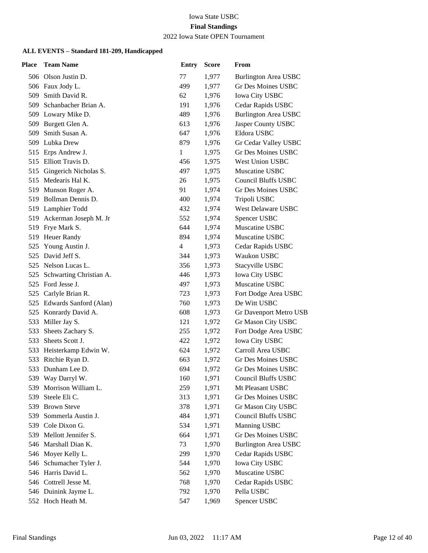### 2022 Iowa State OPEN Tournament

| Place | <b>Team Name</b>           | <b>Entry</b> | <b>Score</b> | From                        |
|-------|----------------------------|--------------|--------------|-----------------------------|
|       | 506 Olson Justin D.        | 77           | 1,977        | <b>Burlington Area USBC</b> |
|       | 506 Faux Jody L.           | 499          | 1,977        | Gr Des Moines USBC          |
| 509   | Smith David R.             | 62           | 1,976        | Iowa City USBC              |
|       | 509 Schanbacher Brian A.   | 191          | 1,976        | Cedar Rapids USBC           |
|       | 509 Lowary Mike D.         | 489          | 1,976        | <b>Burlington Area USBC</b> |
| 509   | Burgett Glen A.            | 613          | 1,976        | Jasper County USBC          |
| 509   | Smith Susan A.             | 647          | 1,976        | Eldora USBC                 |
|       | 509 Lubka Drew             | 879          | 1,976        | Gr Cedar Valley USBC        |
|       | 515 Erps Andrew J.         | $\mathbf{1}$ | 1,975        | Gr Des Moines USBC          |
|       | 515 Elliott Travis D.      | 456          | 1,975        | <b>West Union USBC</b>      |
|       | 515 Gingerich Nicholas S.  | 497          | 1,975        | Muscatine USBC              |
|       | 515 Medearis Hal K.        | 26           | 1,975        | <b>Council Bluffs USBC</b>  |
|       | 519 Munson Roger A.        | 91           | 1,974        | Gr Des Moines USBC          |
|       | 519 Bollman Dennis D.      | 400          | 1,974        | Tripoli USBC                |
|       | 519 Lamphier Todd          | 432          | 1,974        | West Delaware USBC          |
|       | 519 Ackerman Joseph M. Jr  | 552          | 1,974        | Spencer USBC                |
|       | 519 Frye Mark S.           | 644          | 1,974        | Muscatine USBC              |
|       | 519 Heuer Randy            | 894          | 1,974        | Muscatine USBC              |
| 525   | Young Austin J.            | 4            | 1,973        | Cedar Rapids USBC           |
|       | 525 David Jeff S.          | 344          | 1,973        | Waukon USBC                 |
|       | 525 Nelson Lucas L.        | 356          | 1,973        | Stacyville USBC             |
| 525   | Schwarting Christian A.    | 446          | 1,973        | Iowa City USBC              |
|       | 525 Ford Jesse J.          | 497          | 1,973        | Muscatine USBC              |
|       | 525 Carlyle Brian R.       | 723          | 1,973        | Fort Dodge Area USBC        |
|       | 525 Edwards Sanford (Alan) | 760          | 1,973        | De Witt USBC                |
|       | 525 Konrardy David A.      | 608          | 1,973        | Gr Davenport Metro USB      |
| 533   | Miller Jay S.              | 121          | 1,972        | Gr Mason City USBC          |
| 533   | Sheets Zachary S.          | 255          | 1,972        | Fort Dodge Area USBC        |
| 533   | Sheets Scott J.            | 422          | 1,972        | Iowa City USBC              |
| 533   | Heisterkamp Edwin W.       | 624          | 1,972        | Carroll Area USBC           |
| 533   | Ritchie Ryan D.            | 663          | 1,972        | Gr Des Moines USBC          |
| 533   | Dunham Lee D.              | 694          | 1,972        | Gr Des Moines USBC          |
|       | 539 Way Darryl W.          | 160          | 1,971        | <b>Council Bluffs USBC</b>  |
| 539   | Morrison William L.        | 259          | 1,971        | Mt Pleasant USBC            |
| 539   | Steele Eli C.              | 313          | 1,971        | <b>Gr Des Moines USBC</b>   |
|       | 539 Brown Steve            | 378          | 1,971        | Gr Mason City USBC          |
| 539   | Sommerla Austin J.         | 484          | 1,971        | <b>Council Bluffs USBC</b>  |
|       | 539 Cole Dixon G.          | 534          | 1,971        | Manning USBC                |
| 539   | Mellott Jennifer S.        | 664          | 1,971        | <b>Gr Des Moines USBC</b>   |
|       | 546 Marshall Dian K.       | 73           | 1,970        | <b>Burlington Area USBC</b> |
|       | 546 Moyer Kelly L.         | 299          | 1,970        | Cedar Rapids USBC           |
|       | 546 Schumacher Tyler J.    | 544          | 1,970        | <b>Iowa City USBC</b>       |
|       | 546 Harris David L.        | 562          | 1,970        | Muscatine USBC              |
|       | 546 Cottrell Jesse M.      | 768          | 1,970        | Cedar Rapids USBC           |
|       | 546 Duinink Jayme L.       | 792          | 1,970        | Pella USBC                  |
|       | 552 Hoch Heath M.          | 547          | 1,969        | Spencer USBC                |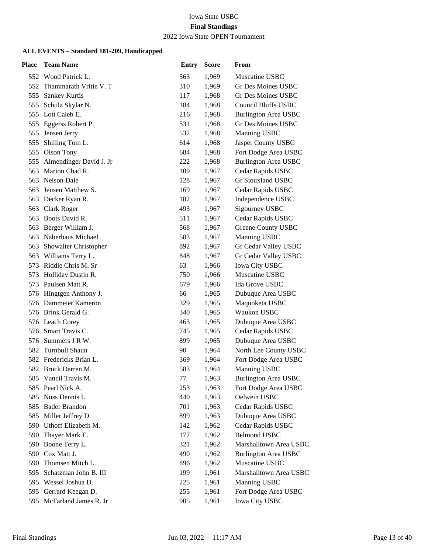### 2022 Iowa State OPEN Tournament

| Place | <b>Team Name</b>           | <b>Entry</b> | <b>Score</b> | From                        |
|-------|----------------------------|--------------|--------------|-----------------------------|
|       | 552 Wood Patrick L.        | 563          | 1,969        | Muscatine USBC              |
|       | 552 Thammarath Vritie V. T | 310          | 1,969        | Gr Des Moines USBC          |
| 555   | Sankey Kurtis              | 117          | 1,968        | Gr Des Moines USBC          |
| 555   | Schulz Skylar N.           | 184          | 1,968        | <b>Council Bluffs USBC</b>  |
| 555   | Lott Caleb E.              | 216          | 1,968        | <b>Burlington Area USBC</b> |
| 555   | Eggerss Robert P.          | 531          | 1,968        | Gr Des Moines USBC          |
| 555   | Jensen Jerry               | 532          | 1,968        | Manning USBC                |
| 555   | Shilling Tom L.            | 614          | 1,968        | Jasper County USBC          |
|       | 555 Olson Tony             | 684          | 1,968        | Fort Dodge Area USBC        |
| 555   | Almendinger David J. Jr    | 222          | 1,968        | <b>Burlington Area USBC</b> |
| 563   | Marion Chad R.             | 109          | 1,967        | Cedar Rapids USBC           |
| 563   | Nelson Dale                | 128          | 1,967        | Gr Siouxland USBC           |
| 563   | Jensen Matthew S.          | 169          | 1,967        | Cedar Rapids USBC           |
| 563   | Decker Ryan R.             | 182          | 1,967        | Independence USBC           |
| 563   | Clark Roger                | 493          | 1,967        | Sigourney USBC              |
| 563   | Boots David R.             | 511          | 1,967        | Cedar Rapids USBC           |
| 563   | Berger William J.          | 568          | 1,967        | Greene County USBC          |
| 563   | Naberhaus Michael          | 583          | 1,967        | Manning USBC                |
| 563   | Showalter Christopher      | 892          | 1,967        | Gr Cedar Valley USBC        |
| 563   | Williams Terry L.          | 848          | 1,967        | Gr Cedar Valley USBC        |
| 573   | Riddle Chris M. Sr         | 63           | 1,966        | Iowa City USBC              |
| 573   | Holliday Dustin R.         | 750          | 1,966        | Muscatine USBC              |
| 573   | Paulsen Matt R.            | 679          | 1,966        | Ida Grove USBC              |
|       | 576 Hingtgen Anthony J.    | 66           | 1,965        | Dubuque Area USBC           |
|       | 576 Dammeier Kameron       | 329          | 1,965        | Maquoketa USBC              |
|       | 576 Brink Gerald G.        | 340          | 1,965        | Waukon USBC                 |
|       | 576 Leach Corey            | 463          | 1,965        | Dubuque Area USBC           |
|       | 576 Smart Travis C.        | 745          | 1,965        | Cedar Rapids USBC           |
|       | 576 Summers J R W.         | 899          | 1,965        | Dubuque Area USBC           |
| 582   | Turnbull Shaun             | 90           | 1,964        | North Lee County USBC       |
|       | 582 Fredericks Brian L.    | 369          | 1,964        | Fort Dodge Area USBC        |
|       | 582 Bruck Darren M.        | 583          | 1,964        | Manning USBC                |
|       | 585 Vancil Travis M.       | 77           | 1,963        | <b>Burlington Area USBC</b> |
| 585   | Pearl Nick A.              | 253          | 1,963        | Fort Dodge Area USBC        |
| 585   | Nuss Dennis L.             | 440          | 1,963        | Oelwein USBC                |
| 585   | <b>Bader Brandon</b>       | 701          | 1,963        | Cedar Rapids USBC           |
| 585   | Miller Jeffrey D.          | 899          | 1,963        | Dubuque Area USBC           |
|       | 590 Uthoff Elizabeth M.    | 142          | 1,962        | Cedar Rapids USBC           |
| 590   | Thayer Mark E.             | 177          | 1,962        | <b>Belmond USBC</b>         |
| 590   | Boone Terry L.             | 321          | 1,962        | Marshalltown Area USBC      |
|       | 590 Cox Matt J.            | 490          | 1,962        | <b>Burlington Area USBC</b> |
| 590   | Thomsen Mitch L.           | 896          | 1,962        | Muscatine USBC              |
| 595   | Schatzman John B. III      | 199          | 1,961        | Marshalltown Area USBC      |
| 595   | Wessel Joshua D.           | 225          | 1,961        | Manning USBC                |
| 595   | Gerrard Keegan D.          | 255          | 1,961        | Fort Dodge Area USBC        |
| 595   | McFarland James R. Jr      | 905          | 1,961        | Iowa City USBC              |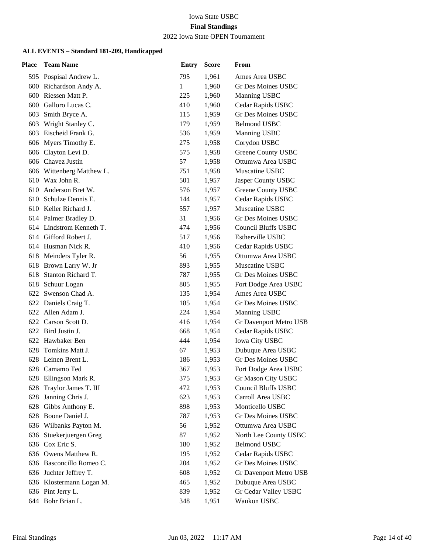### 2022 Iowa State OPEN Tournament

| <b>Place</b> | <b>Team Name</b>          | <b>Entry</b> | <b>Score</b> | From                       |
|--------------|---------------------------|--------------|--------------|----------------------------|
|              | 595 Pospisal Andrew L.    | 795          | 1,961        | Ames Area USBC             |
|              | 600 Richardson Andy A.    | 1            | 1,960        | Gr Des Moines USBC         |
|              | 600 Riessen Matt P.       | 225          | 1,960        | Manning USBC               |
|              | 600 Galloro Lucas C.      | 410          | 1,960        | Cedar Rapids USBC          |
|              | 603 Smith Bryce A.        | 115          | 1,959        | <b>Gr Des Moines USBC</b>  |
|              | 603 Wright Stanley C.     | 179          | 1,959        | <b>Belmond USBC</b>        |
|              | 603 Eischeid Frank G.     | 536          | 1,959        | Manning USBC               |
|              | 606 Myers Timothy E.      | 275          | 1,958        | Corydon USBC               |
|              | 606 Clayton Levi D.       | 575          | 1,958        | Greene County USBC         |
|              | 606 Chavez Justin         | 57           | 1,958        | Ottumwa Area USBC          |
|              | 606 Wittenberg Matthew L. | 751          | 1,958        | Muscatine USBC             |
|              | 610 Wax John R.           | 501          | 1,957        | Jasper County USBC         |
|              | 610 Anderson Bret W.      | 576          | 1,957        | Greene County USBC         |
|              | 610 Schulze Dennis E.     | 144          | 1,957        | Cedar Rapids USBC          |
|              | 610 Keller Richard J.     | 557          | 1,957        | Muscatine USBC             |
|              | 614 Palmer Bradley D.     | 31           | 1,956        | Gr Des Moines USBC         |
|              | 614 Lindstrom Kenneth T.  | 474          | 1,956        | <b>Council Bluffs USBC</b> |
|              | 614 Gifford Robert J.     | 517          | 1,956        | Estherville USBC           |
|              | 614 Husman Nick R.        | 410          | 1,956        | Cedar Rapids USBC          |
|              | 618 Meinders Tyler R.     | 56           | 1,955        | Ottumwa Area USBC          |
|              | 618 Brown Larry W. Jr     | 893          | 1,955        | Muscatine USBC             |
| 618          | Stanton Richard T.        | 787          | 1,955        | Gr Des Moines USBC         |
| 618          | Schuur Logan              | 805          | 1,955        | Fort Dodge Area USBC       |
|              | 622 Swenson Chad A.       | 135          | 1,954        | Ames Area USBC             |
|              | 622 Daniels Craig T.      | 185          | 1,954        | Gr Des Moines USBC         |
| 622          | Allen Adam J.             | 224          | 1,954        | Manning USBC               |
|              | 622 Carson Scott D.       | 416          | 1,954        | Gr Davenport Metro USB     |
|              | 622 Bird Justin J.        | 668          | 1,954        | Cedar Rapids USBC          |
|              | 622 Hawbaker Ben          | 444          | 1,954        | Iowa City USBC             |
|              | 628 Tomkins Matt J.       | 67           | 1,953        | Dubuque Area USBC          |
|              | 628 Leinen Brent L.       | 186          | 1,953        | Gr Des Moines USBC         |
|              | 628 Camamo Ted            | 367          | 1,953        | Fort Dodge Area USBC       |
|              | 628 Ellingson Mark R.     | 375          | 1,953        | Gr Mason City USBC         |
| 628          | Traylor James T. III      | 472          | 1,953        | <b>Council Bluffs USBC</b> |
| 628          | Janning Chris J.          | 623          | 1,953        | Carroll Area USBC          |
|              | 628 Gibbs Anthony E.      | 898          | 1,953        | Monticello USBC            |
|              | 628 Boone Daniel J.       | 787          | 1,953        | Gr Des Moines USBC         |
|              | 636 Wilbanks Payton M.    | 56           | 1,952        | Ottumwa Area USBC          |
| 636          | Stuekerjuergen Greg       | 87           | 1,952        | North Lee County USBC      |
|              | 636 Cox Eric S.           | 180          | 1,952        | <b>Belmond USBC</b>        |
|              | 636 Owens Matthew R.      | 195          | 1,952        | Cedar Rapids USBC          |
|              | 636 Basconcillo Romeo C.  | 204          | 1,952        | Gr Des Moines USBC         |
|              | 636 Juchter Jeffrey T.    | 608          | 1,952        | Gr Davenport Metro USB     |
|              | 636 Klostermann Logan M.  | 465          | 1,952        | Dubuque Area USBC          |
|              | 636 Pint Jerry L.         | 839          | 1,952        | Gr Cedar Valley USBC       |
| 644          | Bohr Brian L.             | 348          | 1,951        | Waukon USBC                |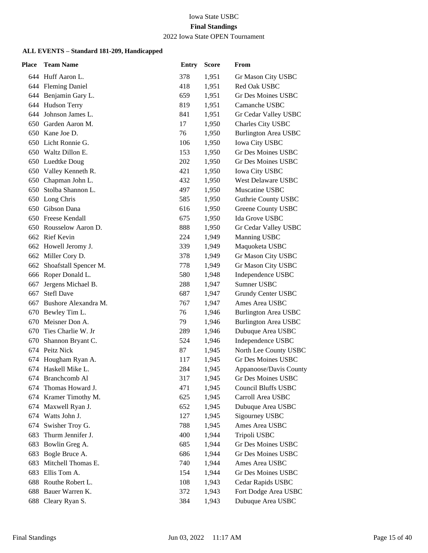### 2022 Iowa State OPEN Tournament

| Place | <b>Team Name</b>          | <b>Entry</b> | <b>Score</b> | From                        |
|-------|---------------------------|--------------|--------------|-----------------------------|
|       | 644 Huff Aaron L.         | 378          | 1,951        | Gr Mason City USBC          |
|       | 644 Fleming Daniel        | 418          | 1,951        | Red Oak USBC                |
|       | 644 Benjamin Gary L.      | 659          | 1,951        | <b>Gr Des Moines USBC</b>   |
|       | 644 Hudson Terry          | 819          | 1,951        | Camanche USBC               |
|       | 644 Johnson James L.      | 841          | 1,951        | Gr Cedar Valley USBC        |
|       | 650 Garden Aaron M.       | 17           | 1,950        | Charles City USBC           |
|       | 650 Kane Joe D.           | 76           | 1,950        | <b>Burlington Area USBC</b> |
|       | 650 Licht Ronnie G.       | 106          | 1,950        | <b>Iowa City USBC</b>       |
|       | 650 Waltz Dillon E.       | 153          | 1,950        | <b>Gr Des Moines USBC</b>   |
|       | 650 Luedtke Doug          | 202          | 1,950        | <b>Gr Des Moines USBC</b>   |
|       | 650 Valley Kenneth R.     | 421          | 1,950        | <b>Iowa City USBC</b>       |
|       | 650 Chapman John L.       | 432          | 1,950        | West Delaware USBC          |
|       | 650 Stolba Shannon L.     | 497          | 1,950        | Muscatine USBC              |
|       | 650 Long Chris            | 585          | 1,950        | <b>Guthrie County USBC</b>  |
|       | 650 Gibson Dana           | 616          | 1,950        | <b>Greene County USBC</b>   |
|       | 650 Freese Kendall        | 675          | 1,950        | Ida Grove USBC              |
|       | 650 Rousselow Aaron D.    | 888          | 1,950        | Gr Cedar Valley USBC        |
|       | 662 Rief Kevin            | 224          | 1,949        | Manning USBC                |
|       | 662 Howell Jeromy J.      | 339          | 1,949        | Maquoketa USBC              |
|       | 662 Miller Cory D.        | 378          | 1,949        | Gr Mason City USBC          |
|       | 662 Shoafstall Spencer M. | 778          | 1,949        | Gr Mason City USBC          |
|       | 666 Roper Donald L.       | 580          | 1,948        | Independence USBC           |
| 667   | Jergens Michael B.        | 288          | 1,947        | Sumner USBC                 |
| 667   | <b>Stefl Dave</b>         | 687          | 1,947        | Grundy Center USBC          |
| 667   | Bushore Alexandra M.      | 767          | 1,947        | Ames Area USBC              |
|       | 670 Bewley Tim L.         | 76           | 1,946        | <b>Burlington Area USBC</b> |
| 670   | Meisner Don A.            | 79           | 1,946        | Burlington Area USBC        |
|       | 670 Ties Charlie W. Jr    | 289          | 1,946        | Dubuque Area USBC           |
| 670   | Shannon Bryant C.         | 524          | 1,946        | Independence USBC           |
|       | 674 Peitz Nick            | 87           | 1,945        | North Lee County USBC       |
| 674   | Hougham Ryan A.           | 117          | 1,945        | <b>Gr Des Moines USBC</b>   |
|       | 674 Haskell Mike L.       | 284          | 1,945        | Appanoose/Davis County      |
|       | 674 Branchcomb Al         | 317          | 1,945        | Gr Des Moines USBC          |
| 674   | Thomas Howard J.          | 471          | 1,945        | <b>Council Bluffs USBC</b>  |
|       | 674 Kramer Timothy M.     | 625          | 1,945        | Carroll Area USBC           |
|       | 674 Maxwell Ryan J.       | 652          | 1,945        | Dubuque Area USBC           |
|       | 674 Watts John J.         | 127          | 1,945        | Sigourney USBC              |
| 674   | Swisher Troy G.           | 788          | 1,945        | Ames Area USBC              |
| 683   | Thurm Jennifer J.         | 400          | 1,944        | Tripoli USBC                |
| 683   | Bowlin Greg A.            | 685          | 1,944        | Gr Des Moines USBC          |
| 683   | Bogle Bruce A.            | 686          | 1,944        | Gr Des Moines USBC          |
| 683   | Mitchell Thomas E.        | 740          | 1,944        | Ames Area USBC              |
| 683   | Ellis Tom A.              | 154          | 1,944        | Gr Des Moines USBC          |
|       | 688 Routhe Robert L.      | 108          | 1,943        | Cedar Rapids USBC           |
| 688   | Bauer Warren K.           | 372          | 1,943        | Fort Dodge Area USBC        |
| 688   | Cleary Ryan S.            | 384          | 1,943        | Dubuque Area USBC           |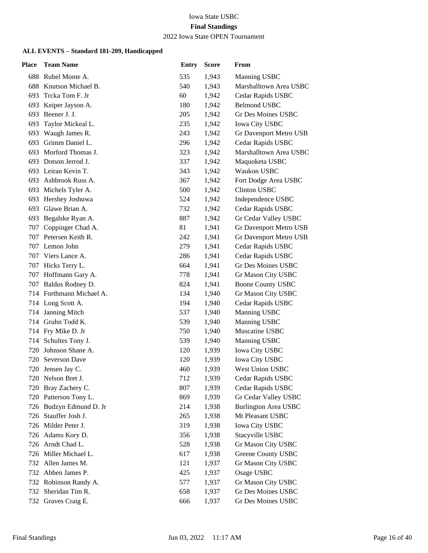### 2022 Iowa State OPEN Tournament

| Place | <b>Team Name</b>         | <b>Entry</b> | <b>Score</b> | From                          |
|-------|--------------------------|--------------|--------------|-------------------------------|
|       | 688 Rubel Monte A.       | 535          | 1,943        | Manning USBC                  |
| 688   | Knutson Michael B.       | 540          | 1,943        | Marshalltown Area USBC        |
| 693   | Trcka Tom F. Jr          | 60           | 1,942        | Cedar Rapids USBC             |
|       | 693 Keiper Jayson A.     | 180          | 1,942        | <b>Belmond USBC</b>           |
| 693   | Beener J. J.             | 205          | 1,942        | <b>Gr Des Moines USBC</b>     |
| 693   | Taylor Mickeal L.        | 235          | 1,942        | <b>Iowa City USBC</b>         |
| 693   | Waugh James R.           | 243          | 1,942        | <b>Gr Davenport Metro USB</b> |
|       | 693 Grimm Daniel L.      | 296          | 1,942        | Cedar Rapids USBC             |
| 693.  | Morford Thomas J.        | 323          | 1,942        | Marshalltown Area USBC        |
|       | 693 Dotson Jerrod J.     | 337          | 1,942        | Maquoketa USBC                |
|       | 693 Leiran Kevin T.      | 343          | 1,942        | Waukon USBC                   |
|       | 693 Ashbrook Russ A.     | 367          | 1,942        | Fort Dodge Area USBC          |
|       | 693 Michels Tyler A.     | 500          | 1,942        | <b>Clinton USBC</b>           |
|       | 693 Hershey Joshuwa      | 524          | 1,942        | Independence USBC             |
| 693   | Glawe Brian A.           | 732          | 1,942        | Cedar Rapids USBC             |
|       | 693 Begalske Ryan A.     | 887          | 1,942        | Gr Cedar Valley USBC          |
|       | 707 Coppinger Chad A.    | 81           | 1,941        | Gr Davenport Metro USB        |
|       | 707 Petersen Keith R.    | 242          | 1,941        | Gr Davenport Metro USB        |
|       | 707 Lemon John           | 279          | 1,941        | Cedar Rapids USBC             |
|       | 707 Viers Lance A.       | 286          | 1,941        | Cedar Rapids USBC             |
|       | 707 Hicks Terry L.       | 664          | 1,941        | Gr Des Moines USBC            |
|       | 707 Hoffmann Gary A.     | 778          | 1,941        | Gr Mason City USBC            |
| 707   | Baldus Rodney D.         | 824          | 1,941        | <b>Boone County USBC</b>      |
|       | 714 Forthmann Michael A. | 134          | 1,940        | Gr Mason City USBC            |
|       | 714 Long Scott A.        | 194          | 1,940        | Cedar Rapids USBC             |
|       | 714 Janning Mitch        | 537          | 1,940        | Manning USBC                  |
|       | 714 Gruhn Todd K.        | 539          | 1,940        | Manning USBC                  |
|       | 714 Fry Mike D. Jr       | 750          | 1,940        | Muscatine USBC                |
|       | 714 Schultes Tony J.     | 539          | 1,940        | Manning USBC                  |
| 720   | Johnson Shane A.         | 120          | 1,939        | Iowa City USBC                |
| 720   | Severson Dave            | 120          | 1,939        | Iowa City USBC                |
| 720   | Jensen Jay C.            | 460          | 1,939        | <b>West Union USBC</b>        |
|       | 720 Nelson Bret J.       | 712          | 1,939        | Cedar Rapids USBC             |
| 720   | Bray Zachery C.          | 807          | 1,939        | Cedar Rapids USBC             |
| 720   | Patterson Tony L.        | 869          | 1,939        | Gr Cedar Valley USBC          |
|       | 726 Budzyn Edmund D. Jr  | 214          | 1,938        | <b>Burlington Area USBC</b>   |
|       | 726 Stauffer Josh J.     | 265          | 1,938        | Mt Pleasant USBC              |
|       | 726 Milder Peter J.      | 319          | 1,938        | Iowa City USBC                |
|       | 726 Adams Kory D.        | 356          | 1,938        | Stacyville USBC               |
|       | 726 Arndt Chad L.        | 528          | 1,938        | Gr Mason City USBC            |
|       | 726 Miller Michael L.    | 617          | 1,938        | Greene County USBC            |
| 732   | Allen James M.           | 121          | 1,937        | <b>Gr Mason City USBC</b>     |
| 732   | Abben James P.           | 425          | 1,937        | Osage USBC                    |
| 732   | Robinson Randy A.        | 577          | 1,937        | Gr Mason City USBC            |
|       | 732 Sheridan Tim R.      | 658          | 1,937        | Gr Des Moines USBC            |
| 732   | Graves Craig E.          | 666          | 1,937        | Gr Des Moines USBC            |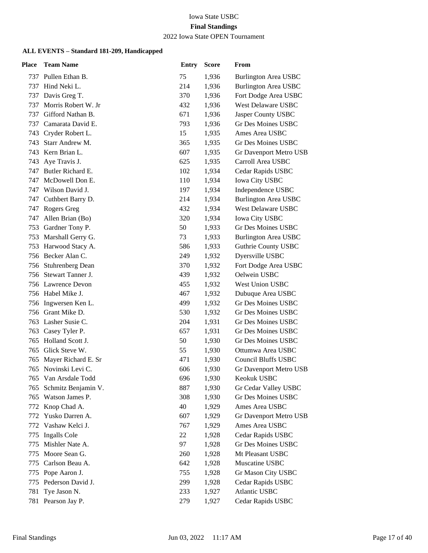### 2022 Iowa State OPEN Tournament

| Place | <b>Team Name</b>      | <b>Entry</b> | <b>Score</b> | From                        |
|-------|-----------------------|--------------|--------------|-----------------------------|
|       | 737 Pullen Ethan B.   | 75           | 1,936        | Burlington Area USBC        |
|       | 737 Hind Neki L.      | 214          | 1,936        | <b>Burlington Area USBC</b> |
| 737   | Davis Greg T.         | 370          | 1,936        | Fort Dodge Area USBC        |
| 737   | Morris Robert W. Jr   | 432          | 1,936        | West Delaware USBC          |
| 737   | Gifford Nathan B.     | 671          | 1,936        | Jasper County USBC          |
| 737   | Camarata David E.     | 793          | 1,936        | Gr Des Moines USBC          |
| 743   | Cryder Robert L.      | 15           | 1,935        | Ames Area USBC              |
| 743   | Starr Andrew M.       | 365          | 1,935        | Gr Des Moines USBC          |
| 743   | Kern Brian L.         | 607          | 1,935        | Gr Davenport Metro USB      |
| 743   | Aye Travis J.         | 625          | 1,935        | Carroll Area USBC           |
|       | 747 Butler Richard E. | 102          | 1,934        | Cedar Rapids USBC           |
| 747   | McDowell Don E.       | 110          | 1,934        | Iowa City USBC              |
| 747   | Wilson David J.       | 197          | 1,934        | Independence USBC           |
| 747   | Cuthbert Barry D.     | 214          | 1,934        | <b>Burlington Area USBC</b> |
| 747   | Rogers Greg           | 432          | 1,934        | West Delaware USBC          |
| 747   | Allen Brian (Bo)      | 320          | 1,934        | Iowa City USBC              |
|       | 753 Gardner Tony P.   | 50           | 1,933        | Gr Des Moines USBC          |
| 753   | Marshall Gerry G.     | 73           | 1,933        | <b>Burlington Area USBC</b> |
| 753   | Harwood Stacy A.      | 586          | 1,933        | <b>Guthrie County USBC</b>  |
|       | 756 Becker Alan C.    | 249          | 1,932        | Dyersville USBC             |
| 756   | Stuhrenberg Dean      | 370          | 1,932        | Fort Dodge Area USBC        |
| 756   | Stewart Tanner J.     | 439          | 1,932        | Oelwein USBC                |
|       | 756 Lawrence Devon    | 455          | 1,932        | West Union USBC             |
|       | 756 Habel Mike J.     | 467          | 1,932        | Dubuque Area USBC           |
|       | 756 Ingwersen Ken L.  | 499          | 1,932        | Gr Des Moines USBC          |
| 756   | Grant Mike D.         | 530          | 1,932        | Gr Des Moines USBC          |
| 763   | Lasher Susie C.       | 204          | 1,931        | Gr Des Moines USBC          |
|       | 763 Casey Tyler P.    | 657          | 1,931        | Gr Des Moines USBC          |
| 765   | Holland Scott J.      | 50           | 1,930        | Gr Des Moines USBC          |
| 765   | Glick Steve W.        | 55           | 1,930        | Ottumwa Area USBC           |
| 765   | Mayer Richard E. Sr   | 471          | 1,930        | <b>Council Bluffs USBC</b>  |
| 765   | Novinski Levi C.      | 606          | 1,930        | Gr Davenport Metro USB      |
| 765   | Van Arsdale Todd      | 696          | 1,930        | Keokuk USBC                 |
| 765   | Schmitz Benjamin V.   | 887          | 1,930        | Gr Cedar Valley USBC        |
| 765   | Watson James P.       | 308          | 1,930        | Gr Des Moines USBC          |
| 772   | Knop Chad A.          | 40           | 1,929        | Ames Area USBC              |
| 772   | Yusko Darren A.       | 607          | 1,929        | Gr Davenport Metro USB      |
| 772   | Vashaw Kelci J.       | 767          | 1,929        | Ames Area USBC              |
| 775   | Ingalls Cole          | 22           | 1,928        | Cedar Rapids USBC           |
| 775   | Mishler Nate A.       | 97           | 1,928        | Gr Des Moines USBC          |
| 775   | Moore Sean G.         | 260          | 1,928        | Mt Pleasant USBC            |
| 775   | Carlson Beau A.       | 642          | 1,928        | Muscatine USBC              |
| 775   | Pope Aaron J.         | 755          | 1,928        | Gr Mason City USBC          |
| 775   | Pederson David J.     | 299          | 1,928        | Cedar Rapids USBC           |
| 781   | Tye Jason N.          | 233          | 1,927        | <b>Atlantic USBC</b>        |
| 781   | Pearson Jay P.        | 279          | 1,927        | Cedar Rapids USBC           |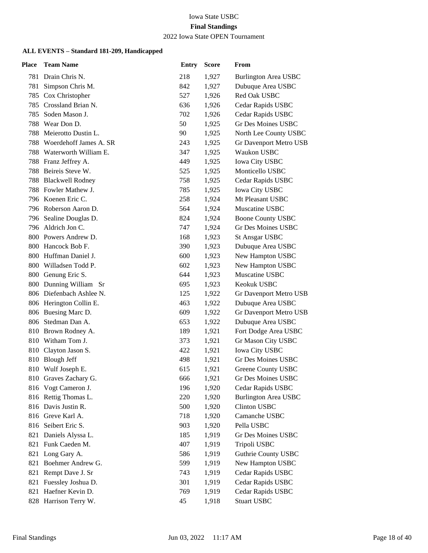### 2022 Iowa State OPEN Tournament

| Place | <b>Team Name</b>         | <b>Entry</b> | <b>Score</b> | From                        |
|-------|--------------------------|--------------|--------------|-----------------------------|
|       | 781 Drain Chris N.       | 218          | 1,927        | <b>Burlington Area USBC</b> |
| 781   | Simpson Chris M.         | 842          | 1,927        | Dubuque Area USBC           |
| 785   | Cox Christopher          | 527          | 1,926        | Red Oak USBC                |
| 785   | Crossland Brian N.       | 636          | 1,926        | Cedar Rapids USBC           |
| 785   | Soden Mason J.           | 702          | 1,926        | Cedar Rapids USBC           |
| 788   | Wear Don D.              | 50           | 1,925        | Gr Des Moines USBC          |
| 788   | Meierotto Dustin L.      | 90           | 1,925        | North Lee County USBC       |
| 788   | Woerdehoff James A. SR   | 243          | 1,925        | Gr Davenport Metro USB      |
| 788   | Waterworth William E.    | 347          | 1,925        | Waukon USBC                 |
| 788   | Franz Jeffrey A.         | 449          | 1,925        | Iowa City USBC              |
| 788   | Beireis Steve W.         | 525          | 1,925        | Monticello USBC             |
| 788   | <b>Blackwell Rodney</b>  | 758          | 1,925        | Cedar Rapids USBC           |
| 788   | Fowler Mathew J.         | 785          | 1,925        | Iowa City USBC              |
|       | 796 Koenen Eric C.       | 258          | 1,924        | Mt Pleasant USBC            |
|       | 796 Roberson Aaron D.    | 564          | 1,924        | Muscatine USBC              |
|       | 796 Sealine Douglas D.   | 824          | 1,924        | <b>Boone County USBC</b>    |
|       | 796 Aldrich Jon C.       | 747          | 1,924        | Gr Des Moines USBC          |
|       | 800 Powers Andrew D.     | 168          | 1,923        | <b>St Ansgar USBC</b>       |
|       | 800 Hancock Bob F.       | 390          | 1,923        | Dubuque Area USBC           |
|       | 800 Huffman Daniel J.    | 600          | 1,923        | New Hampton USBC            |
|       | 800 Willadsen Todd P.    | 602          | 1,923        | New Hampton USBC            |
|       | 800 Genung Eric S.       | 644          | 1,923        | Muscatine USBC              |
|       | 800 Dunning William Sr   | 695          | 1,923        | Keokuk USBC                 |
|       | 806 Diefenbach Ashlee N. | 125          | 1,922        | Gr Davenport Metro USB      |
|       | 806 Herington Collin E.  | 463          | 1,922        | Dubuque Area USBC           |
|       | 806 Buesing Marc D.      | 609          | 1,922        | Gr Davenport Metro USB      |
|       | 806 Stedman Dan A.       | 653          | 1,922        | Dubuque Area USBC           |
|       | 810 Brown Rodney A.      | 189          | 1,921        | Fort Dodge Area USBC        |
|       | 810 Witham Tom J.        | 373          | 1,921        | Gr Mason City USBC          |
|       | 810 Clayton Jason S.     | 422          | 1,921        | <b>Iowa City USBC</b>       |
| 810   | <b>Blough Jeff</b>       | 498          | 1,921        | <b>Gr Des Moines USBC</b>   |
|       | 810 Wulf Joseph E.       | 615          | 1,921        | <b>Greene County USBC</b>   |
|       | 810 Graves Zachary G.    | 666          | 1,921        | Gr Des Moines USBC          |
|       | 816 Vogt Cameron J.      | 196          | 1,920        | Cedar Rapids USBC           |
|       | 816 Rettig Thomas L.     | 220          | 1,920        | <b>Burlington Area USBC</b> |
|       | 816 Davis Justin R.      | 500          | 1,920        | Clinton USBC                |
|       | 816 Greve Karl A.        | 718          | 1,920        | Camanche USBC               |
|       | 816 Seibert Eric S.      | 903          | 1,920        | Pella USBC                  |
| 821   | Daniels Alyssa L.        | 185          | 1,919        | Gr Des Moines USBC          |
| 821   | Funk Caeden M.           | 407          | 1,919        | Tripoli USBC                |
| 821   | Long Gary A.             | 586          | 1,919        | <b>Guthrie County USBC</b>  |
| 821   | Boehmer Andrew G.        | 599          | 1,919        | New Hampton USBC            |
| 821   | Rempt Dave J. Sr         | 743          | 1,919        | Cedar Rapids USBC           |
| 821   | Fuessley Joshua D.       | 301          | 1,919        | Cedar Rapids USBC           |
| 821   | Haefner Kevin D.         | 769          | 1,919        | Cedar Rapids USBC           |
|       | 828 Harrison Terry W.    | 45           | 1,918        | <b>Stuart USBC</b>          |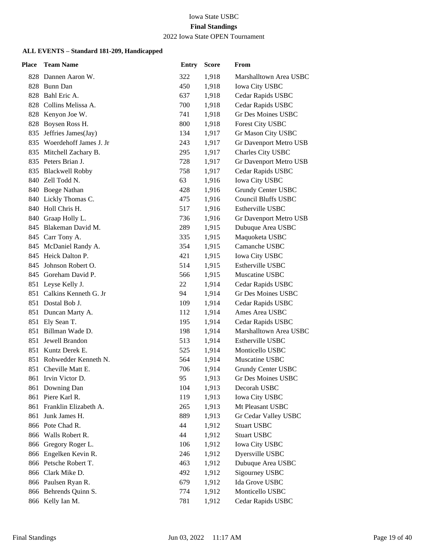### 2022 Iowa State OPEN Tournament

| Place | <b>Team Name</b>           | <b>Entry</b> | <b>Score</b> | From                       |
|-------|----------------------------|--------------|--------------|----------------------------|
|       | 828 Dannen Aaron W.        | 322          | 1,918        | Marshalltown Area USBC     |
|       | 828 Bunn Dan               | 450          | 1,918        | <b>Iowa City USBC</b>      |
|       | 828 Bahl Eric A.           | 637          | 1,918        | Cedar Rapids USBC          |
|       | 828 Collins Melissa A.     | 700          | 1,918        | Cedar Rapids USBC          |
|       | 828 Kenyon Joe W.          | 741          | 1,918        | Gr Des Moines USBC         |
|       | 828 Boysen Ross H.         | 800          | 1,918        | Forest City USBC           |
| 835   | Jeffries James(Jay)        | 134          | 1,917        | Gr Mason City USBC         |
|       | 835 Woerdehoff James J. Jr | 243          | 1,917        | Gr Davenport Metro USB     |
|       | 835 Mitchell Zachary B.    | 295          | 1,917        | Charles City USBC          |
|       | 835 Peters Brian J.        | 728          | 1,917        | Gr Davenport Metro USB     |
|       | 835 Blackwell Robby        | 758          | 1,917        | Cedar Rapids USBC          |
|       | 840 Zell Todd N.           | 63           | 1,916        | Iowa City USBC             |
|       | 840 Boege Nathan           | 428          | 1,916        | Grundy Center USBC         |
|       | 840 Lickly Thomas C.       | 475          | 1,916        | <b>Council Bluffs USBC</b> |
|       | 840 Holl Chris H.          | 517          | 1,916        | Estherville USBC           |
|       | 840 Graap Holly L.         | 736          | 1,916        | Gr Davenport Metro USB     |
|       | 845 Blakeman David M.      | 289          | 1,915        | Dubuque Area USBC          |
|       | 845 Carr Tony A.           | 335          | 1,915        | Maquoketa USBC             |
|       | 845 McDaniel Randy A.      | 354          | 1,915        | Camanche USBC              |
|       | 845 Heick Dalton P.        | 421          | 1,915        | Iowa City USBC             |
|       | 845 Johnson Robert O.      | 514          | 1,915        | Estherville USBC           |
|       | 845 Goreham David P.       | 566          | 1,915        | Muscatine USBC             |
|       | 851 Leyse Kelly J.         | 22           | 1,914        | Cedar Rapids USBC          |
|       | 851 Calkins Kenneth G. Jr  | 94           | 1,914        | Gr Des Moines USBC         |
|       | 851 Dostal Bob J.          | 109          | 1,914        | Cedar Rapids USBC          |
|       | 851 Duncan Marty A.        | 112          | 1,914        | Ames Area USBC             |
| 851   | Ely Sean T.                | 195          | 1,914        | Cedar Rapids USBC          |
|       | 851 Billman Wade D.        | 198          | 1,914        | Marshalltown Area USBC     |
|       | 851 Jewell Brandon         | 513          | 1,914        | Estherville USBC           |
|       | 851 Kuntz Derek E.         | 525          | 1,914        | Monticello USBC            |
| 851   | Rohwedder Kenneth N.       | 564          | 1,914        | Muscatine USBC             |
|       | 851 Cheville Matt E.       | 706          | 1,914        | Grundy Center USBC         |
|       | 861 Irvin Victor D.        | 95           | 1,913        | <b>Gr Des Moines USBC</b>  |
| 861   | Downing Dan                | 104          | 1,913        | Decorah USBC               |
|       | 861 Piere Karl R.          | 119          | 1,913        | Iowa City USBC             |
|       | 861 Franklin Elizabeth A.  | 265          | 1,913        | Mt Pleasant USBC           |
|       | 861 Junk James H.          | 889          | 1,913        | Gr Cedar Valley USBC       |
|       | 866 Pote Chad R.           | 44           | 1,912        | <b>Stuart USBC</b>         |
|       | 866 Walls Robert R.        | 44           | 1,912        | <b>Stuart USBC</b>         |
|       | 866 Gregory Roger L.       | 106          | 1,912        | <b>Iowa City USBC</b>      |
|       | 866 Engelken Kevin R.      | 246          | 1,912        | Dyersville USBC            |
|       | 866 Petsche Robert T.      | 463          | 1,912        | Dubuque Area USBC          |
| 866-  | Clark Mike D.              | 492          | 1,912        | Sigourney USBC             |
|       | 866 Paulsen Ryan R.        | 679          | 1,912        | Ida Grove USBC             |
|       | 866 Behrends Quinn S.      | 774          | 1,912        | Monticello USBC            |
|       | 866 Kelly Ian M.           | 781          | 1,912        | Cedar Rapids USBC          |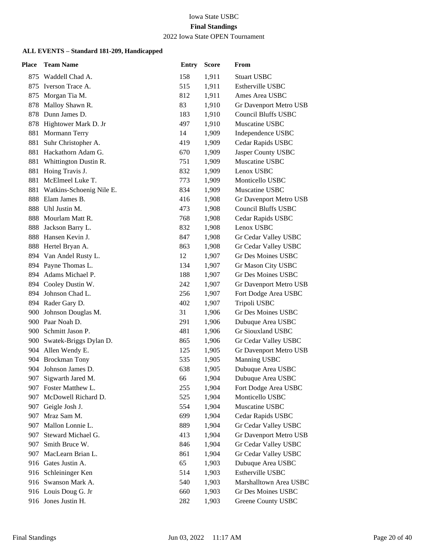### 2022 Iowa State OPEN Tournament

| Place | <b>Team Name</b>             | <b>Entry</b> | <b>Score</b> | From                          |
|-------|------------------------------|--------------|--------------|-------------------------------|
|       | 875 Waddell Chad A.          | 158          | 1,911        | <b>Stuart USBC</b>            |
|       | 875 Iverson Trace A.         | 515          | 1,911        | Estherville USBC              |
| 875   | Morgan Tia M.                | 812          | 1,911        | Ames Area USBC                |
|       | 878 Malloy Shawn R.          | 83           | 1,910        | Gr Davenport Metro USB        |
|       | 878 Dunn James D.            | 183          | 1,910        | <b>Council Bluffs USBC</b>    |
|       | 878 Hightower Mark D. Jr     | 497          | 1,910        | Muscatine USBC                |
|       | 881 Mormann Terry            | 14           | 1,909        | Independence USBC             |
|       | 881 Suhr Christopher A.      | 419          | 1,909        | Cedar Rapids USBC             |
|       | 881 Hackathorn Adam G.       | 670          | 1,909        | Jasper County USBC            |
|       | 881 Whittington Dustin R.    | 751          | 1,909        | Muscatine USBC                |
| 881   | Hoing Travis J.              | 832          | 1,909        | Lenox USBC                    |
|       | 881 McElmeel Luke T.         | 773          | 1,909        | Monticello USBC               |
|       | 881 Watkins-Schoenig Nile E. | 834          | 1,909        | Muscatine USBC                |
|       | 888 Elam James B.            | 416          | 1,908        | <b>Gr Davenport Metro USB</b> |
|       | 888 Uhl Justin M.            | 473          | 1,908        | <b>Council Bluffs USBC</b>    |
|       | 888 Mourlam Matt R.          | 768          | 1,908        | Cedar Rapids USBC             |
|       | 888 Jackson Barry L.         | 832          | 1,908        | Lenox USBC                    |
|       | 888 Hansen Kevin J.          | 847          | 1,908        | Gr Cedar Valley USBC          |
|       | 888 Hertel Bryan A.          | 863          | 1,908        | Gr Cedar Valley USBC          |
|       | 894 Van Andel Rusty L.       | 12           | 1,907        | <b>Gr Des Moines USBC</b>     |
|       | 894 Payne Thomas L.          | 134          | 1,907        | Gr Mason City USBC            |
|       | 894 Adams Michael P.         | 188          | 1,907        | <b>Gr Des Moines USBC</b>     |
|       | 894 Cooley Dustin W.         | 242          | 1,907        | Gr Davenport Metro USB        |
|       | 894 Johnson Chad L.          | 256          | 1,907        | Fort Dodge Area USBC          |
|       | 894 Rader Gary D.            | 402          | 1,907        | Tripoli USBC                  |
|       | 900 Johnson Douglas M.       | 31           | 1,906        | <b>Gr Des Moines USBC</b>     |
|       | 900 Paar Noah D.             | 291          | 1,906        | Dubuque Area USBC             |
|       | 900 Schmitt Jason P.         | 481          | 1,906        | <b>Gr Siouxland USBC</b>      |
|       | 900 Swatek-Briggs Dylan D.   | 865          | 1,906        | Gr Cedar Valley USBC          |
|       | 904 Allen Wendy E.           | 125          | 1,905        | Gr Davenport Metro USB        |
|       | 904 Brockman Tony            | 535          | 1,905        | Manning USBC                  |
|       | 904 Johnson James D.         | 638          | 1,905        | Dubuque Area USBC             |
|       | 907 Sigwarth Jared M.        | 66           | 1,904        | Dubuque Area USBC             |
| 907   | Foster Matthew L.            | 255          | 1,904        | Fort Dodge Area USBC          |
| 907   | McDowell Richard D.          | 525          | 1,904        | Monticello USBC               |
| 907   | Geigle Josh J.               | 554          | 1,904        | Muscatine USBC                |
| 907   | Mraz Sam M.                  | 699          | 1,904        | Cedar Rapids USBC             |
| 907   | Mallon Lonnie L.             | 889          | 1,904        | Gr Cedar Valley USBC          |
| 907   | Steward Michael G.           | 413          | 1,904        | <b>Gr Davenport Metro USB</b> |
| 907   | Smith Bruce W.               | 846          | 1,904        | Gr Cedar Valley USBC          |
|       | 907 MacLearn Brian L.        | 861          | 1,904        | Gr Cedar Valley USBC          |
|       | 916 Gates Justin A.          | 65           | 1,903        | Dubuque Area USBC             |
| 916   | Schleininger Ken             | 514          | 1,903        | Estherville USBC              |
|       | 916 Swanson Mark A.          | 540          | 1,903        | Marshalltown Area USBC        |
|       | 916 Louis Doug G. Jr         | 660          | 1,903        | Gr Des Moines USBC            |
|       | 916 Jones Justin H.          | 282          | 1,903        | Greene County USBC            |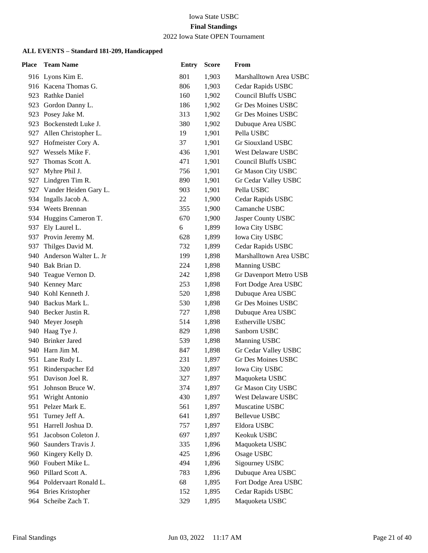### 2022 Iowa State OPEN Tournament

| Place | <b>Team Name</b>          | <b>Entry</b> | <b>Score</b> | From                       |
|-------|---------------------------|--------------|--------------|----------------------------|
|       | 916 Lyons Kim E.          | 801          | 1,903        | Marshalltown Area USBC     |
|       | 916 Kacena Thomas G.      | 806          | 1,903        | Cedar Rapids USBC          |
|       | 923 Rathke Daniel         | 160          | 1,902        | Council Bluffs USBC        |
|       | 923 Gordon Danny L.       | 186          | 1,902        | <b>Gr Des Moines USBC</b>  |
|       | 923 Posey Jake M.         | 313          | 1,902        | <b>Gr Des Moines USBC</b>  |
|       | 923 Bockenstedt Luke J.   | 380          | 1,902        | Dubuque Area USBC          |
| 927   | Allen Christopher L.      | 19           | 1,901        | Pella USBC                 |
|       | 927 Hofmeister Cory A.    | 37           | 1,901        | Gr Siouxland USBC          |
|       | 927 Wessels Mike F.       | 436          | 1,901        | West Delaware USBC         |
| 927   | Thomas Scott A.           | 471          | 1,901        | <b>Council Bluffs USBC</b> |
| 927   | Myhre Phil J.             | 756          | 1,901        | Gr Mason City USBC         |
|       | 927 Lindgren Tim R.       | 890          | 1,901        | Gr Cedar Valley USBC       |
|       | 927 Vander Heiden Gary L. | 903          | 1,901        | Pella USBC                 |
|       | 934 Ingalls Jacob A.      | 22           | 1,900        | Cedar Rapids USBC          |
|       | 934 Weets Brennan         | 355          | 1,900        | Camanche USBC              |
|       | 934 Huggins Cameron T.    | 670          | 1,900        | Jasper County USBC         |
|       | 937 Ely Laurel L.         | 6            | 1,899        | <b>Iowa City USBC</b>      |
|       | 937 Provin Jeremy M.      | 628          | 1,899        | Iowa City USBC             |
| 937   | Thilges David M.          | 732          | 1,899        | Cedar Rapids USBC          |
|       | 940 Anderson Walter L. Jr | 199          | 1,898        | Marshalltown Area USBC     |
|       | 940 Bak Brian D.          | 224          | 1,898        | Manning USBC               |
|       | 940 Teague Vernon D.      | 242          | 1,898        | Gr Davenport Metro USB     |
|       | 940 Kenney Marc           | 253          | 1,898        | Fort Dodge Area USBC       |
|       | 940 Kohl Kenneth J.       | 520          | 1,898        | Dubuque Area USBC          |
|       | 940 Backus Mark L.        | 530          | 1,898        | <b>Gr Des Moines USBC</b>  |
|       | 940 Becker Justin R.      | 727          | 1,898        | Dubuque Area USBC          |
|       | 940 Meyer Joseph          | 514          | 1,898        | Estherville USBC           |
|       | 940 Haag Tye J.           | 829          | 1,898        | Sanborn USBC               |
|       | 940 Brinker Jared         | 539          | 1,898        | Manning USBC               |
|       | 940 Harn Jim M.           | 847          | 1,898        | Gr Cedar Valley USBC       |
|       | 951 Lane Rudy L.          | 231          | 1,897        | Gr Des Moines USBC         |
|       | 951 Rinderspacher Ed      | 320          | 1,897        | Iowa City USBC             |
|       | 951 Davison Joel R.       | 327          | 1,897        | Maquoketa USBC             |
| 951   | Johnson Bruce W.          | 374          | 1,897        | Gr Mason City USBC         |
| 951   | Wright Antonio            | 430          | 1,897        | West Delaware USBC         |
|       | 951 Pelzer Mark E.        | 561          | 1,897        | Muscatine USBC             |
| 951   | Turney Jeff A.            | 641          | 1,897        | Bellevue USBC              |
| 951   | Harrell Joshua D.         | 757          | 1,897        | Eldora USBC                |
| 951   | Jacobson Coleton J.       | 697          | 1,897        | Keokuk USBC                |
| 960   | Saunders Travis J.        | 335          | 1,896        | Maquoketa USBC             |
| 960.  | Kingery Kelly D.          | 425          | 1,896        | Osage USBC                 |
| 960   | Foubert Mike L.           | 494          | 1,896        | Sigourney USBC             |
| 960   | Pillard Scott A.          | 783          | 1,896        | Dubuque Area USBC          |
|       | 964 Poldervaart Ronald L. | 68           | 1,895        | Fort Dodge Area USBC       |
|       | 964 Bries Kristopher      | 152          | 1,895        | Cedar Rapids USBC          |
| 964   | Scheibe Zach T.           | 329          | 1,895        | Maquoketa USBC             |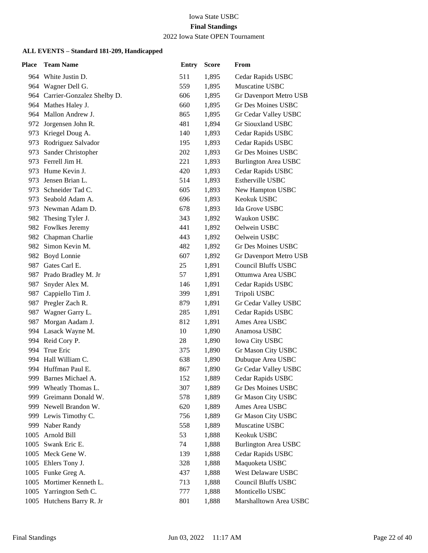### 2022 Iowa State OPEN Tournament

| Place | <b>Team Name</b>               | <b>Entry</b> | <b>Score</b> | From                        |
|-------|--------------------------------|--------------|--------------|-----------------------------|
|       | 964 White Justin D.            | 511          | 1,895        | Cedar Rapids USBC           |
|       | 964 Wagner Dell G.             | 559          | 1,895        | Muscatine USBC              |
|       | 964 Carrier-Gonzalez Shelby D. | 606          | 1,895        | Gr Davenport Metro USB      |
|       | 964 Mathes Haley J.            | 660          | 1,895        | <b>Gr Des Moines USBC</b>   |
|       | 964 Mallon Andrew J.           | 865          | 1,895        | Gr Cedar Valley USBC        |
|       | 972 Jorgensen John R.          | 481          | 1,894        | Gr Siouxland USBC           |
|       | 973 Kriegel Doug A.            | 140          | 1,893        | Cedar Rapids USBC           |
|       | 973 Rodriguez Salvador         | 195          | 1,893        | Cedar Rapids USBC           |
|       | 973 Sander Christopher         | 202          | 1,893        | <b>Gr Des Moines USBC</b>   |
|       | 973 Ferrell Jim H.             | 221          | 1,893        | <b>Burlington Area USBC</b> |
| 973.  | Hume Kevin J.                  | 420          | 1,893        | Cedar Rapids USBC           |
| 973.  | Jensen Brian L.                | 514          | 1,893        | Estherville USBC            |
|       | 973 Schneider Tad C.           | 605          | 1,893        | New Hampton USBC            |
|       | 973 Seabold Adam A.            | 696          | 1,893        | Keokuk USBC                 |
|       | 973 Newman Adam D.             | 678          | 1,893        | Ida Grove USBC              |
|       | 982 Thesing Tyler J.           | 343          | 1,892        | Waukon USBC                 |
|       | 982 Fowlkes Jeremy             | 441          | 1,892        | Oelwein USBC                |
|       | 982 Chapman Charlie            | 443          | 1,892        | Oelwein USBC                |
|       | 982 Simon Kevin M.             | 482          | 1,892        | <b>Gr Des Moines USBC</b>   |
|       | 982 Boyd Lonnie                | 607          | 1,892        | Gr Davenport Metro USB      |
|       | 987 Gates Carl E.              | 25           | 1,891        | <b>Council Bluffs USBC</b>  |
|       | 987 Prado Bradley M. Jr        | 57           | 1,891        | Ottumwa Area USBC           |
| 987   | Snyder Alex M.                 | 146          | 1,891        | Cedar Rapids USBC           |
|       | 987 Cappiello Tim J.           | 399          | 1,891        | Tripoli USBC                |
|       | 987 Pregler Zach R.            | 879          | 1,891        | Gr Cedar Valley USBC        |
|       | 987 Wagner Garry L.            | 285          | 1,891        | Cedar Rapids USBC           |
| 987 - | Morgan Aadam J.                | 812          | 1,891        | Ames Area USBC              |
|       | 994 Lasack Wayne M.            | 10           | 1,890        | Anamosa USBC                |
|       | 994 Reid Cory P.               | 28           | 1,890        | <b>Iowa City USBC</b>       |
|       | 994 True Eric                  | 375          | 1,890        | Gr Mason City USBC          |
|       | 994 Hall William C.            | 638          | 1,890        | Dubuque Area USBC           |
|       | 994 Huffman Paul E.            | 867          | 1,890        | Gr Cedar Valley USBC        |
|       | 999 Barnes Michael A.          | 152          | 1,889        | Cedar Rapids USBC           |
| 999   | Wheatly Thomas L.              | 307          | 1,889        | Gr Des Moines USBC          |
| 999   | Greimann Donald W.             | 578          | 1,889        | Gr Mason City USBC          |
|       | 999 Newell Brandon W.          | 620          | 1,889        | Ames Area USBC              |
|       | 999 Lewis Timothy C.           | 756          | 1,889        | Gr Mason City USBC          |
|       | 999 Naber Randy                | 558          | 1,889        | Muscatine USBC              |
| 1005  | Arnold Bill                    | 53           | 1,888        | Keokuk USBC                 |
|       | 1005 Swank Eric E.             | 74           | 1,888        | <b>Burlington Area USBC</b> |
|       | 1005 Meck Gene W.              | 139          | 1,888        | Cedar Rapids USBC           |
|       | 1005 Ehlers Tony J.            | 328          | 1,888        | Maquoketa USBC              |
|       | 1005 Funke Greg A.             | 437          | 1,888        | West Delaware USBC          |
|       | 1005 Mortimer Kenneth L.       | 713          | 1,888        | <b>Council Bluffs USBC</b>  |
|       | 1005 Yarrington Seth C.        | 777          | 1,888        | Monticello USBC             |
|       | 1005 Hutchens Barry R. Jr      | 801          | 1,888        | Marshalltown Area USBC      |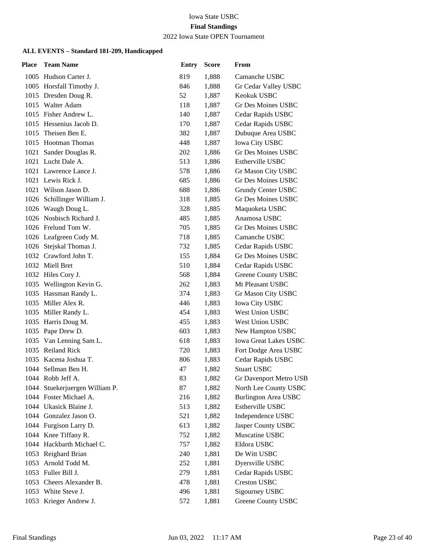### 2022 Iowa State OPEN Tournament

| Place | <b>Team Name</b>               | <b>Entry</b> | <b>Score</b> | From                         |
|-------|--------------------------------|--------------|--------------|------------------------------|
|       | 1005 Hudson Carter J.          | 819          | 1,888        | Camanche USBC                |
|       | 1005 Horsfall Timothy J.       | 846          | 1,888        | Gr Cedar Valley USBC         |
|       | 1015 Dresden Doug R.           | 52           | 1,887        | Keokuk USBC                  |
|       | 1015 Walter Adam               | 118          | 1,887        | Gr Des Moines USBC           |
|       | 1015 Fisher Andrew L.          | 140          | 1,887        | Cedar Rapids USBC            |
|       | 1015 Hessenius Jacob D.        | 170          | 1,887        | Cedar Rapids USBC            |
|       | 1015 Theisen Ben E.            | 382          | 1,887        | Dubuque Area USBC            |
|       | 1015 Hootman Thomas            | 448          | 1,887        | Iowa City USBC               |
|       | 1021 Sander Douglas R.         | 202          | 1,886        | Gr Des Moines USBC           |
|       | 1021 Lucht Dale A.             | 513          | 1,886        | <b>Estherville USBC</b>      |
|       | 1021 Lawrence Lance J.         | 578          | 1,886        | Gr Mason City USBC           |
|       | 1021 Lewis Rick J.             | 685          | 1,886        | <b>Gr Des Moines USBC</b>    |
|       | 1021 Wilson Jason D.           | 688          | 1,886        | Grundy Center USBC           |
|       | 1026 Schillinger William J.    | 318          | 1,885        | <b>Gr Des Moines USBC</b>    |
|       | 1026 Waugh Doug L.             | 328          | 1,885        | Maquoketa USBC               |
|       | 1026 Nosbisch Richard J.       | 485          | 1,885        | Anamosa USBC                 |
|       | 1026 Frelund Tom W.            | 705          | 1,885        | Gr Des Moines USBC           |
|       | 1026 Leafgreen Cody M.         | 718          | 1,885        | Camanche USBC                |
|       | 1026 Stejskal Thomas J.        | 732          | 1,885        | Cedar Rapids USBC            |
|       | 1032 Crawford John T.          | 155          | 1,884        | <b>Gr Des Moines USBC</b>    |
|       | 1032 Miell Bret                | 510          | 1,884        | Cedar Rapids USBC            |
|       | 1032 Hiles Cory J.             | 568          | 1,884        | Greene County USBC           |
|       | 1035 Wellington Kevin G.       | 262          | 1,883        | Mt Pleasant USBC             |
|       | 1035 Hassman Randy L.          | 374          | 1,883        | Gr Mason City USBC           |
|       | 1035 Miller Alex R.            | 446          | 1,883        | <b>Iowa City USBC</b>        |
|       | 1035 Miller Randy L.           | 454          | 1,883        | West Union USBC              |
|       | 1035 Harris Doug M.            | 455          | 1,883        | <b>West Union USBC</b>       |
|       | 1035 Pape Drew D.              | 603          | 1,883        | New Hampton USBC             |
|       | 1035 Van Lenning Sam L.        | 618          | 1,883        | <b>Iowa Great Lakes USBC</b> |
|       | 1035 Reiland Rick              | 720          | 1,883        | Fort Dodge Area USBC         |
|       | 1035 Kacena Joshua T.          | 806          | 1,883        | Cedar Rapids USBC            |
|       | 1044 Sellman Ben H.            | 47           | 1,882        | <b>Stuart USBC</b>           |
|       | 1044 Robb Jeff A.              | 83           | 1,882        | Gr Davenport Metro USB       |
|       | 1044 Stuekerjuergen William P. | 87           | 1,882        | North Lee County USBC        |
|       | 1044 Foster Michael A.         | 216          | 1,882        | <b>Burlington Area USBC</b>  |
|       | 1044 Ukasick Blaine J.         | 513          | 1,882        | Estherville USBC             |
|       | 1044 Gonzalez Jason O.         | 521          | 1,882        | Independence USBC            |
|       | 1044 Furgison Larry D.         | 613          | 1,882        | Jasper County USBC           |
|       | 1044 Knee Tiffany R.           | 752          | 1,882        | Muscatine USBC               |
|       | 1044 Hackbarth Michael C.      | 757          | 1,882        | Eldora USBC                  |
|       | 1053 Reighard Brian            | 240          | 1,881        | De Witt USBC                 |
|       | 1053 Arnold Todd M.            | 252          | 1,881        | Dyersville USBC              |
|       | 1053 Fuller Bill J.            | 279          | 1,881        | Cedar Rapids USBC            |
|       | 1053 Cheers Alexander B.       | 478          | 1,881        | <b>Creston USBC</b>          |
|       | 1053 White Steve J.            | 496          | 1,881        | Sigourney USBC               |
|       | 1053 Krieger Andrew J.         | 572          | 1,881        | Greene County USBC           |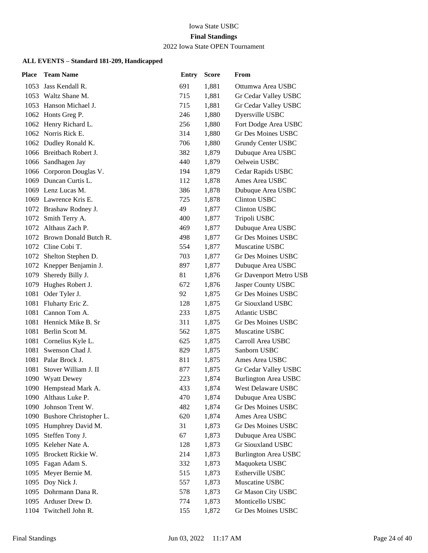2022 Iowa State OPEN Tournament

| Place | <b>Team Name</b>            | <b>Entry</b> | <b>Score</b> | From                        |
|-------|-----------------------------|--------------|--------------|-----------------------------|
|       | 1053 Jass Kendall R.        | 691          | 1,881        | Ottumwa Area USBC           |
|       | 1053 Waltz Shane M.         | 715          | 1,881        | Gr Cedar Valley USBC        |
|       | 1053 Hanson Michael J.      | 715          | 1,881        | Gr Cedar Valley USBC        |
|       | 1062 Honts Greg P.          | 246          | 1,880        | Dyersville USBC             |
|       | 1062 Henry Richard L.       | 256          | 1,880        | Fort Dodge Area USBC        |
|       | 1062 Norris Rick E.         | 314          | 1,880        | Gr Des Moines USBC          |
|       | 1062 Dudley Ronald K.       | 706          | 1,880        | Grundy Center USBC          |
|       | 1066 Breitbach Robert J.    | 382          | 1,879        | Dubuque Area USBC           |
|       | 1066 Sandhagen Jay          | 440          | 1,879        | Oelwein USBC                |
|       | 1066 Corporon Douglas V.    | 194          | 1,879        | Cedar Rapids USBC           |
|       | 1069 Duncan Curtis L.       | 112          | 1,878        | Ames Area USBC              |
|       | 1069 Lenz Lucas M.          | 386          | 1,878        | Dubuque Area USBC           |
|       | 1069 Lawrence Kris E.       | 725          | 1,878        | <b>Clinton USBC</b>         |
|       | 1072 Brashaw Rodney J.      | 49           | 1,877        | <b>Clinton USBC</b>         |
|       | 1072 Smith Terry A.         | 400          | 1,877        | Tripoli USBC                |
|       | 1072 Althaus Zach P.        | 469          | 1,877        | Dubuque Area USBC           |
|       | 1072 Brown Donald Butch R.  | 498          | 1,877        | <b>Gr Des Moines USBC</b>   |
|       | 1072 Cline Cobi T.          | 554          | 1,877        | Muscatine USBC              |
|       | 1072 Shelton Stephen D.     | 703          | 1,877        | Gr Des Moines USBC          |
|       | 1072 Knepper Benjamin J.    | 897          | 1,877        | Dubuque Area USBC           |
|       | 1079 Sheredy Billy J.       | 81           | 1,876        | Gr Davenport Metro USB      |
|       | 1079 Hughes Robert J.       | 672          | 1,876        | Jasper County USBC          |
| 1081  | Oder Tyler J.               | 92           | 1,875        | <b>Gr Des Moines USBC</b>   |
| 1081  | Fluharty Eric Z.            | 128          | 1,875        | Gr Siouxland USBC           |
| 1081  | Cannon Tom A.               | 233          | 1,875        | <b>Atlantic USBC</b>        |
|       | 1081 Hennick Mike B. Sr     | 311          | 1,875        | Gr Des Moines USBC          |
|       | 1081 Berlin Scott M.        | 562          | 1,875        | Muscatine USBC              |
| 1081  | Cornelius Kyle L.           | 625          | 1,875        | Carroll Area USBC           |
|       | 1081 Swenson Chad J.        | 829          | 1,875        | Sanborn USBC                |
|       | 1081 Palar Brock J.         | 811          | 1,875        | Ames Area USBC              |
| 1081  | Stover William J. II        | 877          | 1,875        | Gr Cedar Valley USBC        |
|       | 1090 Wyatt Dewey            | 223          | 1,874        | <b>Burlington Area USBC</b> |
|       | 1090 Hempstead Mark A.      | 433          | 1,874        | West Delaware USBC          |
|       | 1090 Althaus Luke P.        | 470          | 1,874        | Dubuque Area USBC           |
|       | 1090 Johnson Trent W.       | 482          | 1,874        | Gr Des Moines USBC          |
|       | 1090 Bushore Christopher L. | 620          | 1,874        | Ames Area USBC              |
|       | 1095 Humphrey David M.      | 31           | 1,873        | Gr Des Moines USBC          |
|       | 1095 Steffen Tony J.        | 67           | 1,873        | Dubuque Area USBC           |
|       | 1095 Keleher Nate A.        | 128          | 1,873        | <b>Gr Siouxland USBC</b>    |
|       | 1095 Brockett Rickie W.     | 214          | 1,873        | <b>Burlington Area USBC</b> |
|       | 1095 Fagan Adam S.          | 332          | 1,873        | Maquoketa USBC              |
|       | 1095 Meyer Bernie M.        | 515          | 1,873        | Estherville USBC            |
|       | 1095 Doy Nick J.            | 557          | 1,873        | Muscatine USBC              |
|       | 1095 Dohrmann Dana R.       | 578          | 1,873        | Gr Mason City USBC          |
|       | 1095 Arduser Drew D.        | 774          | 1,873        | Monticello USBC             |
|       | 1104 Twitchell John R.      | 155          | 1,872        | Gr Des Moines USBC          |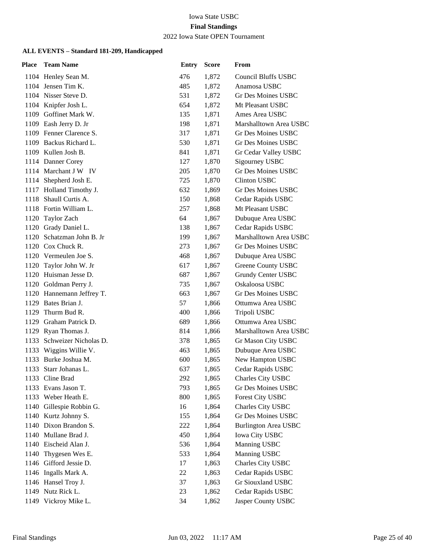### 2022 Iowa State OPEN Tournament

| <b>Place</b> | <b>Team Name</b>           | <b>Entry</b> | <b>Score</b> | From                        |
|--------------|----------------------------|--------------|--------------|-----------------------------|
|              | 1104 Henley Sean M.        | 476          | 1,872        | <b>Council Bluffs USBC</b>  |
|              | 1104 Jensen Tim K.         | 485          | 1,872        | Anamosa USBC                |
|              | 1104 Nisser Steve D.       | 531          | 1,872        | <b>Gr Des Moines USBC</b>   |
|              | 1104 Knipfer Josh L.       | 654          | 1,872        | Mt Pleasant USBC            |
|              | 1109 Goffinet Mark W.      | 135          | 1,871        | Ames Area USBC              |
|              | 1109 Eash Jerry D. Jr      | 198          | 1,871        | Marshalltown Area USBC      |
|              | 1109 Fenner Clarence S.    | 317          | 1,871        | Gr Des Moines USBC          |
|              | 1109 Backus Richard L.     | 530          | 1,871        | <b>Gr Des Moines USBC</b>   |
|              | 1109 Kullen Josh B.        | 841          | 1,871        | Gr Cedar Valley USBC        |
|              | 1114 Danner Corey          | 127          | 1,870        | Sigourney USBC              |
|              | 1114 Marchant J W IV       | 205          | 1,870        | <b>Gr Des Moines USBC</b>   |
|              | 1114 Shepherd Josh E.      | 725          | 1,870        | <b>Clinton USBC</b>         |
|              | 1117 Holland Timothy J.    | 632          | 1,869        | <b>Gr Des Moines USBC</b>   |
|              | 1118 Shaull Curtis A.      | 150          | 1,868        | Cedar Rapids USBC           |
|              | 1118 Fortin William L.     | 257          | 1,868        | Mt Pleasant USBC            |
|              | 1120 Taylor Zach           | 64           | 1,867        | Dubuque Area USBC           |
|              | 1120 Grady Daniel L.       | 138          | 1,867        | Cedar Rapids USBC           |
|              | 1120 Schatzman John B. Jr  | 199          | 1,867        | Marshalltown Area USBC      |
|              | 1120 Cox Chuck R.          | 273          | 1,867        | <b>Gr Des Moines USBC</b>   |
|              | 1120 Vermeulen Joe S.      | 468          | 1,867        | Dubuque Area USBC           |
|              | 1120 Taylor John W. Jr     | 617          | 1,867        | Greene County USBC          |
|              | 1120 Huisman Jesse D.      | 687          | 1,867        | <b>Grundy Center USBC</b>   |
|              | 1120 Goldman Perry J.      | 735          | 1,867        | Oskaloosa USBC              |
|              | 1120 Hannemann Jeffrey T.  | 663          | 1,867        | <b>Gr Des Moines USBC</b>   |
|              | 1129 Bates Brian J.        | 57           | 1,866        | Ottumwa Area USBC           |
|              | 1129 Thurm Bud R.          | 400          | 1,866        | Tripoli USBC                |
|              | 1129 Graham Patrick D.     | 689          | 1,866        | Ottumwa Area USBC           |
|              | 1129 Ryan Thomas J.        | 814          | 1,866        | Marshalltown Area USBC      |
|              | 1133 Schweizer Nicholas D. | 378          | 1,865        | Gr Mason City USBC          |
|              | 1133 Wiggins Willie V.     | 463          | 1,865        | Dubuque Area USBC           |
|              | 1133 Burke Joshua M.       | 600          | 1,865        | New Hampton USBC            |
| 1133         | Starr Johanas L.           | 637          | 1,865        | Cedar Rapids USBC           |
|              | 1133 Cline Brad            | 292          | 1,865        | Charles City USBC           |
|              | 1133 Evans Jason T.        | 793          | 1,865        | Gr Des Moines USBC          |
|              | 1133 Weber Heath E.        | 800          | 1,865        | Forest City USBC            |
|              | 1140 Gillespie Robbin G.   | 16           | 1,864        | Charles City USBC           |
|              | 1140 Kurtz Johnny S.       | 155          | 1,864        | Gr Des Moines USBC          |
|              | 1140 Dixon Brandon S.      | 222          | 1,864        | <b>Burlington Area USBC</b> |
|              | 1140 Mullane Brad J.       | 450          | 1,864        | <b>Iowa City USBC</b>       |
|              | 1140 Eischeid Alan J.      | 536          | 1,864        | Manning USBC                |
|              | 1140 Thygesen Wes E.       | 533          | 1,864        | Manning USBC                |
|              | 1146 Gifford Jessie D.     | 17           | 1,863        | Charles City USBC           |
|              | 1146 Ingalls Mark A.       | 22           | 1,863        | Cedar Rapids USBC           |
|              | 1146 Hansel Troy J.        | 37           | 1,863        | Gr Siouxland USBC           |
|              | 1149 Nutz Rick L.          | 23           | 1,862        | Cedar Rapids USBC           |
|              | 1149 Vickroy Mike L.       | 34           | 1,862        | Jasper County USBC          |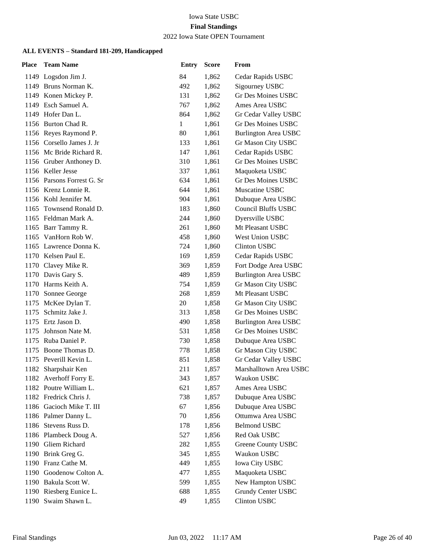### 2022 Iowa State OPEN Tournament

| Place | <b>Team Name</b>           | <b>Entry</b> | <b>Score</b> | From                        |
|-------|----------------------------|--------------|--------------|-----------------------------|
|       | 1149 Logsdon Jim J.        | 84           | 1,862        | Cedar Rapids USBC           |
|       | 1149 Bruns Norman K.       | 492          | 1,862        | Sigourney USBC              |
|       | 1149 Konen Mickey P.       | 131          | 1,862        | <b>Gr Des Moines USBC</b>   |
|       | 1149 Esch Samuel A.        | 767          | 1,862        | Ames Area USBC              |
|       | 1149 Hofer Dan L.          | 864          | 1,862        | Gr Cedar Valley USBC        |
|       | 1156 Burton Chad R.        | 1            | 1,861        | Gr Des Moines USBC          |
|       | 1156 Reyes Raymond P.      | 80           | 1,861        | <b>Burlington Area USBC</b> |
|       | 1156 Corsello James J. Jr  | 133          | 1,861        | Gr Mason City USBC          |
|       | 1156 Mc Bride Richard R.   | 147          | 1,861        | Cedar Rapids USBC           |
|       | 1156 Gruber Anthoney D.    | 310          | 1,861        | Gr Des Moines USBC          |
|       | 1156 Keller Jesse          | 337          | 1,861        | Maquoketa USBC              |
|       | 1156 Parsons Forrest G. Sr | 634          | 1,861        | Gr Des Moines USBC          |
|       | 1156 Krenz Lonnie R.       | 644          | 1,861        | Muscatine USBC              |
|       | 1156 Kohl Jennifer M.      | 904          | 1,861        | Dubuque Area USBC           |
|       | 1165 Townsend Ronald D.    | 183          | 1,860        | <b>Council Bluffs USBC</b>  |
|       | 1165 Feldman Mark A.       | 244          | 1,860        | Dyersville USBC             |
|       | 1165 Barr Tammy R.         | 261          | 1,860        | Mt Pleasant USBC            |
|       | 1165 VanHorn Rob W.        | 458          | 1,860        | West Union USBC             |
|       | 1165 Lawrence Donna K.     | 724          | 1,860        | <b>Clinton USBC</b>         |
|       | 1170 Kelsen Paul E.        | 169          | 1,859        | Cedar Rapids USBC           |
|       | 1170 Clavey Mike R.        | 369          | 1,859        | Fort Dodge Area USBC        |
|       | 1170 Davis Gary S.         | 489          | 1,859        | <b>Burlington Area USBC</b> |
|       | 1170 Harms Keith A.        | 754          | 1,859        | Gr Mason City USBC          |
|       | 1170 Sonnee George         | 268          | 1,859        | Mt Pleasant USBC            |
|       | 1175 McKee Dylan T.        | 20           | 1,858        | Gr Mason City USBC          |
| 1175  | Schmitz Jake J.            | 313          | 1,858        | Gr Des Moines USBC          |
|       | 1175 Ertz Jason D.         | 490          | 1,858        | <b>Burlington Area USBC</b> |
| 1175  | Johnson Nate M.            | 531          | 1,858        | Gr Des Moines USBC          |
|       | 1175 Ruba Daniel P.        | 730          | 1,858        | Dubuque Area USBC           |
| 1175  | Boone Thomas D.            | 778          | 1,858        | Gr Mason City USBC          |
|       | 1175 Peverill Kevin L.     | 851          | 1,858        | Gr Cedar Valley USBC        |
|       | 1182 Sharpshair Ken        | 211          | 1,857        | Marshalltown Area USBC      |
|       | 1182 Averhoff Forry E.     | 343          | 1,857        | Waukon USBC                 |
|       | 1182 Poutre William L.     | 621          | 1,857        | Ames Area USBC              |
|       | 1182 Fredrick Chris J.     | 738          | 1,857        | Dubuque Area USBC           |
|       | 1186 Gacioch Mike T. III   | 67           | 1,856        | Dubuque Area USBC           |
|       | 1186 Palmer Danny L.       | 70           | 1,856        | Ottumwa Area USBC           |
|       | 1186 Stevens Russ D.       | 178          | 1,856        | <b>Belmond USBC</b>         |
|       | 1186 Plambeck Doug A.      | 527          | 1,856        | Red Oak USBC                |
|       | 1190 Gliem Richard         | 282          | 1,855        | Greene County USBC          |
|       | 1190 Brink Greg G.         | 345          | 1,855        | Waukon USBC                 |
|       | 1190 Franz Cathe M.        | 449          | 1,855        | <b>Iowa City USBC</b>       |
|       | 1190 Goodenow Colton A.    | 477          | 1,855        | Maquoketa USBC              |
|       | 1190 Bakula Scott W.       | 599          | 1,855        | New Hampton USBC            |
|       | 1190 Riesberg Eunice L.    | 688          | 1,855        | Grundy Center USBC          |
|       | 1190 Swaim Shawn L.        | 49           | 1,855        | Clinton USBC                |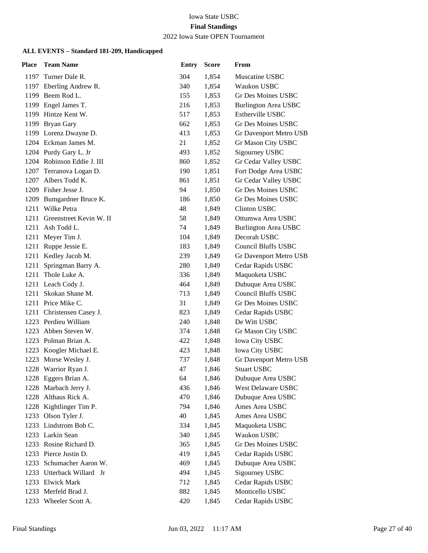#### 2022 Iowa State OPEN Tournament

| Place | <b>Team Name</b>             | <b>Entry</b> | <b>Score</b> | From                        |
|-------|------------------------------|--------------|--------------|-----------------------------|
|       | 1197 Turner Dale R.          | 304          | 1,854        | Muscatine USBC              |
|       | 1197 Eberling Andrew R.      | 340          | 1,854        | Waukon USBC                 |
|       | 1199 Beem Rod L.             | 155          | 1,853        | Gr Des Moines USBC          |
|       | 1199 Engel James T.          | 216          | 1,853        | <b>Burlington Area USBC</b> |
|       | 1199 Hintze Kent W.          | 517          | 1,853        | Estherville USBC            |
|       | 1199 Bryan Gary              | 662          | 1,853        | Gr Des Moines USBC          |
|       | 1199 Lorenz Dwayne D.        | 413          | 1,853        | Gr Davenport Metro USB      |
|       | 1204 Eckman James M.         | 21           | 1,852        | Gr Mason City USBC          |
|       | 1204 Purdy Gary L. Jr        | 493          | 1,852        | Sigourney USBC              |
|       | 1204 Robinson Eddie J. III   | 860          | 1,852        | Gr Cedar Valley USBC        |
|       | 1207 Terranova Logan D.      | 190          | 1,851        | Fort Dodge Area USBC        |
|       | 1207 Albers Todd K.          | 861          | 1,851        | Gr Cedar Valley USBC        |
|       | 1209 Fisher Jesse J.         | 94           | 1,850        | Gr Des Moines USBC          |
|       | 1209 Bumgardner Bruce K.     | 186          | 1,850        | Gr Des Moines USBC          |
|       | 1211 Wilke Petra             | 48           | 1,849        | <b>Clinton USBC</b>         |
|       | 1211 Greenstreet Kevin W. II | 58           | 1,849        | Ottumwa Area USBC           |
|       | 1211 Ash Todd L.             | 74           | 1,849        | <b>Burlington Area USBC</b> |
|       | 1211 Meyer Tim J.            | 104          | 1,849        | Decorah USBC                |
|       | 1211 Ruppe Jessie E.         | 183          | 1,849        | <b>Council Bluffs USBC</b>  |
|       | 1211 Kedley Jacob M.         | 239          | 1,849        | Gr Davenport Metro USB      |
|       | 1211 Springman Barry A.      | 280          | 1,849        | Cedar Rapids USBC           |
| 1211  | Thole Luke A.                | 336          | 1,849        | Maquoketa USBC              |
|       | 1211 Leach Cody J.           | 464          | 1,849        | Dubuque Area USBC           |
|       | 1211 Skokan Shane M.         | 713          | 1,849        | <b>Council Bluffs USBC</b>  |
|       | 1211 Price Mike C.           | 31           | 1,849        | Gr Des Moines USBC          |
|       | 1211 Christensen Casey J.    | 823          | 1,849        | Cedar Rapids USBC           |
|       | 1223 Perdieu William         | 240          | 1,848        | De Witt USBC                |
|       | 1223 Abben Steven W.         | 374          | 1,848        | Gr Mason City USBC          |
|       | 1223 Polman Brian A.         | 422          | 1,848        | Iowa City USBC              |
| 1223  | Koogler Michael E.           | 423          | 1,848        | Iowa City USBC              |
| 1223  | Morse Wesley J.              | 737          | 1,848        | Gr Davenport Metro USB      |
|       | 1228 Warrior Ryan J.         | 47           | 1,846        | <b>Stuart USBC</b>          |
|       | 1228 Eggers Brian A.         | 64           | 1,846        | Dubuque Area USBC           |
|       | 1228 Marbach Jerry J.        | 436          | 1,846        | West Delaware USBC          |
|       | 1228 Althaus Rick A.         | 470          | 1,846        | Dubuque Area USBC           |
|       | 1228 Kightlinger Tim P.      | 794          | 1,846        | Ames Area USBC              |
|       | 1233 Olson Tyler J.          | 40           | 1,845        | Ames Area USBC              |
|       | 1233 Lindstrom Bob C.        | 334          | 1,845        | Maquoketa USBC              |
| 1233  | Larkin Sean                  | 340          | 1,845        | Waukon USBC                 |
| 1233  | Rosine Richard D.            | 365          | 1,845        | Gr Des Moines USBC          |
|       | 1233 Pierce Justin D.        | 419          | 1,845        | Cedar Rapids USBC           |
| 1233  | Schumacher Aaron W.          | 469          | 1,845        | Dubuque Area USBC           |
| 1233  | Utterback Willard Jr         | 494          | 1,845        | Sigourney USBC              |
|       | 1233 Elwick Mark             | 712          | 1,845        | Cedar Rapids USBC           |
|       | 1233 Merfeld Brad J.         | 882          | 1,845        | Monticello USBC             |
|       | 1233 Wheeler Scott A.        | 420          | 1,845        | Cedar Rapids USBC           |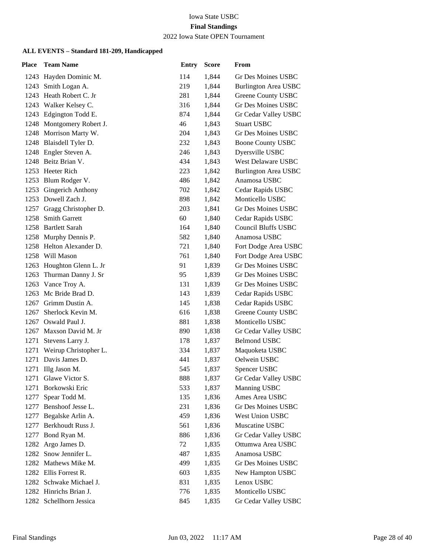### 2022 Iowa State OPEN Tournament

| Place | <b>Team Name</b>          | <b>Entry</b> | <b>Score</b> | From                        |
|-------|---------------------------|--------------|--------------|-----------------------------|
|       | 1243 Hayden Dominic M.    | 114          | 1,844        | Gr Des Moines USBC          |
|       | 1243 Smith Logan A.       | 219          | 1,844        | <b>Burlington Area USBC</b> |
|       | 1243 Heath Robert C. Jr   | 281          | 1,844        | Greene County USBC          |
|       | 1243 Walker Kelsey C.     | 316          | 1,844        | Gr Des Moines USBC          |
|       | 1243 Edgington Todd E.    | 874          | 1,844        | Gr Cedar Valley USBC        |
|       | 1248 Montgomery Robert J. | 46           | 1,843        | <b>Stuart USBC</b>          |
|       | 1248 Morrison Marty W.    | 204          | 1,843        | Gr Des Moines USBC          |
|       | 1248 Blaisdell Tyler D.   | 232          | 1,843        | <b>Boone County USBC</b>    |
|       | 1248 Engler Steven A.     | 246          | 1,843        | Dyersville USBC             |
|       | 1248 Beitz Brian V.       | 434          | 1,843        | <b>West Delaware USBC</b>   |
|       | 1253 Heeter Rich          | 223          | 1,842        | <b>Burlington Area USBC</b> |
|       | 1253 Blum Rodger V.       | 486          | 1,842        | Anamosa USBC                |
|       | 1253 Gingerich Anthony    | 702          | 1,842        | Cedar Rapids USBC           |
|       | 1253 Dowell Zach J.       | 898          | 1,842        | Monticello USBC             |
|       | 1257 Gragg Christopher D. | 203          | 1,841        | <b>Gr Des Moines USBC</b>   |
|       | 1258 Smith Garrett        | 60           | 1,840        | Cedar Rapids USBC           |
|       | 1258 Bartlett Sarah       | 164          | 1,840        | <b>Council Bluffs USBC</b>  |
|       | 1258 Murphy Dennis P.     | 582          | 1,840        | Anamosa USBC                |
|       | 1258 Helton Alexander D.  | 721          | 1,840        | Fort Dodge Area USBC        |
|       | 1258 Will Mason           | 761          | 1,840        | Fort Dodge Area USBC        |
|       | 1263 Houghton Glenn L. Jr | 91           | 1,839        | <b>Gr Des Moines USBC</b>   |
|       | 1263 Thurman Danny J. Sr  | 95           | 1,839        | Gr Des Moines USBC          |
|       | 1263 Vance Troy A.        | 131          | 1,839        | Gr Des Moines USBC          |
|       | 1263 Mc Bride Brad D.     | 143          | 1,839        | Cedar Rapids USBC           |
|       | 1267 Grimm Dustin A.      | 145          | 1,838        | Cedar Rapids USBC           |
| 1267  | Sherlock Kevin M.         | 616          | 1,838        | <b>Greene County USBC</b>   |
|       | 1267 Oswald Paul J.       | 881          | 1,838        | Monticello USBC             |
|       | 1267 Maxson David M. Jr   | 890          | 1,838        | Gr Cedar Valley USBC        |
|       | 1271 Stevens Larry J.     | 178          | 1,837        | <b>Belmond USBC</b>         |
| 1271  | Weirup Christopher L.     | 334          | 1,837        | Maquoketa USBC              |
| 1271  | Davis James D.            | 441          | 1,837        | Oelwein USBC                |
| 1271  | Illg Jason M.             | 545          | 1,837        | Spencer USBC                |
|       | 1271 Glawe Victor S.      | 888          | 1,837        | Gr Cedar Valley USBC        |
| 1271  | Borkowski Eric            | 533          | 1,837        | Manning USBC                |
| 1277  | Spear Todd M.             | 135          | 1,836        | Ames Area USBC              |
|       | 1277 Benshoof Jesse L.    | 231          | 1,836        | <b>Gr Des Moines USBC</b>   |
| 1277  | Begalske Arlin A.         | 459          | 1,836        | West Union USBC             |
| 1277  | Berkhoudt Russ J.         | 561          | 1,836        | Muscatine USBC              |
| 1277  | Bond Ryan M.              | 886          | 1,836        | Gr Cedar Valley USBC        |
|       | 1282 Argo James D.        | 72           | 1,835        | Ottumwa Area USBC           |
|       | 1282 Snow Jennifer L.     | 487          | 1,835        | Anamosa USBC                |
|       | 1282 Mathews Mike M.      | 499          | 1,835        | Gr Des Moines USBC          |
|       | 1282 Ellis Forrest R.     | 603          | 1,835        | New Hampton USBC            |
|       | 1282 Schwake Michael J.   | 831          | 1,835        | Lenox USBC                  |
|       | 1282 Hinrichs Brian J.    | 776          | 1,835        | Monticello USBC             |
|       | 1282 Schellhorn Jessica   | 845          | 1,835        | Gr Cedar Valley USBC        |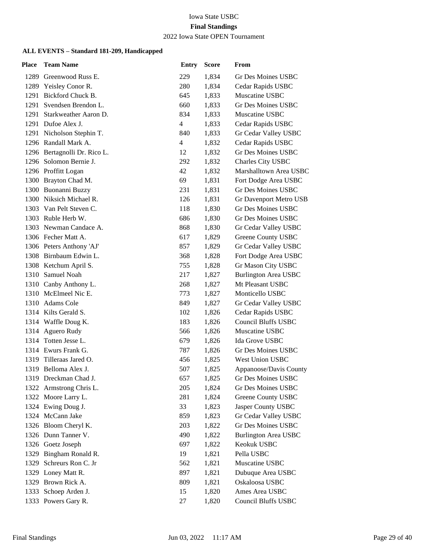### 2022 Iowa State OPEN Tournament

| <b>Place</b> | <b>Team Name</b>             | <b>Entry</b>   | <b>Score</b> | From                        |
|--------------|------------------------------|----------------|--------------|-----------------------------|
|              | 1289 Greenwood Russ E.       | 229            | 1,834        | Gr Des Moines USBC          |
|              | 1289 Yeisley Conor R.        | 280            | 1,834        | Cedar Rapids USBC           |
|              | 1291 Bickford Chuck B.       | 645            | 1,833        | Muscatine USBC              |
|              | 1291 Svendsen Brendon L.     | 660            | 1,833        | Gr Des Moines USBC          |
|              | 1291 Starkweather Aaron D.   | 834            | 1,833        | Muscatine USBC              |
|              | 1291 Dufoe Alex J.           | $\overline{4}$ | 1,833        | Cedar Rapids USBC           |
|              | 1291 Nicholson Stephin T.    | 840            | 1,833        | Gr Cedar Valley USBC        |
|              | 1296 Randall Mark A.         | $\overline{4}$ | 1,832        | Cedar Rapids USBC           |
|              | 1296 Bertagnolli Dr. Rico L. | 12             | 1,832        | Gr Des Moines USBC          |
|              | 1296 Solomon Bernie J.       | 292            | 1,832        | Charles City USBC           |
|              | 1296 Proffitt Logan          | 42             | 1,832        | Marshalltown Area USBC      |
|              | 1300 Brayton Chad M.         | 69             | 1,831        | Fort Dodge Area USBC        |
|              | 1300 Buonanni Buzzy          | 231            | 1,831        | <b>Gr Des Moines USBC</b>   |
|              | 1300 Niksich Michael R.      | 126            | 1,831        | Gr Davenport Metro USB      |
|              | 1303 Van Pelt Steven C.      | 118            | 1,830        | Gr Des Moines USBC          |
|              | 1303 Ruble Herb W.           | 686            | 1,830        | Gr Des Moines USBC          |
|              | 1303 Newman Candace A.       | 868            | 1,830        | Gr Cedar Valley USBC        |
|              | 1306 Fecher Matt A.          | 617            | 1,829        | Greene County USBC          |
|              | 1306 Peters Anthony 'AJ'     | 857            | 1,829        | Gr Cedar Valley USBC        |
|              | 1308 Birnbaum Edwin L.       | 368            | 1,828        | Fort Dodge Area USBC        |
|              | 1308 Ketchum April S.        | 755            | 1,828        | Gr Mason City USBC          |
|              | 1310 Samuel Noah             | 217            | 1,827        | <b>Burlington Area USBC</b> |
|              | 1310 Canby Anthony L.        | 268            | 1,827        | Mt Pleasant USBC            |
|              | 1310 McElmeel Nic E.         | 773            | 1,827        | Monticello USBC             |
|              | 1310 Adams Cole              | 849            | 1,827        | Gr Cedar Valley USBC        |
|              | 1314 Kilts Gerald S.         | 102            | 1,826        | Cedar Rapids USBC           |
|              | 1314 Waffle Doug K.          | 183            | 1,826        | <b>Council Bluffs USBC</b>  |
|              | 1314 Aguero Rudy             | 566            | 1,826        | Muscatine USBC              |
|              | 1314 Totten Jesse L.         | 679            | 1,826        | Ida Grove USBC              |
|              | 1314 Ewurs Frank G.          | 787            | 1,826        | Gr Des Moines USBC          |
|              | 1319 Tilleraas Jared O.      | 456            | 1,825        | <b>West Union USBC</b>      |
|              | 1319 Belloma Alex J.         | 507            | 1,825        | Appanoose/Davis County      |
|              | 1319 Dreckman Chad J.        | 657            | 1,825        | Gr Des Moines USBC          |
|              | 1322 Armstrong Chris L.      | 205            | 1,824        | <b>Gr Des Moines USBC</b>   |
|              | 1322 Moore Larry L.          | 281            | 1,824        | <b>Greene County USBC</b>   |
|              | 1324 Ewing Doug J.           | 33             | 1,823        | Jasper County USBC          |
|              | 1324 McCann Jake             | 859            | 1,823        | Gr Cedar Valley USBC        |
|              | 1326 Bloom Cheryl K.         | 203            | 1,822        | Gr Des Moines USBC          |
|              | 1326 Dunn Tanner V.          | 490            | 1,822        | <b>Burlington Area USBC</b> |
|              | 1326 Goetz Joseph            | 697            | 1,822        | Keokuk USBC                 |
|              | 1329 Bingham Ronald R.       | 19             | 1,821        | Pella USBC                  |
| 1329         | Schreurs Ron C. Jr           | 562            | 1,821        | Muscatine USBC              |
|              | 1329 Loney Matt R.           | 897            | 1,821        | Dubuque Area USBC           |
|              | 1329 Brown Rick A.           | 809            | 1,821        | Oskaloosa USBC              |
| 1333         | Schoep Arden J.              | 15             | 1,820        | Ames Area USBC              |
|              | 1333 Powers Gary R.          | 27             | 1,820        | Council Bluffs USBC         |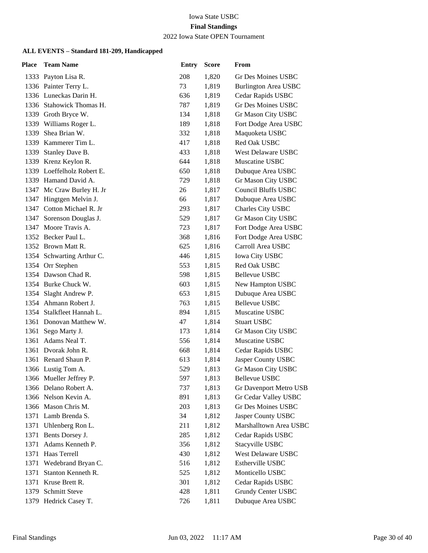### 2022 Iowa State OPEN Tournament

| Place | <b>Team Name</b>           | <b>Entry</b> | <b>Score</b> | From                        |
|-------|----------------------------|--------------|--------------|-----------------------------|
|       | 1333 Payton Lisa R.        | 208          | 1,820        | Gr Des Moines USBC          |
|       | 1336 Painter Terry L.      | 73           | 1,819        | <b>Burlington Area USBC</b> |
|       | 1336 Luneckas Darin H.     | 636          | 1,819        | Cedar Rapids USBC           |
|       | 1336 Stahowick Thomas H.   | 787          | 1,819        | Gr Des Moines USBC          |
|       | 1339 Groth Bryce W.        | 134          | 1,818        | Gr Mason City USBC          |
|       | 1339 Williams Roger L.     | 189          | 1,818        | Fort Dodge Area USBC        |
| 1339  | Shea Brian W.              | 332          | 1,818        | Maquoketa USBC              |
|       | 1339 Kammerer Tim L.       | 417          | 1,818        | Red Oak USBC                |
|       | 1339 Stanley Dave B.       | 433          | 1,818        | West Delaware USBC          |
|       | 1339 Krenz Keylon R.       | 644          | 1,818        | Muscatine USBC              |
|       | 1339 Loeffelholz Robert E. | 650          | 1,818        | Dubuque Area USBC           |
|       | 1339 Hamand David A.       | 729          | 1,818        | Gr Mason City USBC          |
|       | 1347 Mc Craw Burley H. Jr  | 26           | 1,817        | Council Bluffs USBC         |
|       | 1347 Hingtgen Melvin J.    | 66           | 1,817        | Dubuque Area USBC           |
|       | 1347 Cotton Michael R. Jr  | 293          | 1,817        | Charles City USBC           |
|       | 1347 Sorenson Douglas J.   | 529          | 1,817        | Gr Mason City USBC          |
|       | 1347 Moore Travis A.       | 723          | 1,817        | Fort Dodge Area USBC        |
|       | 1352 Becker Paul L.        | 368          | 1,816        | Fort Dodge Area USBC        |
|       | 1352 Brown Matt R.         | 625          | 1,816        | Carroll Area USBC           |
|       | 1354 Schwarting Arthur C.  | 446          | 1,815        | <b>Iowa City USBC</b>       |
|       | 1354 Orr Stephen           | 553          | 1,815        | Red Oak USBC                |
|       | 1354 Dawson Chad R.        | 598          | 1,815        | Bellevue USBC               |
|       | 1354 Burke Chuck W.        | 603          | 1,815        | New Hampton USBC            |
|       | 1354 Slaght Andrew P.      | 653          | 1,815        | Dubuque Area USBC           |
|       | 1354 Ahmann Robert J.      | 763          | 1,815        | <b>Bellevue USBC</b>        |
|       | 1354 Stalkfleet Hannah L.  | 894          | 1,815        | Muscatine USBC              |
|       | 1361 Donovan Matthew W.    | 47           | 1,814        | <b>Stuart USBC</b>          |
|       | 1361 Sego Marty J.         | 173          | 1,814        | Gr Mason City USBC          |
|       | 1361 Adams Neal T.         | 556          | 1,814        | Muscatine USBC              |
|       | 1361 Dvorak John R.        | 668          | 1,814        | Cedar Rapids USBC           |
|       | 1361 Renard Shaun P.       | 613          | 1,814        | Jasper County USBC          |
|       | 1366 Lustig Tom A.         | 529          | 1,813        | Gr Mason City USBC          |
|       | 1366 Mueller Jeffrey P.    | 597          | 1,813        | Bellevue USBC               |
|       | 1366 Delano Robert A.      | 737          | 1,813        | Gr Davenport Metro USB      |
|       | 1366 Nelson Kevin A.       | 891          | 1,813        | Gr Cedar Valley USBC        |
|       | 1366 Mason Chris M.        | 203          | 1,813        | Gr Des Moines USBC          |
|       | 1371 Lamb Brenda S.        | 34           | 1,812        | Jasper County USBC          |
|       | 1371 Uhlenberg Ron L.      | 211          | 1,812        | Marshalltown Area USBC      |
|       | 1371 Bents Dorsey J.       | 285          | 1,812        | Cedar Rapids USBC           |
| 1371  | Adams Kenneth P.           | 356          | 1,812        | Stacyville USBC             |
|       | 1371 Haas Terrell          | 430          | 1,812        | West Delaware USBC          |
| 1371  | Wedebrand Bryan C.         | 516          | 1,812        | Estherville USBC            |
| 1371  | Stanton Kenneth R.         | 525          | 1,812        | Monticello USBC             |
|       | 1371 Kruse Brett R.        | 301          | 1,812        | Cedar Rapids USBC           |
| 1379  | <b>Schmitt Steve</b>       | 428          | 1,811        | Grundy Center USBC          |
| 1379  | Hedrick Casey T.           | 726          | 1,811        | Dubuque Area USBC           |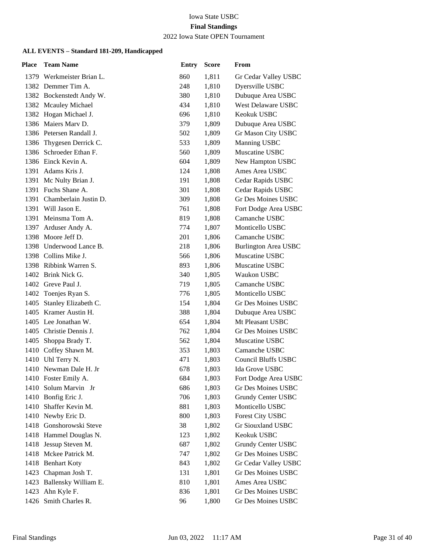2022 Iowa State OPEN Tournament

| Place | <b>Team Name</b>           | <b>Entry</b> | <b>Score</b> | From                        |
|-------|----------------------------|--------------|--------------|-----------------------------|
|       | 1379 Werkmeister Brian L.  | 860          | 1,811        | Gr Cedar Valley USBC        |
|       | 1382 Demmer Tim A.         | 248          | 1,810        | Dyersville USBC             |
|       | 1382 Bockenstedt Andy W.   | 380          | 1,810        | Dubuque Area USBC           |
|       | 1382 Mcauley Michael       | 434          | 1,810        | <b>West Delaware USBC</b>   |
|       | 1382 Hogan Michael J.      | 696          | 1,810        | Keokuk USBC                 |
|       | 1386 Maiers Marv D.        | 379          | 1,809        | Dubuque Area USBC           |
|       | 1386 Petersen Randall J.   | 502          | 1,809        | Gr Mason City USBC          |
|       | 1386 Thygesen Derrick C.   | 533          | 1,809        | Manning USBC                |
|       | 1386 Schroeder Ethan F.    | 560          | 1,809        | Muscatine USBC              |
|       | 1386 Einck Kevin A.        | 604          | 1,809        | New Hampton USBC            |
|       | 1391 Adams Kris J.         | 124          | 1,808        | Ames Area USBC              |
|       | 1391 Mc Nulty Brian J.     | 191          | 1,808        | Cedar Rapids USBC           |
|       | 1391 Fuchs Shane A.        | 301          | 1,808        | Cedar Rapids USBC           |
|       | 1391 Chamberlain Justin D. | 309          | 1,808        | Gr Des Moines USBC          |
|       | 1391 Will Jason E.         | 761          | 1,808        | Fort Dodge Area USBC        |
|       | 1391 Meinsma Tom A.        | 819          | 1,808        | Camanche USBC               |
|       | 1397 Arduser Andy A.       | 774          | 1,807        | Monticello USBC             |
|       | 1398 Moore Jeff D.         | 201          | 1,806        | Camanche USBC               |
|       | 1398 Underwood Lance B.    | 218          | 1,806        | <b>Burlington Area USBC</b> |
|       | 1398 Collins Mike J.       | 566          | 1,806        | Muscatine USBC              |
|       | 1398 Ribbink Warren S.     | 893          | 1,806        | Muscatine USBC              |
|       | 1402 Brink Nick G.         | 340          | 1,805        | Waukon USBC                 |
|       | 1402 Greve Paul J.         | 719          | 1,805        | Camanche USBC               |
|       | 1402 Toenjes Ryan S.       | 776          | 1,805        | Monticello USBC             |
|       | 1405 Stanley Elizabeth C.  | 154          | 1,804        | Gr Des Moines USBC          |
|       | 1405 Kramer Austin H.      | 388          | 1,804        | Dubuque Area USBC           |
|       | 1405 Lee Jonathan W.       | 654          | 1,804        | Mt Pleasant USBC            |
|       | 1405 Christie Dennis J.    | 762          | 1,804        | <b>Gr Des Moines USBC</b>   |
|       | 1405 Shoppa Brady T.       | 562          | 1,804        | Muscatine USBC              |
|       | 1410 Coffey Shawn M.       | 353          | 1,803        | Camanche USBC               |
|       | 1410 Uhl Terry N.          | 471          | 1,803        | <b>Council Bluffs USBC</b>  |
|       | 1410 Newman Dale H. Jr     | 678          | 1,803        | Ida Grove USBC              |
|       | 1410 Foster Emily A.       | 684          | 1,803        | Fort Dodge Area USBC        |
|       | 1410 Solum Marvin Jr       | 686          | 1,803        | Gr Des Moines USBC          |
|       | 1410 Bonfig Eric J.        | 706          | 1,803        | Grundy Center USBC          |
|       | 1410 Shaffer Kevin M.      | 881          | 1,803        | Monticello USBC             |
|       | 1410 Newby Eric D.         | 800          | 1,803        | Forest City USBC            |
|       | 1418 Gonshorowski Steve    | 38           | 1,802        | Gr Siouxland USBC           |
|       | 1418 Hammel Douglas N.     | 123          | 1,802        | Keokuk USBC                 |
|       | 1418 Jessup Steven M.      | 687          | 1,802        | <b>Grundy Center USBC</b>   |
|       | 1418 Mckee Patrick M.      | 747          | 1,802        | <b>Gr Des Moines USBC</b>   |
|       | 1418 Benhart Koty          | 843          | 1,802        | Gr Cedar Valley USBC        |
| 1423  | Chapman Josh T.            | 131          | 1,801        | <b>Gr Des Moines USBC</b>   |
| 1423  | Ballensky William E.       | 810          | 1,801        | Ames Area USBC              |
|       | 1423 Ahn Kyle F.           | 836          | 1,801        | Gr Des Moines USBC          |
|       | 1426 Smith Charles R.      | 96           | 1,800        | Gr Des Moines USBC          |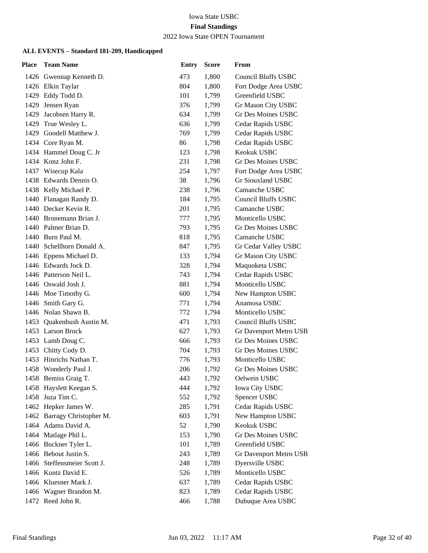2022 Iowa State OPEN Tournament

| Place | <b>Team Name</b>            | <b>Entry</b> | <b>Score</b> | From                       |
|-------|-----------------------------|--------------|--------------|----------------------------|
|       | 1426 Gwennap Kenneth D.     | 473          | 1,800        | <b>Council Bluffs USBC</b> |
|       | 1426 Elkin Taylar           | 804          | 1,800        | Fort Dodge Area USBC       |
|       | 1429 Eddy Todd D.           | 101          | 1,799        | Greenfield USBC            |
| 1429  | Jensen Ryan                 | 376          | 1,799        | Gr Mason City USBC         |
|       | 1429 Jacobsen Harry R.      | 634          | 1,799        | <b>Gr Des Moines USBC</b>  |
|       | 1429 True Wesley L.         | 636          | 1,799        | Cedar Rapids USBC          |
| 1429  | Goodell Matthew J.          | 769          | 1,799        | Cedar Rapids USBC          |
|       | 1434 Core Ryan M.           | 86           | 1,798        | Cedar Rapids USBC          |
|       | 1434 Hammel Doug C. Jr      | 123          | 1,798        | Keokuk USBC                |
|       | 1434 Konz John F.           | 231          | 1,798        | <b>Gr Des Moines USBC</b>  |
| 1437  | Wisecup Kala                | 254          | 1,797        | Fort Dodge Area USBC       |
|       | 1438 Edwards Dennis O.      | 38           | 1,796        | Gr Siouxland USBC          |
|       | 1438 Kelly Michael P.       | 238          | 1,796        | Camanche USBC              |
|       | 1440 Flanagan Randy D.      | 184          | 1,795        | <b>Council Bluffs USBC</b> |
|       | 1440 Decker Kevin R.        | 201          | 1,795        | Camanche USBC              |
|       | 1440 Bronemann Brian J.     | 777          | 1,795        | Monticello USBC            |
|       | 1440 Palmer Brian D.        | 793          | 1,795        | Gr Des Moines USBC         |
|       | 1440 Burn Paul M.           | 818          | 1,795        | Camanche USBC              |
|       | 1440 Schellhorn Donald A.   | 847          | 1,795        | Gr Cedar Valley USBC       |
|       | 1446 Eppens Michael D.      | 133          | 1,794        | Gr Mason City USBC         |
|       | 1446 Edwards Jock D.        | 328          | 1,794        | Maquoketa USBC             |
|       | 1446 Patterson Neil L.      | 743          | 1,794        | Cedar Rapids USBC          |
|       | 1446 Oswald Josh J.         | 881          | 1,794        | Monticello USBC            |
|       | 1446 Moe Timothy G.         | 600          | 1,794        | New Hampton USBC           |
|       | 1446 Smith Gary G.          | 771          | 1,794        | Anamosa USBC               |
|       | 1446 Nolan Shawn B.         | 772          | 1,794        | Monticello USBC            |
| 1453  | Quakenbush Austin M.        | 471          | 1,793        | <b>Council Bluffs USBC</b> |
|       | 1453 Larson Brock           | 627          | 1,793        | Gr Davenport Metro USB     |
|       | 1453 Lamb Doug C.           | 666          | 1,793        | <b>Gr Des Moines USBC</b>  |
| 1453  | Chitty Cody D.              | 704          | 1,793        | <b>Gr Des Moines USBC</b>  |
| 1453  | Hinrichs Nathan T.          | 776          | 1,793        | Monticello USBC            |
|       | 1458 Wonderly Paul J.       | 206          | 1,792        | Gr Des Moines USBC         |
|       | 1458 Bemiss Graig T.        | 443          | 1,792        | Oelwein USBC               |
|       | 1458 Hayslett Keegan S.     | 444          | 1,792        | <b>Iowa City USBC</b>      |
| 1458  | Juza Tim C.                 | 552          | 1,792        | Spencer USBC               |
|       | 1462 Hepker James W.        | 285          | 1,791        | Cedar Rapids USBC          |
|       | 1462 Barragy Christopher M. | 603          | 1,791        | New Hampton USBC           |
|       | 1464 Adams David A.         | 52           | 1,790        | Keokuk USBC                |
|       | 1464 Matlage Phil L.        | 153          | 1,790        | Gr Des Moines USBC         |
|       | 1466 Buckner Tyler L.       | 101          | 1,789        | Greenfield USBC            |
|       | 1466 Bebout Justin S.       | 243          | 1,789        | Gr Davenport Metro USB     |
|       | 1466 Steffensmeier Scott J. | 248          | 1,789        | Dyersville USBC            |
|       | 1466 Kuntz David E.         | 526          | 1,789        | Monticello USBC            |
|       | 1466 Kluesner Mark J.       | 637          | 1,789        | Cedar Rapids USBC          |
|       | 1466 Wagner Brandon M.      | 823          | 1,789        | Cedar Rapids USBC          |
|       | 1472 Reed John R.           | 466          | 1,788        | Dubuque Area USBC          |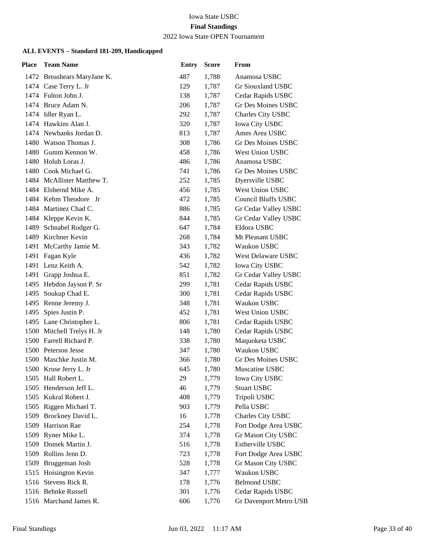#### 2022 Iowa State OPEN Tournament

| <b>Place</b> | <b>Team Name</b>            | <b>Entry</b> | <b>Score</b> | From                       |
|--------------|-----------------------------|--------------|--------------|----------------------------|
|              | 1472 Breashears MaryJane K. | 487          | 1,788        | Anamosa USBC               |
|              | 1474 Case Terry L. Jr       | 129          | 1,787        | Gr Siouxland USBC          |
|              | 1474 Fulton John J.         | 138          | 1,787        | Cedar Rapids USBC          |
|              | 1474 Bruce Adam N.          | 206          | 1,787        | <b>Gr Des Moines USBC</b>  |
|              | 1474 Idler Ryan L.          | 292          | 1,787        | Charles City USBC          |
|              | 1474 Hawkins Alan J.        | 320          | 1,787        | <b>Iowa City USBC</b>      |
|              | 1474 Newbanks Jordan D.     | 813          | 1,787        | Ames Area USBC             |
|              | 1480 Watson Thomas J.       | 308          | 1,786        | Gr Des Moines USBC         |
|              | 1480 Gumm Kennon W.         | 458          | 1,786        | <b>West Union USBC</b>     |
|              | 1480 Holub Loras J.         | 486          | 1,786        | Anamosa USBC               |
|              | 1480 Cook Michael G.        | 741          | 1,786        | Gr Des Moines USBC         |
|              | 1484 McAllister Matthew T.  | 252          | 1,785        | Dyersville USBC            |
|              | 1484 Elsbernd Mike A.       | 456          | 1,785        | West Union USBC            |
|              | 1484 Kehm Theodore Jr       | 472          | 1,785        | <b>Council Bluffs USBC</b> |
|              | 1484 Martinez Chad C.       | 886          | 1,785        | Gr Cedar Valley USBC       |
|              | 1484 Kleppe Kevin K.        | 844          | 1,785        | Gr Cedar Valley USBC       |
|              | 1489 Schnabel Rodger G.     | 647          | 1,784        | Eldora USBC                |
|              | 1489 Kirchner Kevin         | 268          | 1,784        | Mt Pleasant USBC           |
| 1491         | McCarthy Jamie M.           | 343          | 1,782        | Waukon USBC                |
|              | 1491 Fagan Kyle             | 436          | 1,782        | <b>West Delaware USBC</b>  |
|              | 1491 Lenz Keith A.          | 542          | 1,782        | <b>Iowa City USBC</b>      |
|              | 1491 Grapp Joshua E.        | 851          | 1,782        | Gr Cedar Valley USBC       |
|              | 1495 Hebdon Jayson P. Sr    | 299          | 1,781        | Cedar Rapids USBC          |
|              | 1495 Soukup Chad E.         | 300          | 1,781        | Cedar Rapids USBC          |
|              | 1495 Renne Jeremy J.        | 348          | 1,781        | Waukon USBC                |
|              | 1495 Spies Justin P.        | 452          | 1,781        | <b>West Union USBC</b>     |
|              | 1495 Lane Christopher L.    | 806          | 1,781        | Cedar Rapids USBC          |
|              | 1500 Mitchell Trelys H. Jr  | 148          | 1,780        | Cedar Rapids USBC          |
|              | 1500 Farrell Richard P.     | 338          | 1,780        | Maquoketa USBC             |
|              | 1500 Peterson Jesse         | 347          | 1,780        | Waukon USBC                |
|              | 1500 Maschke Justin M.      | 366          | 1,780        | Gr Des Moines USBC         |
|              | 1500 Kruse Jerry L. Jr      | 645          | 1,780        | Muscatine USBC             |
|              | 1505 Hall Robert L.         | 29           | 1,779        | Iowa City USBC             |
|              | 1505 Henderson Jeff L.      | 46           | 1,779        | <b>Stuart USBC</b>         |
|              | 1505 Kukral Robert J.       | 408          | 1,779        | Tripoli USBC               |
|              | 1505 Riggen Michael T.      | 903          | 1,779        | Pella USBC                 |
|              | 1509 Brockney David L.      | 16           | 1,778        | Charles City USBC          |
|              | 1509 Harrison Rae           | 254          | 1,778        | Fort Dodge Area USBC       |
| 1509         | Ryner Mike L.               | 374          | 1,778        | Gr Mason City USBC         |
|              | 1509 Domek Martin J.        | 516          | 1,778        | Estherville USBC           |
|              | 1509 Rollins Jenn D.        | 723          | 1,778        | Fort Dodge Area USBC       |
| 1509         | Bruggeman Josh              | 528          | 1,778        | Gr Mason City USBC         |
| 1515         | Hoisington Kevin            | 347          | 1,777        | Waukon USBC                |
|              | 1516 Stevens Rick R.        | 178          | 1,776        | <b>Belmond USBC</b>        |
|              | 1516 Behnke Russell         | 301          | 1,776        | Cedar Rapids USBC          |
|              | 1516 Marchand James R.      | 606          | 1,776        | Gr Davenport Metro USB     |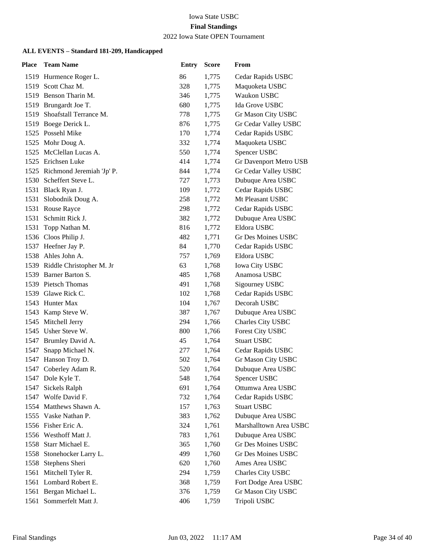### 2022 Iowa State OPEN Tournament

| Place | <b>Team Name</b>               | <b>Entry</b> | <b>Score</b> | From                      |
|-------|--------------------------------|--------------|--------------|---------------------------|
|       | 1519 Hurmence Roger L.         | 86           | 1,775        | Cedar Rapids USBC         |
|       | 1519 Scott Chaz M.             | 328          | 1,775        | Maquoketa USBC            |
|       | 1519 Benson Tharin M.          | 346          | 1,775        | Waukon USBC               |
|       | 1519 Brungardt Joe T.          | 680          | 1,775        | Ida Grove USBC            |
| 1519  | Shoafstall Terrance M.         | 778          | 1,775        | Gr Mason City USBC        |
|       | 1519 Boege Derick L.           | 876          | 1,775        | Gr Cedar Valley USBC      |
|       | 1525 Possehl Mike              | 170          | 1,774        | Cedar Rapids USBC         |
|       | 1525 Mohr Doug A.              | 332          | 1,774        | Maquoketa USBC            |
|       | 1525 McClellan Lucas A.        | 550          | 1,774        | Spencer USBC              |
|       | 1525 Erichsen Luke             | 414          | 1,774        | Gr Davenport Metro USB    |
|       | 1525 Richmond Jeremiah 'Jp' P. | 844          | 1,774        | Gr Cedar Valley USBC      |
|       | 1530 Scheffert Steve L.        | 727          | 1,773        | Dubuque Area USBC         |
|       | 1531 Black Ryan J.             | 109          | 1,772        | Cedar Rapids USBC         |
| 1531  | Slobodnik Doug A.              | 258          | 1,772        | Mt Pleasant USBC          |
|       | 1531 Rouse Rayce               | 298          | 1,772        | Cedar Rapids USBC         |
|       | 1531 Schmitt Rick J.           | 382          | 1,772        | Dubuque Area USBC         |
|       | 1531 Topp Nathan M.            | 816          | 1,772        | Eldora USBC               |
|       | 1536 Cloos Philip J.           | 482          | 1,771        | <b>Gr Des Moines USBC</b> |
|       | 1537 Heefner Jay P.            | 84           | 1,770        | Cedar Rapids USBC         |
|       | 1538 Ahles John A.             | 757          | 1,769        | Eldora USBC               |
|       | 1539 Riddle Christopher M. Jr  | 63           | 1,768        | <b>Iowa City USBC</b>     |
|       | 1539 Barner Barton S.          | 485          | 1,768        | Anamosa USBC              |
|       | 1539 Pietsch Thomas            | 491          | 1,768        | Sigourney USBC            |
|       | 1539 Glawe Rick C.             | 102          | 1,768        | Cedar Rapids USBC         |
|       | 1543 Hunter Max                | 104          | 1,767        | Decorah USBC              |
|       | 1543 Kamp Steve W.             | 387          | 1,767        | Dubuque Area USBC         |
|       | 1545 Mitchell Jerry            | 294          | 1,766        | Charles City USBC         |
|       | 1545 Usher Steve W.            | 800          | 1,766        | <b>Forest City USBC</b>   |
|       | 1547 Brumley David A.          | 45           | 1,764        | <b>Stuart USBC</b>        |
| 1547  | Snapp Michael N.               | 277          | 1,764        | Cedar Rapids USBC         |
|       | 1547 Hanson Troy D.            | 502          | 1,764        | Gr Mason City USBC        |
|       | 1547 Coberley Adam R.          | 520          | 1,764        | Dubuque Area USBC         |
|       | 1547 Dole Kyle T.              | 548          | 1,764        | Spencer USBC              |
| 1547  | Sickels Ralph                  | 691          | 1,764        | Ottumwa Area USBC         |
|       | 1547 Wolfe David F.            | 732          | 1,764        | Cedar Rapids USBC         |
|       | 1554 Matthews Shawn A.         | 157          | 1,763        | <b>Stuart USBC</b>        |
|       | 1555 Vaske Nathan P.           | 383          | 1,762        | Dubuque Area USBC         |
|       | 1556 Fisher Eric A.            | 324          | 1,761        | Marshalltown Area USBC    |
|       | 1556 Westhoff Matt J.          | 783          | 1,761        | Dubuque Area USBC         |
|       | 1558 Starr Michael E.          | 365          | 1,760        | Gr Des Moines USBC        |
|       | 1558 Stonehocker Larry L.      | 499          | 1,760        | <b>Gr Des Moines USBC</b> |
| 1558  | Stephens Sheri                 | 620          | 1,760        | Ames Area USBC            |
| 1561  | Mitchell Tyler R.              | 294          | 1,759        | Charles City USBC         |
|       | 1561 Lombard Robert E.         | 368          | 1,759        | Fort Dodge Area USBC      |
|       | 1561 Bergan Michael L.         | 376          | 1,759        | Gr Mason City USBC        |
| 1561  | Sommerfelt Matt J.             | 406          | 1,759        | Tripoli USBC              |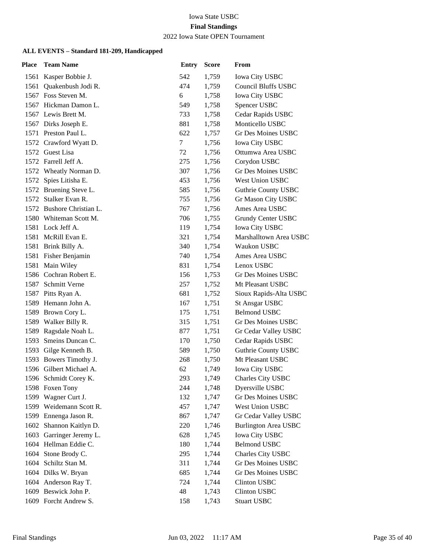### 2022 Iowa State OPEN Tournament

| <b>Team Name</b>           | <b>Entry</b> | <b>Score</b> | From                        |
|----------------------------|--------------|--------------|-----------------------------|
| 1561 Kasper Bobbie J.      | 542          | 1,759        | Iowa City USBC              |
| Quakenbush Jodi R.<br>1561 | 474          | 1,759        | <b>Council Bluffs USBC</b>  |
| 1567 Foss Steven M.        | 6            | 1,758        | Iowa City USBC              |
| 1567 Hickman Damon L.      | 549          | 1,758        | Spencer USBC                |
| 1567 Lewis Brett M.        | 733          | 1,758        | Cedar Rapids USBC           |
| 1567 Dirks Joseph E.       | 881          | 1,758        | Monticello USBC             |
| 1571 Preston Paul L.       | 622          | 1,757        | Gr Des Moines USBC          |
| 1572 Crawford Wyatt D.     | 7            | 1,756        | Iowa City USBC              |
| 1572 Guest Lisa            | 72           | 1,756        | Ottumwa Area USBC           |
| 1572 Farrell Jeff A.       | 275          | 1,756        | Corydon USBC                |
| 1572 Wheatly Norman D.     | 307          | 1,756        | Gr Des Moines USBC          |
| 1572 Spies Litisha E.      | 453          | 1,756        | West Union USBC             |
| 1572 Bruening Steve L.     | 585          | 1,756        | Guthrie County USBC         |
| 1572 Stalker Evan R.       | 755          | 1,756        | Gr Mason City USBC          |
| 1572 Bushore Christian L.  | 767          | 1,756        | Ames Area USBC              |
| 1580 Whiteman Scott M.     | 706          | 1,755        | Grundy Center USBC          |
| 1581 Lock Jeff A.          | 119          | 1,754        | Iowa City USBC              |
| 1581 McRill Evan E.        | 321          | 1,754        | Marshalltown Area USBC      |
| 1581 Brink Billy A.        | 340          | 1,754        | Waukon USBC                 |
| 1581 Fisher Benjamin       | 740          | 1,754        | Ames Area USBC              |
| 1581 Main Wiley            | 831          | 1,754        | Lenox USBC                  |
| 1586 Cochran Robert E.     | 156          | 1,753        | <b>Gr Des Moines USBC</b>   |
| 1587 Schmitt Verne         | 257          | 1,752        | Mt Pleasant USBC            |
| 1587 Pitts Ryan A.         | 681          | 1,752        | Sioux Rapids-Alta USBC      |
| 1589 Hemann John A.        | 167          | 1,751        | <b>St Ansgar USBC</b>       |
| 1589 Brown Cory L.         | 175          | 1,751        | <b>Belmond USBC</b>         |
| 1589 Walker Billy R.       | 315          | 1,751        | Gr Des Moines USBC          |
| 1589 Ragsdale Noah L.      | 877          | 1,751        | Gr Cedar Valley USBC        |
| Smeins Duncan C.           | 170          | 1,750        | Cedar Rapids USBC           |
| 1593 Gilge Kenneth B.      | 589          | 1,750        | Guthrie County USBC         |
| Bowers Timothy J.          | 268          | 1,750        | Mt Pleasant USBC            |
| 1596 Gilbert Michael A.    | 62           | 1,749        | <b>Iowa City USBC</b>       |
| 1596 Schmidt Corey K.      | 293          | 1,749        | Charles City USBC           |
| 1598 Foxen Tony            | 244          | 1,748        | Dyersville USBC             |
| 1599 Wagner Curt J.        | 132          | 1,747        | Gr Des Moines USBC          |
| 1599 Weidemann Scott R.    | 457          | 1,747        | West Union USBC             |
| 1599 Ennenga Jason R.      | 867          | 1,747        | Gr Cedar Valley USBC        |
| 1602 Shannon Kaitlyn D.    | 220          | 1,746        | <b>Burlington Area USBC</b> |
| Garringer Jeremy L.        | 628          | 1,745        | Iowa City USBC              |
| 1604 Hellman Eddie C.      | 180          | 1,744        | <b>Belmond USBC</b>         |
| 1604 Stone Brody C.        | 295          | 1,744        | Charles City USBC           |
| 1604 Schiltz Stan M.       | 311          | 1,744        | Gr Des Moines USBC          |
| 1604 Dilks W. Bryan        | 685          | 1,744        | Gr Des Moines USBC          |
| 1604 Anderson Ray T.       | 724          | 1,744        | Clinton USBC                |
| 1609 Beswick John P.       | 48           | 1,743        | <b>Clinton USBC</b>         |
| Forcht Andrew S.           | 158          | 1,743        | <b>Stuart USBC</b>          |
|                            |              |              |                             |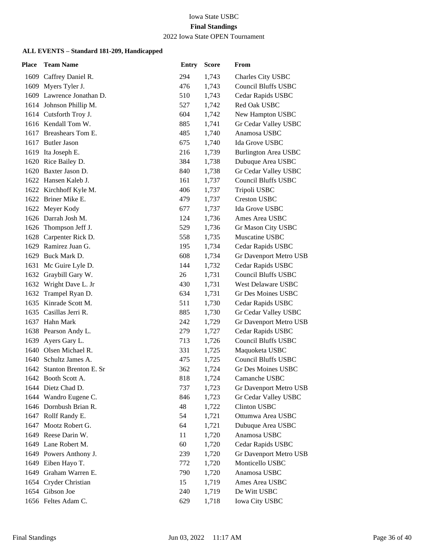2022 Iowa State OPEN Tournament

| Place | <b>Team Name</b>           | <b>Entry</b> | <b>Score</b> | From                        |
|-------|----------------------------|--------------|--------------|-----------------------------|
|       | 1609 Caffrey Daniel R.     | 294          | 1,743        | Charles City USBC           |
|       | 1609 Myers Tyler J.        | 476          | 1,743        | <b>Council Bluffs USBC</b>  |
|       | 1609 Lawrence Jonathan D.  | 510          | 1,743        | Cedar Rapids USBC           |
|       | 1614 Johnson Phillip M.    | 527          | 1,742        | Red Oak USBC                |
|       | 1614 Cutsforth Troy J.     | 604          | 1,742        | New Hampton USBC            |
|       | 1616 Kendall Tom W.        | 885          | 1,741        | Gr Cedar Valley USBC        |
|       | 1617 Breashears Tom E.     | 485          | 1,740        | Anamosa USBC                |
|       | 1617 Butler Jason          | 675          | 1,740        | Ida Grove USBC              |
|       | 1619 Ita Joseph E.         | 216          | 1,739        | <b>Burlington Area USBC</b> |
|       | 1620 Rice Bailey D.        | 384          | 1,738        | Dubuque Area USBC           |
|       | 1620 Baxter Jason D.       | 840          | 1,738        | Gr Cedar Valley USBC        |
|       | 1622 Hansen Kaleb J.       | 161          | 1,737        | Council Bluffs USBC         |
|       | 1622 Kirchhoff Kyle M.     | 406          | 1,737        | Tripoli USBC                |
|       | 1622 Briner Mike E.        | 479          | 1,737        | <b>Creston USBC</b>         |
|       | 1622 Meyer Kody            | 677          | 1,737        | Ida Grove USBC              |
|       | 1626 Darrah Josh M.        | 124          | 1,736        | Ames Area USBC              |
|       | 1626 Thompson Jeff J.      | 529          | 1,736        | Gr Mason City USBC          |
|       | 1628 Carpenter Rick D.     | 558          | 1,735        | Muscatine USBC              |
| 1629  | Ramirez Juan G.            | 195          | 1,734        | Cedar Rapids USBC           |
|       | 1629 Buck Mark D.          | 608          | 1,734        | Gr Davenport Metro USB      |
|       | 1631 Mc Guire Lyle D.      | 144          | 1,732        | Cedar Rapids USBC           |
|       | 1632 Graybill Gary W.      | 26           | 1,731        | <b>Council Bluffs USBC</b>  |
|       | 1632 Wright Dave L. Jr     | 430          | 1,731        | West Delaware USBC          |
|       | 1632 Trampel Ryan D.       | 634          | 1,731        | Gr Des Moines USBC          |
|       | 1635 Kinrade Scott M.      | 511          | 1,730        | Cedar Rapids USBC           |
| 1635  | Casillas Jerri R.          | 885          | 1,730        | Gr Cedar Valley USBC        |
|       | 1637 Hahn Mark             | 242          | 1,729        | Gr Davenport Metro USB      |
|       | 1638 Pearson Andy L.       | 279          | 1,727        | Cedar Rapids USBC           |
|       | 1639 Ayers Gary L.         | 713          | 1,726        | <b>Council Bluffs USBC</b>  |
|       | 1640 Olsen Michael R.      | 331          | 1,725        | Maquoketa USBC              |
|       | 1640 Schultz James A.      | 475          | 1,725        | <b>Council Bluffs USBC</b>  |
|       | 1642 Stanton Brenton E. Sr | 362          | 1,724        | Gr Des Moines USBC          |
|       | 1642 Booth Scott A.        | 818          | 1,724        | Camanche USBC               |
|       | 1644 Dietz Chad D.         | 737          | 1,723        | Gr Davenport Metro USB      |
|       | 1644 Wandro Eugene C.      | 846          | 1,723        | Gr Cedar Valley USBC        |
|       | 1646 Dornbush Brian R.     | 48           | 1,722        | Clinton USBC                |
|       | 1647 Rollf Randy E.        | 54           | 1,721        | Ottumwa Area USBC           |
| 1647  | Mootz Robert G.            | 64           | 1,721        | Dubuque Area USBC           |
|       | 1649 Reese Darin W.        | 11           | 1,720        | Anamosa USBC                |
|       | 1649 Lane Robert M.        | 60           | 1,720        | Cedar Rapids USBC           |
|       | 1649 Powers Anthony J.     | 239          | 1,720        | Gr Davenport Metro USB      |
|       | 1649 Eiben Hayo T.         | 772          | 1,720        | Monticello USBC             |
|       | 1649 Graham Warren E.      | 790          | 1,720        | Anamosa USBC                |
|       | 1654 Cryder Christian      | 15           | 1,719        | Ames Area USBC              |
|       | 1654 Gibson Joe            | 240          | 1,719        | De Witt USBC                |
|       | 1656 Feltes Adam C.        | 629          | 1,718        | <b>Iowa City USBC</b>       |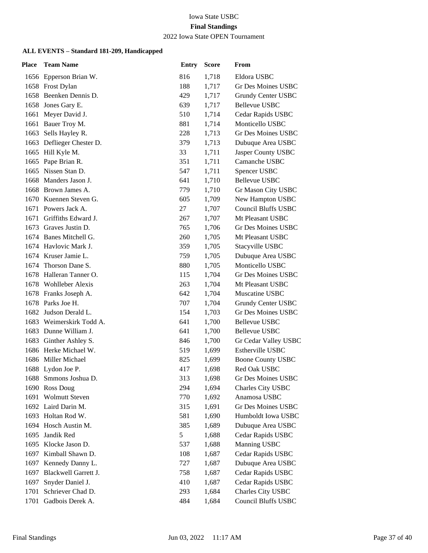### 2022 Iowa State OPEN Tournament

| <b>Place</b> | <b>Team Name</b>          | <b>Entry</b> | <b>Score</b> | From                       |
|--------------|---------------------------|--------------|--------------|----------------------------|
|              | 1656 Epperson Brian W.    | 816          | 1,718        | Eldora USBC                |
|              | 1658 Frost Dylan          | 188          | 1,717        | Gr Des Moines USBC         |
|              | 1658 Beenken Dennis D.    | 429          | 1,717        | Grundy Center USBC         |
|              | 1658 Jones Gary E.        | 639          | 1,717        | <b>Bellevue USBC</b>       |
|              | 1661 Meyer David J.       | 510          | 1,714        | Cedar Rapids USBC          |
|              | 1661 Bauer Troy M.        | 881          | 1,714        | Monticello USBC            |
| 1663         | Sells Hayley R.           | 228          | 1,713        | Gr Des Moines USBC         |
|              | 1663 Deflieger Chester D. | 379          | 1,713        | Dubuque Area USBC          |
|              | 1665 Hill Kyle M.         | 33           | 1,711        | Jasper County USBC         |
| 1665         | Pape Brian R.             | 351          | 1,711        | Camanche USBC              |
| 1665         | Nissen Stan D.            | 547          | 1,711        | Spencer USBC               |
|              | 1668 Manders Jason J.     | 641          | 1,710        | Bellevue USBC              |
|              | 1668 Brown James A.       | 779          | 1,710        | Gr Mason City USBC         |
|              | 1670 Kuennen Steven G.    | 605          | 1,709        | New Hampton USBC           |
|              | 1671 Powers Jack A.       | 27           | 1,707        | <b>Council Bluffs USBC</b> |
|              | 1671 Griffiths Edward J.  | 267          | 1,707        | Mt Pleasant USBC           |
|              | 1673 Graves Justin D.     | 765          | 1,706        | Gr Des Moines USBC         |
|              | 1674 Banes Mitchell G.    | 260          | 1,705        | Mt Pleasant USBC           |
|              | 1674 Havlovic Mark J.     | 359          | 1,705        | Stacyville USBC            |
|              | 1674 Kruser Jamie L.      | 759          | 1,705        | Dubuque Area USBC          |
|              | 1674 Thorson Dane S.      | 880          | 1,705        | Monticello USBC            |
|              | 1678 Halleran Tanner O.   | 115          | 1,704        | Gr Des Moines USBC         |
|              | 1678 Wohlleber Alexis     | 263          | 1,704        | Mt Pleasant USBC           |
|              | 1678 Franks Joseph A.     | 642          | 1,704        | Muscatine USBC             |
|              | 1678 Parks Joe H.         | 707          | 1,704        | Grundy Center USBC         |
| 1682         | Judson Derald L.          | 154          | 1,703        | <b>Gr Des Moines USBC</b>  |
|              | 1683 Weimerskirk Todd A.  | 641          | 1,700        | <b>Bellevue USBC</b>       |
|              | 1683 Dunne William J.     | 641          | 1,700        | Bellevue USBC              |
|              | 1683 Ginther Ashley S.    | 846          | 1,700        | Gr Cedar Valley USBC       |
|              | 1686 Herke Michael W.     | 519          | 1,699        | Estherville USBC           |
|              | 1686 Miller Michael       | 825          | 1,699        | <b>Boone County USBC</b>   |
|              | 1688 Lydon Joe P.         | 417          | 1,698        | Red Oak USBC               |
|              | 1688 Smmons Joshua D.     | 313          | 1,698        | Gr Des Moines USBC         |
| 1690         | <b>Ross Doug</b>          | 294          | 1,694        | Charles City USBC          |
| 1691         | <b>Wolmutt Steven</b>     | 770          | 1,692        | Anamosa USBC               |
|              | 1692 Laird Darin M.       | 315          | 1,691        | Gr Des Moines USBC         |
|              | 1693 Holtan Rod W.        | 581          | 1,690        | Humboldt Iowa USBC         |
| 1694         | Hosch Austin M.           | 385          | 1,689        | Dubuque Area USBC          |
| 1695         | Jandik Red                | 5            | 1,688        | Cedar Rapids USBC          |
| 1695         | Klocke Jason D.           | 537          | 1,688        | Manning USBC               |
| 1697         | Kimball Shawn D.          | 108          | 1,687        | Cedar Rapids USBC          |
| 1697         | Kennedy Danny L.          | 727          | 1,687        | Dubuque Area USBC          |
| 1697         | Blackwell Garrett J.      | 758          | 1,687        | Cedar Rapids USBC          |
| 1697         | Snyder Daniel J.          | 410          | 1,687        | Cedar Rapids USBC          |
| 1701         | Schriever Chad D.         | 293          | 1,684        | Charles City USBC          |
| 1701         | Gadbois Derek A.          | 484          | 1,684        | Council Bluffs USBC        |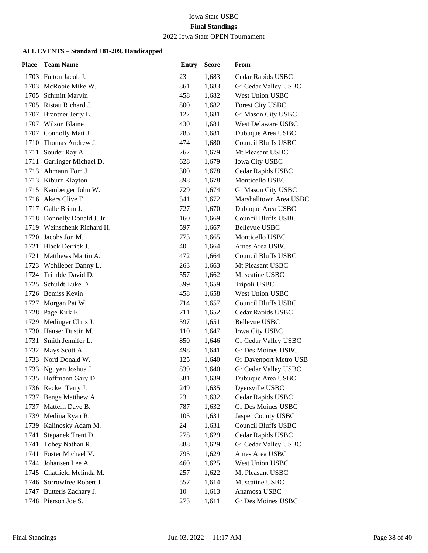### 2022 Iowa State OPEN Tournament

| <b>Place</b> | <b>Team Name</b>           | <b>Entry</b> | <b>Score</b> | From                       |
|--------------|----------------------------|--------------|--------------|----------------------------|
|              | 1703 Fulton Jacob J.       | 23           | 1,683        | Cedar Rapids USBC          |
|              | 1703 McRobie Mike W.       | 861          | 1,683        | Gr Cedar Valley USBC       |
| 1705         | Schmitt Marvin             | 458          | 1,682        | <b>West Union USBC</b>     |
|              | 1705 Ristau Richard J.     | 800          | 1,682        | <b>Forest City USBC</b>    |
|              | 1707 Brantner Jerry L.     | 122          | 1,681        | Gr Mason City USBC         |
|              | 1707 Wilson Blaine         | 430          | 1,681        | West Delaware USBC         |
|              | 1707 Connolly Matt J.      | 783          | 1,681        | Dubuque Area USBC          |
|              | 1710 Thomas Andrew J.      | 474          | 1,680        | <b>Council Bluffs USBC</b> |
|              | 1711 Souder Ray A.         | 262          | 1,679        | Mt Pleasant USBC           |
|              | 1711 Garringer Michael D.  | 628          | 1,679        | <b>Iowa City USBC</b>      |
| 1713         | Ahmann Tom J.              | 300          | 1,678        | Cedar Rapids USBC          |
|              | 1713 Kiburz Klayton        | 898          | 1,678        | Monticello USBC            |
|              | 1715 Kamberger John W.     | 729          | 1,674        | Gr Mason City USBC         |
|              | 1716 Akers Clive E.        | 541          | 1,672        | Marshalltown Area USBC     |
|              | 1717 Galle Brian J.        | 727          | 1,670        | Dubuque Area USBC          |
|              | 1718 Donnelly Donald J. Jr | 160          | 1,669        | <b>Council Bluffs USBC</b> |
|              | 1719 Weinschenk Richard H. | 597          | 1,667        | Bellevue USBC              |
| 1720         | Jacobs Jon M.              | 773          | 1,665        | Monticello USBC            |
|              | 1721 Black Derrick J.      | 40           | 1,664        | Ames Area USBC             |
|              | 1721 Matthews Martin A.    | 472          | 1,664        | <b>Council Bluffs USBC</b> |
|              | 1723 Wohlleber Danny L.    | 263          | 1,663        | Mt Pleasant USBC           |
|              | 1724 Trimble David D.      | 557          | 1,662        | Muscatine USBC             |
| 1725         | Schuldt Luke D.            | 399          | 1,659        | Tripoli USBC               |
|              | 1726 Bemiss Kevin          | 458          | 1,658        | West Union USBC            |
|              | 1727 Morgan Pat W.         | 714          | 1,657        | <b>Council Bluffs USBC</b> |
|              | 1728 Page Kirk E.          | 711          | 1,652        | Cedar Rapids USBC          |
| 1729         | Medinger Chris J.          | 597          | 1,651        | <b>Bellevue USBC</b>       |
|              | 1730 Hauser Dustin M.      | 110          | 1,647        | <b>Iowa City USBC</b>      |
|              | 1731 Smith Jennifer L.     | 850          | 1,646        | Gr Cedar Valley USBC       |
| 1732         | Mays Scott A.              | 498          | 1,641        | Gr Des Moines USBC         |
| 1733         | Nord Donald W.             | 125          | 1,640        | Gr Davenport Metro USB     |
| 1733         | Nguyen Joshua J.           | 839          | 1,640        | Gr Cedar Valley USBC       |
|              | 1735 Hoffmann Gary D.      | 381          | 1,639        | Dubuque Area USBC          |
|              | 1736 Recker Terry J.       | 249          | 1,635        | Dyersville USBC            |
| 1737         | Benge Matthew A.           | 23           | 1,632        | Cedar Rapids USBC          |
| 1737         | Mattern Dave B.            | 787          | 1,632        | Gr Des Moines USBC         |
|              | 1739 Medina Ryan R.        | 105          | 1,631        | Jasper County USBC         |
|              | 1739 Kalinosky Adam M.     | 24           | 1,631        | <b>Council Bluffs USBC</b> |
| 1741         | Stepanek Trent D.          | 278          | 1,629        | Cedar Rapids USBC          |
| 1741         | Tobey Nathan R.            | 888          | 1,629        | Gr Cedar Valley USBC       |
|              | 1741 Foster Michael V.     | 795          | 1,629        | Ames Area USBC             |
| 1744         | Johansen Lee A.            | 460          | 1,625        | West Union USBC            |
|              | 1745 Chatfield Melinda M.  | 257          | 1,622        | Mt Pleasant USBC           |
|              | 1746 Sorrowfree Robert J.  | 557          | 1,614        | Muscatine USBC             |
|              | 1747 Butteris Zachary J.   | 10           | 1,613        | Anamosa USBC               |
|              | 1748 Pierson Joe S.        | 273          | 1,611        | Gr Des Moines USBC         |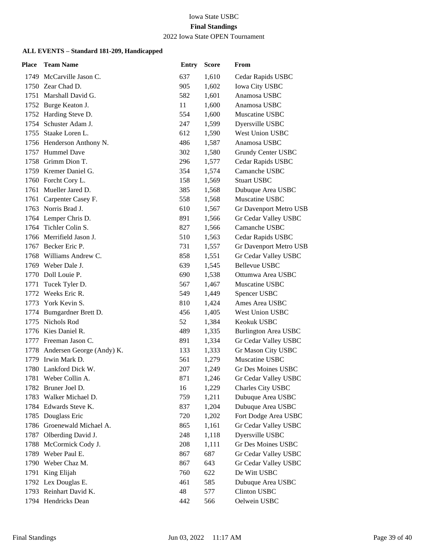2022 Iowa State OPEN Tournament

| Place | <b>Team Name</b>               | <b>Entry</b> | <b>Score</b> | From                        |
|-------|--------------------------------|--------------|--------------|-----------------------------|
|       | 1749 McCarville Jason C.       | 637          | 1,610        | Cedar Rapids USBC           |
|       | 1750 Zear Chad D.              | 905          | 1,602        | <b>Iowa City USBC</b>       |
|       | 1751 Marshall David G.         | 582          | 1,601        | Anamosa USBC                |
|       | 1752 Burge Keaton J.           | 11           | 1,600        | Anamosa USBC                |
|       | 1752 Harding Steve D.          | 554          | 1,600        | Muscatine USBC              |
|       | 1754 Schuster Adam J.          | 247          | 1,599        | Dyersville USBC             |
|       | 1755 Staake Loren L.           | 612          | 1,590        | West Union USBC             |
|       | 1756 Henderson Anthony N.      | 486          | 1,587        | Anamosa USBC                |
|       | 1757 Hummel Dave               | 302          | 1,580        | Grundy Center USBC          |
|       | 1758 Grimm Dion T.             | 296          | 1,577        | Cedar Rapids USBC           |
|       | 1759 Kremer Daniel G.          | 354          | 1,574        | Camanche USBC               |
|       | 1760 Forcht Cory L.            | 158          | 1,569        | <b>Stuart USBC</b>          |
|       | 1761 Mueller Jared D.          | 385          | 1,568        | Dubuque Area USBC           |
|       | 1761 Carpenter Casey F.        | 558          | 1,568        | Muscatine USBC              |
|       | 1763 Norris Brad J.            | 610          | 1,567        | Gr Davenport Metro USB      |
|       | 1764 Lemper Chris D.           | 891          | 1,566        | Gr Cedar Valley USBC        |
|       | 1764 Tichler Colin S.          | 827          | 1,566        | Camanche USBC               |
|       | 1766 Merrifield Jason J.       | 510          | 1,563        | Cedar Rapids USBC           |
|       | 1767 Becker Eric P.            | 731          | 1,557        | Gr Davenport Metro USB      |
|       | 1768 Williams Andrew C.        | 858          | 1,551        | Gr Cedar Valley USBC        |
|       | 1769 Weber Dale J.             | 639          | 1,545        | Bellevue USBC               |
|       | 1770 Doll Louie P.             | 690          | 1,538        | Ottumwa Area USBC           |
|       | 1771 Tucek Tyler D.            | 567          | 1,467        | Muscatine USBC              |
|       | 1772 Weeks Eric R.             | 549          | 1,449        | Spencer USBC                |
|       | 1773 York Kevin S.             | 810          | 1,424        | Ames Area USBC              |
| 1774  | Bumgardner Brett D.            | 456          | 1,405        | <b>West Union USBC</b>      |
| 1775  | Nichols Rod                    | 52           | 1,384        | Keokuk USBC                 |
|       | 1776 Kies Daniel R.            | 489          | 1,335        | <b>Burlington Area USBC</b> |
|       | 1777 Freeman Jason C.          | 891          | 1,334        | Gr Cedar Valley USBC        |
|       | 1778 Andersen George (Andy) K. | 133          | 1,333        | Gr Mason City USBC          |
|       | 1779 Irwin Mark D.             | 561          | 1,279        | Muscatine USBC              |
|       | 1780 Lankford Dick W.          | 207          | 1,249        | Gr Des Moines USBC          |
|       | 1781 Weber Collin A.           | 871          | 1,246        | Gr Cedar Valley USBC        |
| 1782  | Bruner Joel D.                 | 16           | 1,229        | Charles City USBC           |
| 1783  | Walker Michael D.              | 759          | 1,211        | Dubuque Area USBC           |
|       | 1784 Edwards Steve K.          | 837          | 1,204        | Dubuque Area USBC           |
|       | 1785 Douglass Eric             | 720          | 1,202        | Fort Dodge Area USBC        |
|       | 1786 Groenewald Michael A.     | 865          | 1,161        | Gr Cedar Valley USBC        |
| 1787  | Olberding David J.             | 248          | 1,118        | Dyersville USBC             |
|       | 1788 McCormick Cody J.         | 208          | 1,111        | Gr Des Moines USBC          |
|       | 1789 Weber Paul E.             | 867          | 687          | Gr Cedar Valley USBC        |
|       | 1790 Weber Chaz M.             | 867          | 643          | Gr Cedar Valley USBC        |
|       | 1791 King Elijah               | 760          | 622          | De Witt USBC                |
|       | 1792 Lex Douglas E.            | 461          | 585          | Dubuque Area USBC           |
|       | 1793 Reinhart David K.         | 48           | 577          | <b>Clinton USBC</b>         |
|       | 1794 Hendricks Dean            | 442          | 566          | Oelwein USBC                |